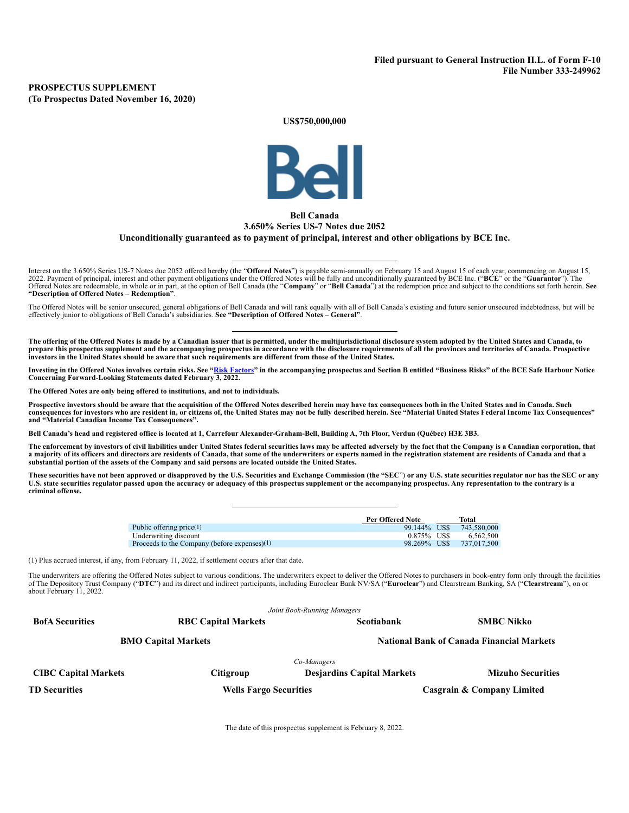# **PROSPECTUS SUPPLEMENT (To Prospectus Dated November 16, 2020)**

**US\$750,000,000**



# **Bell Canada 3.650% Series US-7 Notes due 2052 Unconditionally guaranteed as to payment of principal, interest and other obligations by BCE Inc.**

Interest on the 3.650% Series US-7 Notes due 2052 offered hereby (the "**Offered Notes**") is payable semi-annually on February 15 and August 15 of each year, commencing on August 15, 2022. Payment of principal, interest and other payment obligations under the Offered Notes will be fully and unconditionally guaranteed by BCE Inc. ("**BCE**" or the "**Guarantor**"). The Offered Notes are redeemable, in whole or in part, at the option of Bell Canada (the "**Company**" or "**Bell Canada**") at the redemption price and subject to the conditions set forth herein. **See "Description of Offered Notes – Redemption"**.

The Offered Notes will be senior unsecured, general obligations of Bell Canada and will rank equally with all of Bell Canada's existing and future senior unsecured indebtedness, but will be effectively junior to obligations of Bell Canada's subsidiaries. **See "Description of Offered Notes – General"**.

**The offering of the Offered Notes is made by a Canadian issuer that is permitted, under the multijurisdictional disclosure system adopted by the United States and Canada, to prepare this prospectus supplement and the accompanying prospectus in accordance with the disclosure requirements of all the provinces and territories of Canada. Prospective investors in the United States should be aware that such requirements are different from those of the United States.**

**Investing in the Offered Notes involves certain risks. See "Risk Factors" in the accompanying prospectus and Section B entitled "Business Risks" of the BCE Safe Harbour Notice Concerning Forward-Looking Statements dated February 3, 2022.**

**The Offered Notes are only being offered to institutions, and not to individuals.**

**Prospective investors should be aware that the acquisition of the Offered Notes described herein may have tax consequences both in the United States and in Canada. Such consequences for investors who are resident in, or citizens of, the United States may not be fully described herein. See "Material United States Federal Income Tax Consequences" and "Material Canadian Income Tax Consequences".**

**Bell Canada's head and registered office is located at 1, Carrefour Alexander-Graham-Bell, Building A, 7th Floor, Verdun (Québec) H3E 3B3.**

**The enforcement by investors of civil liabilities under United States federal securities laws may be affected adversely by the fact that the Company is a Canadian corporation, that a majority of its officers and directors are residents of Canada, that some of the underwriters or experts named in the registration statement are residents of Canada and that a substantial portion of the assets of the Company and said persons are located outside the United States.**

**These securities have not been approved or disapproved by the U.S. Securities and Exchange Commission (the "SEC**") **or any U.S. state securities regulator nor has the SEC or any U.S. state securities regulator passed upon the accuracy or adequacy of this prospectus supplement or the accompanying prospectus. Any representation to the contrary is a criminal offense.**

|                                              | Per Offered Note | Total       |
|----------------------------------------------|------------------|-------------|
| Public offering price $(1)$                  | 99.144% US\$     | 743,580,000 |
| Underwriting discount                        | $0.875\%$ US\$   | 6.562.500   |
| Proceeds to the Company (before expenses)(1) | 98.269% US\$     | 737,017,500 |

(1) Plus accrued interest, if any, from February 11, 2022, if settlement occurs after that date.

The underwriters are offering the Offered Notes subject to various conditions. The underwriters expect to deliver the Offered Notes to purchasers in book-entry form only through the facilities of The Depository Trust Company ("**DTC**") and its direct and indirect participants, including Euroclear Bank NV/SA ("**Euroclear**") and Clearstream Banking, SA ("**Clearstream**"), on or about February 11, 2022.

|                             |                                                                                | Joint Book-Running Managers       |                            |
|-----------------------------|--------------------------------------------------------------------------------|-----------------------------------|----------------------------|
| <b>BofA</b> Securities      | <b>RBC Capital Markets</b>                                                     | <b>Scotiabank</b>                 | <b>SMBC Nikko</b>          |
|                             | <b>BMO Capital Markets</b><br><b>National Bank of Canada Financial Markets</b> |                                   |                            |
|                             |                                                                                | Co-Managers                       |                            |
| <b>CIBC Capital Markets</b> | <b>Citigroup</b>                                                               | <b>Desjardins Capital Markets</b> | <b>Mizuho Securities</b>   |
| <b>TD Securities</b>        | <b>Wells Fargo Securities</b>                                                  |                                   | Casgrain & Company Limited |

The date of this prospectus supplement is February 8, 2022.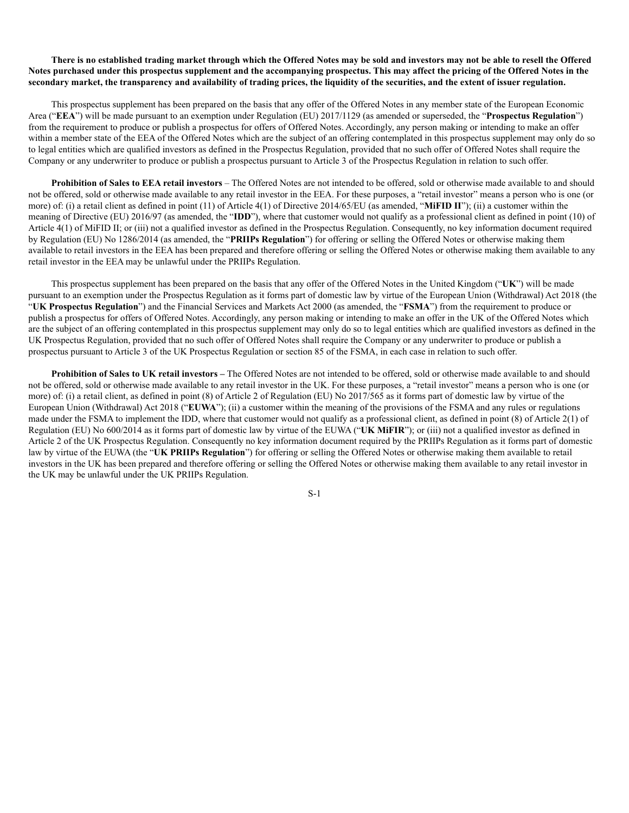# **There is no established trading market through which the Offered Notes may be sold and investors may not be able to resell the Offered Notes purchased under this prospectus supplement and the accompanying prospectus. This may affect the pricing of the Offered Notes in the secondary market, the transparency and availability of trading prices, the liquidity of the securities, and the extent of issuer regulation.**

This prospectus supplement has been prepared on the basis that any offer of the Offered Notes in any member state of the European Economic Area ("**EEA**") will be made pursuant to an exemption under Regulation (EU) 2017/1129 (as amended or superseded, the "**Prospectus Regulation**") from the requirement to produce or publish a prospectus for offers of Offered Notes. Accordingly, any person making or intending to make an offer within a member state of the EEA of the Offered Notes which are the subject of an offering contemplated in this prospectus supplement may only do so to legal entities which are qualified investors as defined in the Prospectus Regulation, provided that no such offer of Offered Notes shall require the Company or any underwriter to produce or publish a prospectus pursuant to Article 3 of the Prospectus Regulation in relation to such offer.

**Prohibition of Sales to EEA retail investors** – The Offered Notes are not intended to be offered, sold or otherwise made available to and should not be offered, sold or otherwise made available to any retail investor in the EEA. For these purposes, a "retail investor" means a person who is one (or more) of: (i) a retail client as defined in point (11) of Article 4(1) of Directive 2014/65/EU (as amended, "**MiFID II**"); (ii) a customer within the meaning of Directive (EU) 2016/97 (as amended, the "**IDD**"), where that customer would not qualify as a professional client as defined in point (10) of Article 4(1) of MiFID II; or (iii) not a qualified investor as defined in the Prospectus Regulation. Consequently, no key information document required by Regulation (EU) No 1286/2014 (as amended, the "**PRIIPs Regulation**") for offering or selling the Offered Notes or otherwise making them available to retail investors in the EEA has been prepared and therefore offering or selling the Offered Notes or otherwise making them available to any retail investor in the EEA may be unlawful under the PRIIPs Regulation.

This prospectus supplement has been prepared on the basis that any offer of the Offered Notes in the United Kingdom ("**UK**") will be made pursuant to an exemption under the Prospectus Regulation as it forms part of domestic law by virtue of the European Union (Withdrawal) Act 2018 (the "**UK Prospectus Regulation**") and the Financial Services and Markets Act 2000 (as amended, the "**FSMA**") from the requirement to produce or publish a prospectus for offers of Offered Notes. Accordingly, any person making or intending to make an offer in the UK of the Offered Notes which are the subject of an offering contemplated in this prospectus supplement may only do so to legal entities which are qualified investors as defined in the UK Prospectus Regulation, provided that no such offer of Offered Notes shall require the Company or any underwriter to produce or publish a prospectus pursuant to Article 3 of the UK Prospectus Regulation or section 85 of the FSMA, in each case in relation to such offer.

**Prohibition of Sales to UK retail investors –** The Offered Notes are not intended to be offered, sold or otherwise made available to and should not be offered, sold or otherwise made available to any retail investor in the UK. For these purposes, a "retail investor" means a person who is one (or more) of: (i) a retail client, as defined in point (8) of Article 2 of Regulation (EU) No 2017/565 as it forms part of domestic law by virtue of the European Union (Withdrawal) Act 2018 ("**EUWA**"); (ii) a customer within the meaning of the provisions of the FSMA and any rules or regulations made under the FSMA to implement the IDD, where that customer would not qualify as a professional client, as defined in point (8) of Article 2(1) of Regulation (EU) No 600/2014 as it forms part of domestic law by virtue of the EUWA ("**UK MiFIR**"); or (iii) not a qualified investor as defined in Article 2 of the UK Prospectus Regulation. Consequently no key information document required by the PRIIPs Regulation as it forms part of domestic law by virtue of the EUWA (the "**UK PRIIPs Regulation**") for offering or selling the Offered Notes or otherwise making them available to retail investors in the UK has been prepared and therefore offering or selling the Offered Notes or otherwise making them available to any retail investor in the UK may be unlawful under the UK PRIIPs Regulation.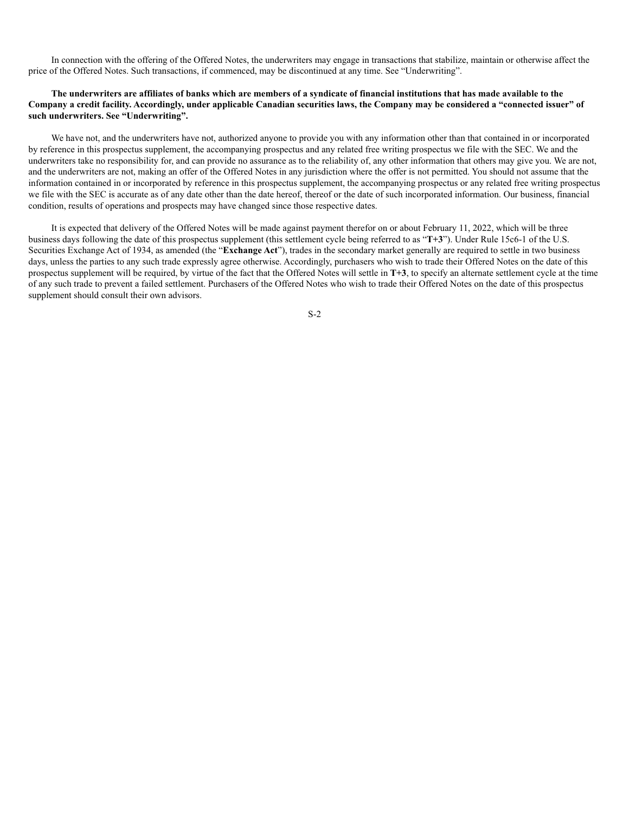In connection with the offering of the Offered Notes, the underwriters may engage in transactions that stabilize, maintain or otherwise affect the price of the Offered Notes. Such transactions, if commenced, may be discontinued at any time. See "Underwriting".

# **The underwriters are affiliates of banks which are members of a syndicate of financial institutions that has made available to the Company a credit facility. Accordingly, under applicable Canadian securities laws, the Company may be considered a "connected issuer" of such underwriters. See "Underwriting".**

We have not, and the underwriters have not, authorized anyone to provide you with any information other than that contained in or incorporated by reference in this prospectus supplement, the accompanying prospectus and any related free writing prospectus we file with the SEC. We and the underwriters take no responsibility for, and can provide no assurance as to the reliability of, any other information that others may give you. We are not, and the underwriters are not, making an offer of the Offered Notes in any jurisdiction where the offer is not permitted. You should not assume that the information contained in or incorporated by reference in this prospectus supplement, the accompanying prospectus or any related free writing prospectus we file with the SEC is accurate as of any date other than the date hereof, thereof or the date of such incorporated information. Our business, financial condition, results of operations and prospects may have changed since those respective dates.

It is expected that delivery of the Offered Notes will be made against payment therefor on or about February 11, 2022, which will be three business days following the date of this prospectus supplement (this settlement cycle being referred to as "**T+3**"). Under Rule 15c6-1 of the U.S. Securities Exchange Act of 1934, as amended (the "**Exchange Act**"), trades in the secondary market generally are required to settle in two business days, unless the parties to any such trade expressly agree otherwise. Accordingly, purchasers who wish to trade their Offered Notes on the date of this prospectus supplement will be required, by virtue of the fact that the Offered Notes will settle in **T+3**, to specify an alternate settlement cycle at the time of any such trade to prevent a failed settlement. Purchasers of the Offered Notes who wish to trade their Offered Notes on the date of this prospectus supplement should consult their own advisors.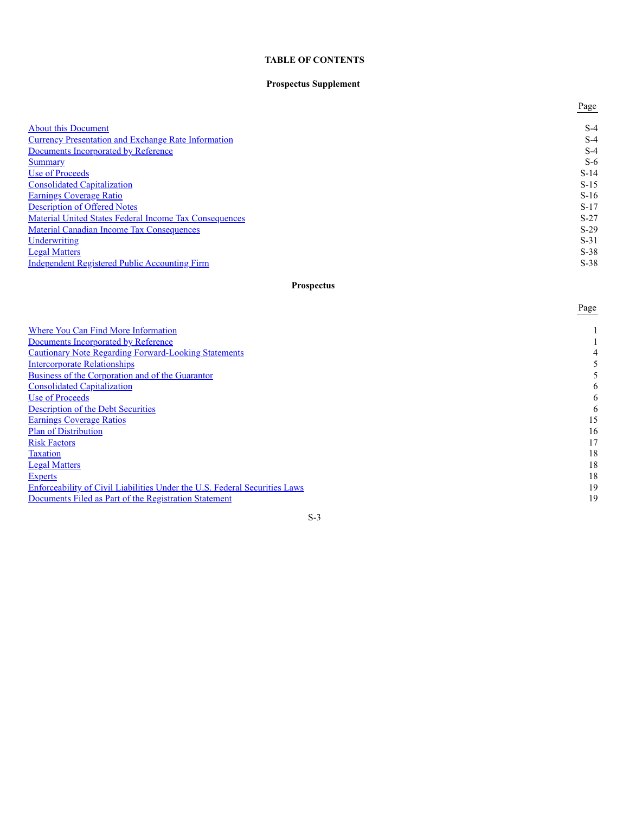# **TABLE OF CONTENTS**

# **Prospectus Supplement**

|                                                               | Page   |
|---------------------------------------------------------------|--------|
| <b>About this Document</b>                                    | $S-4$  |
| Currency Presentation and Exchange Rate Information           | $S-4$  |
| Documents Incorporated by Reference                           | $S-4$  |
| <b>Summary</b>                                                | $S-6$  |
| Use of Proceeds                                               | $S-14$ |
| <b>Consolidated Capitalization</b>                            | $S-15$ |
| <b>Earnings Coverage Ratio</b>                                | $S-16$ |
| <b>Description of Offered Notes</b>                           | $S-17$ |
| <b>Material United States Federal Income Tax Consequences</b> | $S-27$ |
| <b>Material Canadian Income Tax Consequences</b>              | $S-29$ |
| Underwriting                                                  | $S-31$ |
| <b>Legal Matters</b>                                          | $S-38$ |
| <b>Independent Registered Public Accounting Firm</b>          | $S-38$ |

# **Prospectus**

|                                                                                   | Page |
|-----------------------------------------------------------------------------------|------|
| Where You Can Find More Information                                               |      |
| <b>Documents Incorporated by Reference</b>                                        |      |
| <b>Cautionary Note Regarding Forward-Looking Statements</b>                       |      |
| <b>Intercorporate Relationships</b>                                               |      |
| Business of the Corporation and of the Guarantor                                  |      |
| <b>Consolidated Capitalization</b>                                                | 6    |
| Use of Proceeds                                                                   | 6    |
| Description of the Debt Securities                                                | 6    |
| <b>Earnings Coverage Ratios</b>                                                   | 15   |
| <b>Plan of Distribution</b>                                                       | 16   |
| <b>Risk Factors</b>                                                               | 17   |
| <b>Taxation</b>                                                                   | 18   |
| <b>Legal Matters</b>                                                              | 18   |
| <b>Experts</b>                                                                    | 18   |
| <b>Enforceability of Civil Liabilities Under the U.S. Federal Securities Laws</b> | 19   |
| Documents Filed as Part of the Registration Statement                             | 19   |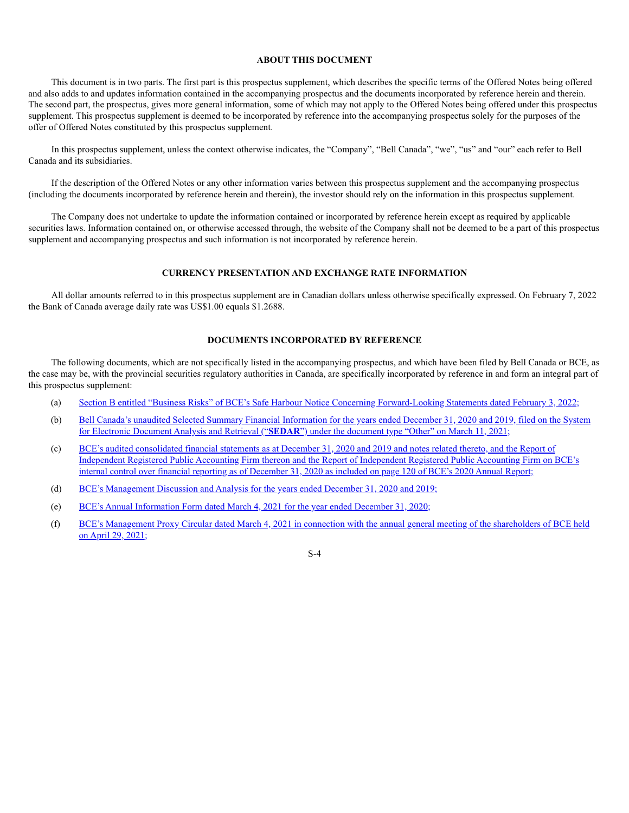## **ABOUT THIS DOCUMENT**

This document is in two parts. The first part is this prospectus supplement, which describes the specific terms of the Offered Notes being offered and also adds to and updates information contained in the accompanying prospectus and the documents incorporated by reference herein and therein. The second part, the prospectus, gives more general information, some of which may not apply to the Offered Notes being offered under this prospectus supplement. This prospectus supplement is deemed to be incorporated by reference into the accompanying prospectus solely for the purposes of the offer of Offered Notes constituted by this prospectus supplement.

In this prospectus supplement, unless the context otherwise indicates, the "Company", "Bell Canada", "we", "us" and "our" each refer to Bell Canada and its subsidiaries.

If the description of the Offered Notes or any other information varies between this prospectus supplement and the accompanying prospectus (including the documents incorporated by reference herein and therein), the investor should rely on the information in this prospectus supplement.

The Company does not undertake to update the information contained or incorporated by reference herein except as required by applicable securities laws. Information contained on, or otherwise accessed through, the website of the Company shall not be deemed to be a part of this prospectus supplement and accompanying prospectus and such information is not incorporated by reference herein.

# **CURRENCY PRESENTATION AND EXCHANGE RATE INFORMATION**

All dollar amounts referred to in this prospectus supplement are in Canadian dollars unless otherwise specifically expressed. On February 7, 2022 the Bank of Canada average daily rate was US\$1.00 equals \$1.2688.

# **DOCUMENTS INCORPORATED BY REFERENCE**

The following documents, which are not specifically listed in the accompanying prospectus, and which have been filed by Bell Canada or BCE, as the case may be, with the provincial securities regulatory authorities in Canada, are specifically incorporated by reference in and form an integral part of this prospectus supplement:

- (a) Section B entitled "Business Risks" of BCE's Safe Harbour Notice Concerning Forward-Looking Statements dated February 3, 2022;
- (b) Bell Canada's unaudited Selected Summary Financial Information for the years ended December 31, 2020 and 2019, filed on the System for Electronic Document Analysis and Retrieval ("**SEDAR**") under the document type "Other" on March 11, 2021;
- (c) BCE's audited consolidated financial statements as at December 31, 2020 and 2019 and notes related thereto, and the Report of Independent Registered Public Accounting Firm thereon and the Report of Independent Registered Public Accounting Firm on BCE's internal control over financial reporting as of December 31, 2020 as included on page 120 of BCE's 2020 Annual Report;
- (d) BCE's Management Discussion and Analysis for the years ended December 31, 2020 and 2019;
- (e) BCE's Annual Information Form dated March 4, 2021 for the year ended December 31, 2020;
- (f) BCE's Management Proxy Circular dated March 4, 2021 in connection with the annual general meeting of the shareholders of BCE held on April 29, 2021;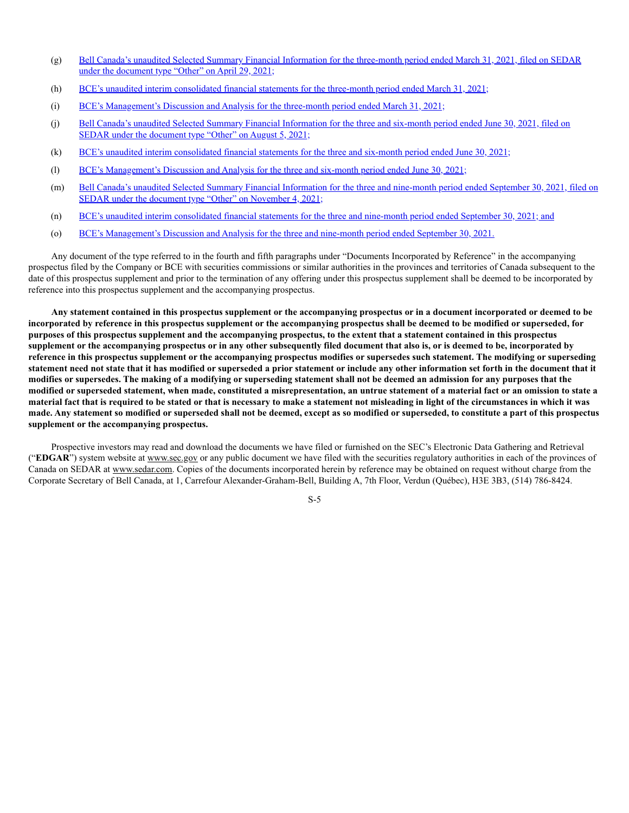- (g) Bell Canada's unaudited Selected Summary Financial Information for the three-month period ended March 31, 2021, filed on SEDAR under the document type "Other" on April 29, 2021;
- (h) BCE's unaudited interim consolidated financial statements for the three-month period ended March 31, 2021;
- (i) BCE's Management's Discussion and Analysis for the three-month period ended March 31, 2021;
- (j) Bell Canada's unaudited Selected Summary Financial Information for the three and six-month period ended June 30, 2021, filed on SEDAR under the document type "Other" on August 5, 2021;
- (k) BCE's unaudited interim consolidated financial statements for the three and six-month period ended June 30, 2021;
- (l) BCE's Management's Discussion and Analysis for the three and six-month period ended June 30, 2021;
- (m) Bell Canada's unaudited Selected Summary Financial Information for the three and nine-month period ended September 30, 2021, filed on SEDAR under the document type "Other" on November 4, 2021;
- (n) BCE's unaudited interim consolidated financial statements for the three and nine-month period ended September 30, 2021; and
- (o) BCE's Management's Discussion and Analysis for the three and nine-month period ended September 30, 2021.

Any document of the type referred to in the fourth and fifth paragraphs under "Documents Incorporated by Reference" in the accompanying prospectus filed by the Company or BCE with securities commissions or similar authorities in the provinces and territories of Canada subsequent to the date of this prospectus supplement and prior to the termination of any offering under this prospectus supplement shall be deemed to be incorporated by reference into this prospectus supplement and the accompanying prospectus.

**Any statement contained in this prospectus supplement or the accompanying prospectus or in a document incorporated or deemed to be incorporated by reference in this prospectus supplement or the accompanying prospectus shall be deemed to be modified or superseded, for purposes of this prospectus supplement and the accompanying prospectus, to the extent that a statement contained in this prospectus supplement or the accompanying prospectus or in any other subsequently filed document that also is, or is deemed to be, incorporated by reference in this prospectus supplement or the accompanying prospectus modifies or supersedes such statement. The modifying or superseding statement need not state that it has modified or superseded a prior statement or include any other information set forth in the document that it modifies or supersedes. The making of a modifying or superseding statement shall not be deemed an admission for any purposes that the modified or superseded statement, when made, constituted a misrepresentation, an untrue statement of a material fact or an omission to state a material fact that is required to be stated or that is necessary to make a statement not misleading in light of the circumstances in which it was made. Any statement so modified or superseded shall not be deemed, except as so modified or superseded, to constitute a part of this prospectus supplement or the accompanying prospectus.**

Prospective investors may read and download the documents we have filed or furnished on the SEC's Electronic Data Gathering and Retrieval ("**EDGAR**") system website at www.sec.gov or any public document we have filed with the securities regulatory authorities in each of the provinces of Canada on SEDAR at www.sedar.com. Copies of the documents incorporated herein by reference may be obtained on request without charge from the Corporate Secretary of Bell Canada, at 1, Carrefour Alexander-Graham-Bell, Building A, 7th Floor, Verdun (Québec), H3E 3B3, (514) 786-8424.

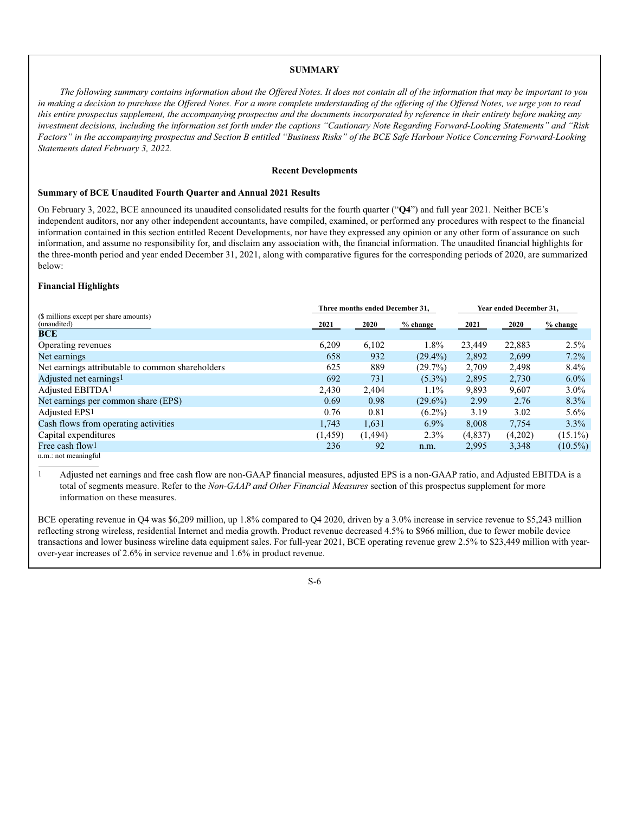## **SUMMARY**

*The following summary contains information about the Offered Notes. It does not contain all of the information that may be important to you in making a decision to purchase the Offered Notes. For a more complete understanding of the offering of the Offered Notes, we urge you to read this entire prospectus supplement, the accompanying prospectus and the documents incorporated by reference in their entirety before making any investment decisions, including the information set forth under the captions "Cautionary Note Regarding Forward-Looking Statements" and "Risk Factors" in the accompanying prospectus and Section B entitled "Business Risks" of the BCE Safe Harbour Notice Concerning Forward-Looking Statements dated February 3, 2022.*

# **Recent Developments**

# **Summary of BCE Unaudited Fourth Quarter and Annual 2021 Results**

On February 3, 2022, BCE announced its unaudited consolidated results for the fourth quarter ("**Q4**") and full year 2021. Neither BCE's independent auditors, nor any other independent accountants, have compiled, examined, or performed any procedures with respect to the financial information contained in this section entitled Recent Developments, nor have they expressed any opinion or any other form of assurance on such information, and assume no responsibility for, and disclaim any association with, the financial information. The unaudited financial highlights for the three-month period and year ended December 31, 2021, along with comparative figures for the corresponding periods of 2020, are summarized below:

# **Financial Highlights**

|                                                       | Three months ended December 31, |         | Year ended December 31, |          |         |            |
|-------------------------------------------------------|---------------------------------|---------|-------------------------|----------|---------|------------|
| (\$ millions except per share amounts)<br>(unaudited) | 2021                            | 2020    | % change                | 2021     | 2020    | $%$ change |
| <b>BCE</b>                                            |                                 |         |                         |          |         |            |
| Operating revenues                                    | 6.209                           | 6,102   | 1.8%                    | 23,449   | 22,883  | $2.5\%$    |
| Net earnings                                          | 658                             | 932     | $(29.4\%)$              | 2,892    | 2,699   | $7.2\%$    |
| Net earnings attributable to common shareholders      | 625                             | 889     | $(29.7\%)$              | 2,709    | 2,498   | $8.4\%$    |
| Adjusted net earnings <sup>1</sup>                    | 692                             | 731     | $(5.3\%)$               | 2,895    | 2,730   | $6.0\%$    |
| Adjusted EBITDA1                                      | 2.430                           | 2.404   | $1.1\%$                 | 9,893    | 9,607   | $3.0\%$    |
| Net earnings per common share (EPS)                   | 0.69                            | 0.98    | $(29.6\%)$              | 2.99     | 2.76    | $8.3\%$    |
| Adjusted EPS1                                         | 0.76                            | 0.81    | $(6.2\%)$               | 3.19     | 3.02    | $5.6\%$    |
| Cash flows from operating activities                  | 1.743                           | 1,631   | $6.9\%$                 | 8,008    | 7,754   | $3.3\%$    |
| Capital expenditures                                  | (1, 459)                        | (1,494) | 2.3%                    | (4, 837) | (4,202) | $(15.1\%)$ |
| Free cash flow <sup>1</sup>                           | 236                             | 92      | n.m.                    | 2,995    | 3,348   | $(10.5\%)$ |
|                                                       |                                 |         |                         |          |         |            |

n.m.: not meaningful

1 Adjusted net earnings and free cash flow are non-GAAP financial measures, adjusted EPS is a non-GAAP ratio, and Adjusted EBITDA is a total of segments measure. Refer to the *Non-GAAP and Other Financial Measures* section of this prospectus supplement for more information on these measures.

BCE operating revenue in Q4 was \$6,209 million, up 1.8% compared to Q4 2020, driven by a 3.0% increase in service revenue to \$5,243 million reflecting strong wireless, residential Internet and media growth. Product revenue decreased 4.5% to \$966 million, due to fewer mobile device transactions and lower business wireline data equipment sales. For full-year 2021, BCE operating revenue grew 2.5% to \$23,449 million with yearover-year increases of 2.6% in service revenue and 1.6% in product revenue.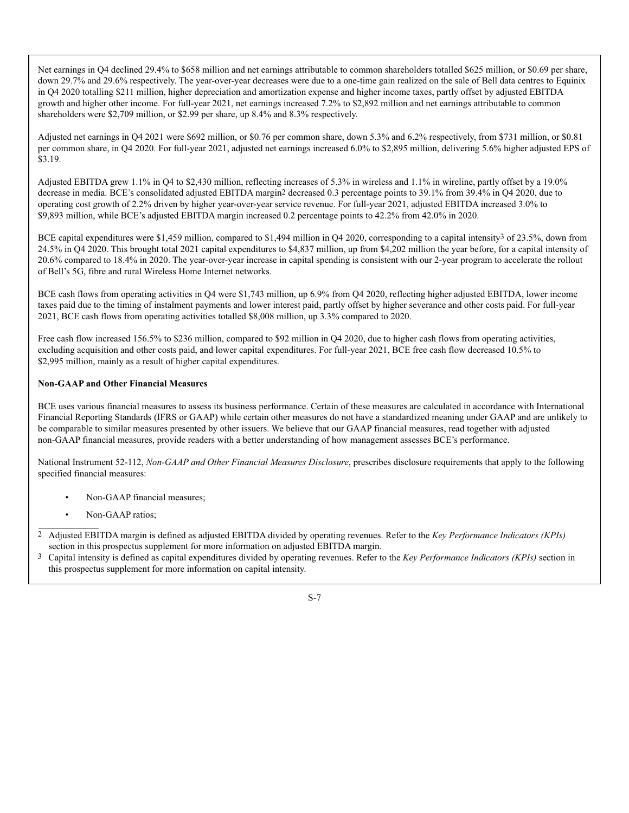Net earnings in Q4 declined 29.4% to \$658 million and net earnings attributable to common shareholders totalled \$625 million, or \$0.69 per share, down 29.7% and 29.6% respectively. The year-over-year decreases were due to a one-time gain realized on the sale of Bell data centres to Equinix in Q4 2020 totalling \$211 million, higher depreciation and amortization expense and higher income taxes, partly offset by adjusted EBITDA growth and higher other income. For full-year 2021, net earnings increased 7.2% to \$2,892 million and net earnings attributable to common shareholders were \$2,709 million, or \$2.99 per share, up 8.4% and 8.3% respectively.

Adjusted net earnings in Q4 2021 were \$692 million, or \$0.76 per common share, down 5.3% and 6.2% respectively, from \$731 million, or \$0.81 per common share, in Q4 2020. For full-year 2021, adjusted net earnings increased 6.0% to \$2,895 million, delivering 5.6% higher adjusted EPS of \$3.19.

Adjusted EBITDA grew 1.1% in Q4 to \$2,430 million, reflecting increases of 5.3% in wireless and 1.1% in wireline, partly offset by a 19.0% decrease in media. BCE's consolidated adjusted EBITDA margin2 decreased 0.3 percentage points to 39.1% from 39.4% in Q4 2020, due to operating cost growth of 2.2% driven by higher year-over-year service revenue. For full-year 2021, adjusted EBITDA increased 3.0% to \$9,893 million, while BCE's adjusted EBITDA margin increased 0.2 percentage points to 42.2% from 42.0% in 2020.

BCE capital expenditures were \$1,459 million, compared to \$1,494 million in Q4 2020, corresponding to a capital intensity<sup>3</sup> of 23.5%, down from 24.5% in Q4 2020. This brought total 2021 capital expenditures to \$4,837 million, up from \$4,202 million the year before, for a capital intensity of 20.6% compared to 18.4% in 2020. The year-over-year increase in capital spending is consistent with our 2-year program to accelerate the rollout of Bell's 5G, fibre and rural Wireless Home Internet networks.

BCE cash flows from operating activities in Q4 were \$1,743 million, up 6.9% from Q4 2020, reflecting higher adjusted EBITDA, lower income taxes paid due to the timing of instalment payments and lower interest paid, partly offset by higher severance and other costs paid. For full-year 2021, BCE cash flows from operating activities totalled \$8,008 million, up 3.3% compared to 2020.

Free cash flow increased 156.5% to \$236 million, compared to \$92 million in Q4 2020, due to higher cash flows from operating activities, excluding acquisition and other costs paid, and lower capital expenditures. For full-year 2021, BCE free cash flow decreased 10.5% to \$2,995 million, mainly as a result of higher capital expenditures.

# **Non-GAAP and Other Financial Measures**

BCE uses various financial measures to assess its business performance. Certain of these measures are calculated in accordance with International Financial Reporting Standards (IFRS or GAAP) while certain other measures do not have a standardized meaning under GAAP and are unlikely to be comparable to similar measures presented by other issuers. We believe that our GAAP financial measures, read together with adjusted non-GAAP financial measures, provide readers with a better understanding of how management assesses BCE's performance.

National Instrument 52-112, *Non-GAAP and Other Financial Measures Disclosure*, prescribes disclosure requirements that apply to the following specified financial measures:

- Non-GAAP financial measures;
- Non-GAAP ratios;

2 Adjusted EBITDA margin is defined as adjusted EBITDA divided by operating revenues. Refer to the *Key Performance Indicators (KPIs)* section in this prospectus supplement for more information on adjusted EBITDA margin.

3 Capital intensity is defined as capital expenditures divided by operating revenues. Refer to the *Key Performance Indicators (KPIs)* section in this prospectus supplement for more information on capital intensity.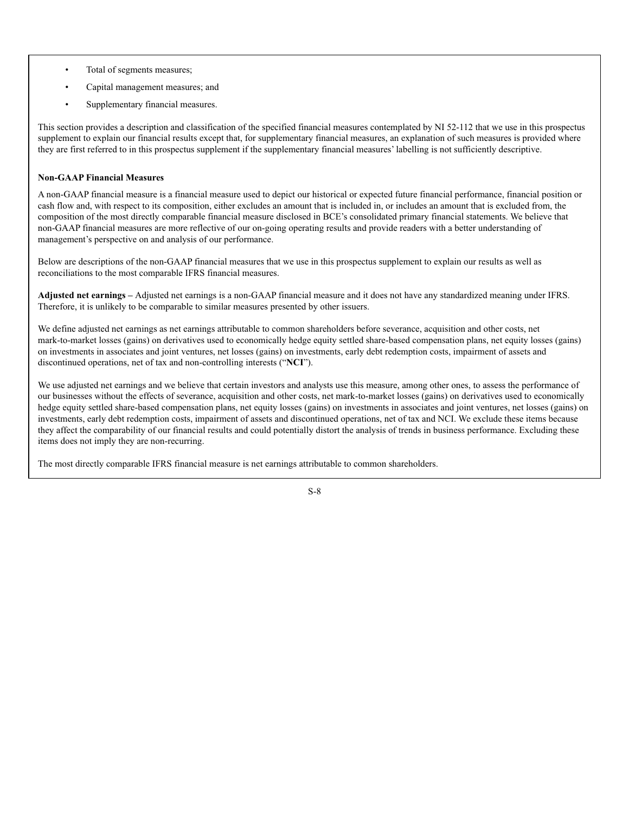- Total of segments measures;
- Capital management measures; and
- Supplementary financial measures.

This section provides a description and classification of the specified financial measures contemplated by NI 52-112 that we use in this prospectus supplement to explain our financial results except that, for supplementary financial measures, an explanation of such measures is provided where they are first referred to in this prospectus supplement if the supplementary financial measures' labelling is not sufficiently descriptive.

## **Non-GAAP Financial Measures**

A non-GAAP financial measure is a financial measure used to depict our historical or expected future financial performance, financial position or cash flow and, with respect to its composition, either excludes an amount that is included in, or includes an amount that is excluded from, the composition of the most directly comparable financial measure disclosed in BCE's consolidated primary financial statements. We believe that non-GAAP financial measures are more reflective of our on-going operating results and provide readers with a better understanding of management's perspective on and analysis of our performance.

Below are descriptions of the non-GAAP financial measures that we use in this prospectus supplement to explain our results as well as reconciliations to the most comparable IFRS financial measures.

**Adjusted net earnings –** Adjusted net earnings is a non-GAAP financial measure and it does not have any standardized meaning under IFRS. Therefore, it is unlikely to be comparable to similar measures presented by other issuers.

We define adjusted net earnings as net earnings attributable to common shareholders before severance, acquisition and other costs, net mark-to-market losses (gains) on derivatives used to economically hedge equity settled share-based compensation plans, net equity losses (gains) on investments in associates and joint ventures, net losses (gains) on investments, early debt redemption costs, impairment of assets and discontinued operations, net of tax and non-controlling interests ("**NCI**").

We use adjusted net earnings and we believe that certain investors and analysts use this measure, among other ones, to assess the performance of our businesses without the effects of severance, acquisition and other costs, net mark-to-market losses (gains) on derivatives used to economically hedge equity settled share-based compensation plans, net equity losses (gains) on investments in associates and joint ventures, net losses (gains) on investments, early debt redemption costs, impairment of assets and discontinued operations, net of tax and NCI. We exclude these items because they affect the comparability of our financial results and could potentially distort the analysis of trends in business performance. Excluding these items does not imply they are non-recurring.

The most directly comparable IFRS financial measure is net earnings attributable to common shareholders.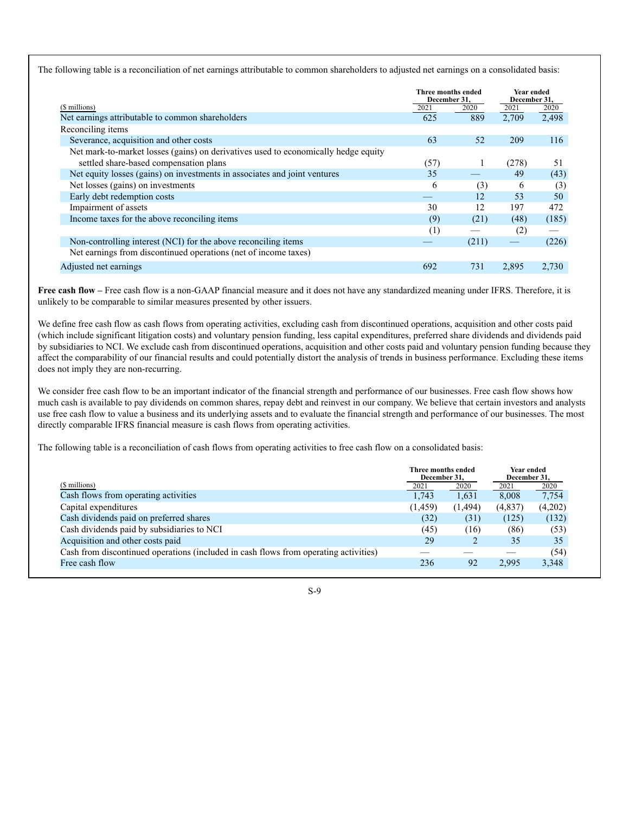The following table is a reconciliation of net earnings attributable to common shareholders to adjusted net earnings on a consolidated basis:

|                                                                                    | Three months ended<br>December 31, |       | <b>Year ended</b><br>December 31, |       |
|------------------------------------------------------------------------------------|------------------------------------|-------|-----------------------------------|-------|
| (\$ millions)                                                                      | 2021                               | 2020  | 2021                              | 2020  |
| Net earnings attributable to common shareholders                                   | 625                                | 889   | 2,709                             | 2,498 |
| Reconciling items                                                                  |                                    |       |                                   |       |
| Severance, acquisition and other costs                                             | 63                                 | 52    | 209                               | 116   |
| Net mark-to-market losses (gains) on derivatives used to economically hedge equity |                                    |       |                                   |       |
| settled share-based compensation plans                                             | (57)                               |       | (278)                             | 51    |
| Net equity losses (gains) on investments in associates and joint ventures          | 35                                 |       | 49                                | (43)  |
| Net losses (gains) on investments                                                  | 6                                  | (3)   | 6                                 | (3)   |
| Early debt redemption costs                                                        |                                    | 12    | 53                                | 50    |
| Impairment of assets                                                               | 30                                 | 12    | 197                               | 472   |
| Income taxes for the above reconciling items                                       | (9)                                | (21)  | (48)                              | (185) |
|                                                                                    | (1)                                |       | (2)                               |       |
| Non-controlling interest (NCI) for the above reconciling items                     |                                    | (211) |                                   | (226) |
| Net earnings from discontinued operations (net of income taxes)                    |                                    |       |                                   |       |
| Adjusted net earnings                                                              | 692                                | 731   | 2.895                             | 2,730 |

**Free cash flow –** Free cash flow is a non-GAAP financial measure and it does not have any standardized meaning under IFRS. Therefore, it is unlikely to be comparable to similar measures presented by other issuers.

We define free cash flow as cash flows from operating activities, excluding cash from discontinued operations, acquisition and other costs paid (which include significant litigation costs) and voluntary pension funding, less capital expenditures, preferred share dividends and dividends paid by subsidiaries to NCI. We exclude cash from discontinued operations, acquisition and other costs paid and voluntary pension funding because they affect the comparability of our financial results and could potentially distort the analysis of trends in business performance. Excluding these items does not imply they are non-recurring.

We consider free cash flow to be an important indicator of the financial strength and performance of our businesses. Free cash flow shows how much cash is available to pay dividends on common shares, repay debt and reinvest in our company. We believe that certain investors and analysts use free cash flow to value a business and its underlying assets and to evaluate the financial strength and performance of our businesses. The most directly comparable IFRS financial measure is cash flows from operating activities.

The following table is a reconciliation of cash flows from operating activities to free cash flow on a consolidated basis:

|                                                                                      | Three months ended<br>December 31. |          | Year ended<br>December 31, |         |
|--------------------------------------------------------------------------------------|------------------------------------|----------|----------------------------|---------|
| (\$ millions)                                                                        | 2021                               | 2020     | 2021                       | 2020    |
| Cash flows from operating activities                                                 | 1.743                              | 1.631    | 8.008                      | 7,754   |
| Capital expenditures                                                                 | (1, 459)                           | (1, 494) | (4,837)                    | (4,202) |
| Cash dividends paid on preferred shares                                              | (32)                               | (31)     | (125)                      | (132)   |
| Cash dividends paid by subsidiaries to NCI                                           | (45)                               | (16)     | (86)                       | (53)    |
| Acquisition and other costs paid                                                     | 29                                 |          | 35                         | 35      |
| Cash from discontinued operations (included in cash flows from operating activities) |                                    |          |                            | (54)    |
| Free cash flow                                                                       | 236                                | 92       | 2.995                      | 3,348   |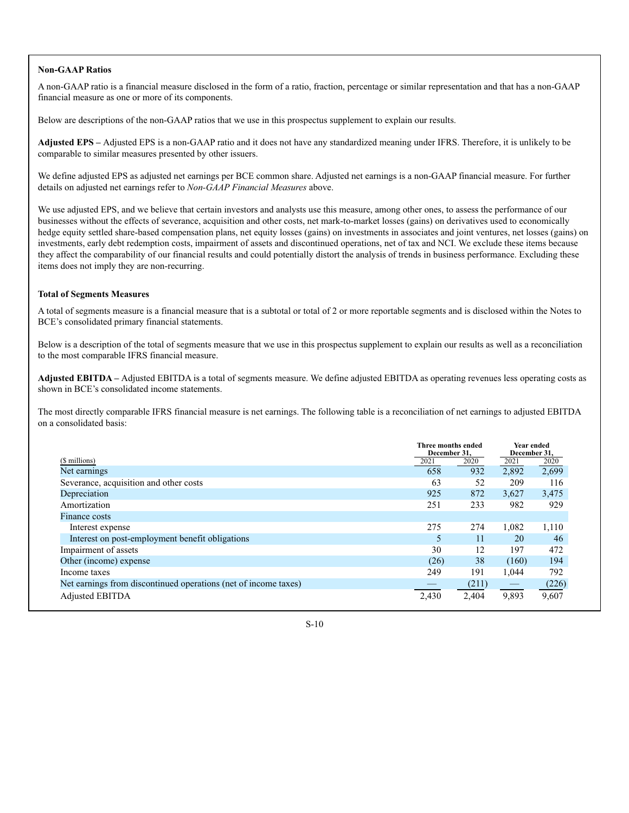# **Non-GAAP Ratios**

A non-GAAP ratio is a financial measure disclosed in the form of a ratio, fraction, percentage or similar representation and that has a non-GAAP financial measure as one or more of its components.

Below are descriptions of the non-GAAP ratios that we use in this prospectus supplement to explain our results.

**Adjusted EPS –** Adjusted EPS is a non-GAAP ratio and it does not have any standardized meaning under IFRS. Therefore, it is unlikely to be comparable to similar measures presented by other issuers.

We define adjusted EPS as adjusted net earnings per BCE common share. Adjusted net earnings is a non-GAAP financial measure. For further details on adjusted net earnings refer to *Non-GAAP Financial Measures* above.

We use adjusted EPS, and we believe that certain investors and analysts use this measure, among other ones, to assess the performance of our businesses without the effects of severance, acquisition and other costs, net mark-to-market losses (gains) on derivatives used to economically hedge equity settled share-based compensation plans, net equity losses (gains) on investments in associates and joint ventures, net losses (gains) on investments, early debt redemption costs, impairment of assets and discontinued operations, net of tax and NCI. We exclude these items because they affect the comparability of our financial results and could potentially distort the analysis of trends in business performance. Excluding these items does not imply they are non-recurring.

# **Total of Segments Measures**

A total of segments measure is a financial measure that is a subtotal or total of 2 or more reportable segments and is disclosed within the Notes to BCE's consolidated primary financial statements.

Below is a description of the total of segments measure that we use in this prospectus supplement to explain our results as well as a reconciliation to the most comparable IFRS financial measure.

**Adjusted EBITDA –** Adjusted EBITDA is a total of segments measure. We define adjusted EBITDA as operating revenues less operating costs as shown in BCE's consolidated income statements.

The most directly comparable IFRS financial measure is net earnings. The following table is a reconciliation of net earnings to adjusted EBITDA on a consolidated basis:

|                                                                 | Three months ended<br>December 31. |       | <b>Year ended</b><br>December 31, |       |
|-----------------------------------------------------------------|------------------------------------|-------|-----------------------------------|-------|
| (\$ millions)                                                   | 2021                               | 2020  | 2021                              | 2020  |
| Net earnings                                                    | 658                                | 932   | 2,892                             | 2,699 |
| Severance, acquisition and other costs                          | 63                                 | 52    | 209                               | 116   |
| Depreciation                                                    | 925                                | 872   | 3,627                             | 3,475 |
| Amortization                                                    | 251                                | 233   | 982                               | 929   |
| <b>Finance costs</b>                                            |                                    |       |                                   |       |
| Interest expense                                                | 275                                | 274   | 1,082                             | 1,110 |
| Interest on post-employment benefit obligations                 |                                    | 11    | 20                                | 46    |
| Impairment of assets                                            | 30                                 | 12    | 197                               | 472   |
| Other (income) expense                                          | (26)                               | 38    | (160)                             | 194   |
| Income taxes                                                    | 249                                | 191   | 1.044                             | 792   |
| Net earnings from discontinued operations (net of income taxes) |                                    | (211) | $\hspace{0.1mm}-\hspace{0.1mm}$   | (226) |
| <b>Adjusted EBITDA</b>                                          | 2,430                              | 2.404 | 9.893                             | 9.607 |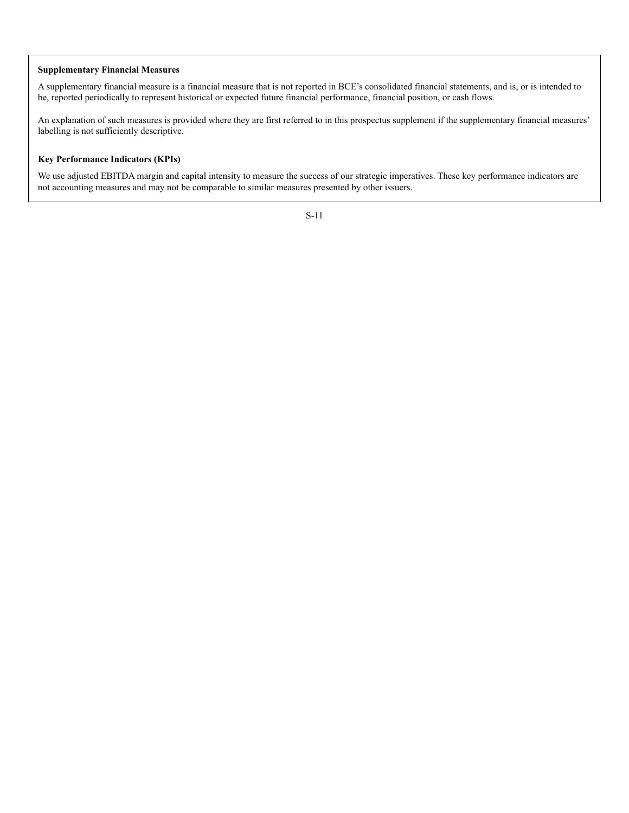## **Supplementary Financial Measures**

A supplementary financial measure is a financial measure that is not reported in BCE's consolidated financial statements, and is, or is intended to be, reported periodically to represent historical or expected future financial performance, financial position, or cash flows.

An explanation of such measures is provided where they are first referred to in this prospectus supplement if the supplementary financial measures' labelling is not sufficiently descriptive.

# **Key Performance Indicators (KPIs)**

We use adjusted EBITDA margin and capital intensity to measure the success of our strategic imperatives. These key performance indicators are not accounting measures and may not be comparable to similar measures presented by other issuers.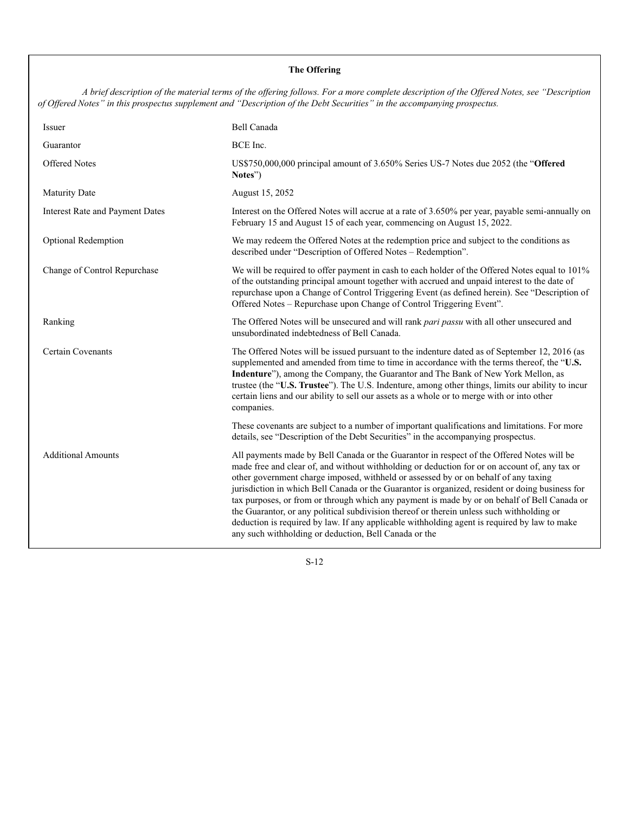# **The Offering**

*A brief description of the material terms of the offering follows. For a more complete description of the Offered Notes, see "Description of Offered Notes" in this prospectus supplement and "Description of the Debt Securities" in the accompanying prospectus.*

| Issuer                                 | <b>Bell Canada</b>                                                                                                                                                                                                                                                                                                                                                                                                                                                                                                                                                                                                                                                                                                                         |
|----------------------------------------|--------------------------------------------------------------------------------------------------------------------------------------------------------------------------------------------------------------------------------------------------------------------------------------------------------------------------------------------------------------------------------------------------------------------------------------------------------------------------------------------------------------------------------------------------------------------------------------------------------------------------------------------------------------------------------------------------------------------------------------------|
| Guarantor                              | BCE Inc.                                                                                                                                                                                                                                                                                                                                                                                                                                                                                                                                                                                                                                                                                                                                   |
| <b>Offered Notes</b>                   | US\$750,000,000 principal amount of 3.650% Series US-7 Notes due 2052 (the "Offered<br>Notes")                                                                                                                                                                                                                                                                                                                                                                                                                                                                                                                                                                                                                                             |
| <b>Maturity Date</b>                   | August 15, 2052                                                                                                                                                                                                                                                                                                                                                                                                                                                                                                                                                                                                                                                                                                                            |
| <b>Interest Rate and Payment Dates</b> | Interest on the Offered Notes will accrue at a rate of 3.650% per year, payable semi-annually on<br>February 15 and August 15 of each year, commencing on August 15, 2022.                                                                                                                                                                                                                                                                                                                                                                                                                                                                                                                                                                 |
| Optional Redemption                    | We may redeem the Offered Notes at the redemption price and subject to the conditions as<br>described under "Description of Offered Notes - Redemption".                                                                                                                                                                                                                                                                                                                                                                                                                                                                                                                                                                                   |
| Change of Control Repurchase           | We will be required to offer payment in cash to each holder of the Offered Notes equal to 101%<br>of the outstanding principal amount together with accrued and unpaid interest to the date of<br>repurchase upon a Change of Control Triggering Event (as defined herein). See "Description of<br>Offered Notes - Repurchase upon Change of Control Triggering Event".                                                                                                                                                                                                                                                                                                                                                                    |
| Ranking                                | The Offered Notes will be unsecured and will rank pari passu with all other unsecured and<br>unsubordinated indebtedness of Bell Canada.                                                                                                                                                                                                                                                                                                                                                                                                                                                                                                                                                                                                   |
| Certain Covenants                      | The Offered Notes will be issued pursuant to the indenture dated as of September 12, 2016 (as<br>supplemented and amended from time to time in accordance with the terms thereof, the "U.S.<br>Indenture"), among the Company, the Guarantor and The Bank of New York Mellon, as<br>trustee (the "U.S. Trustee"). The U.S. Indenture, among other things, limits our ability to incur<br>certain liens and our ability to sell our assets as a whole or to merge with or into other<br>companies.                                                                                                                                                                                                                                          |
|                                        | These covenants are subject to a number of important qualifications and limitations. For more<br>details, see "Description of the Debt Securities" in the accompanying prospectus.                                                                                                                                                                                                                                                                                                                                                                                                                                                                                                                                                         |
| <b>Additional Amounts</b>              | All payments made by Bell Canada or the Guarantor in respect of the Offered Notes will be<br>made free and clear of, and without withholding or deduction for or on account of, any tax or<br>other government charge imposed, withheld or assessed by or on behalf of any taxing<br>jurisdiction in which Bell Canada or the Guarantor is organized, resident or doing business for<br>tax purposes, or from or through which any payment is made by or on behalf of Bell Canada or<br>the Guarantor, or any political subdivision thereof or therein unless such withholding or<br>deduction is required by law. If any applicable withholding agent is required by law to make<br>any such withholding or deduction, Bell Canada or the |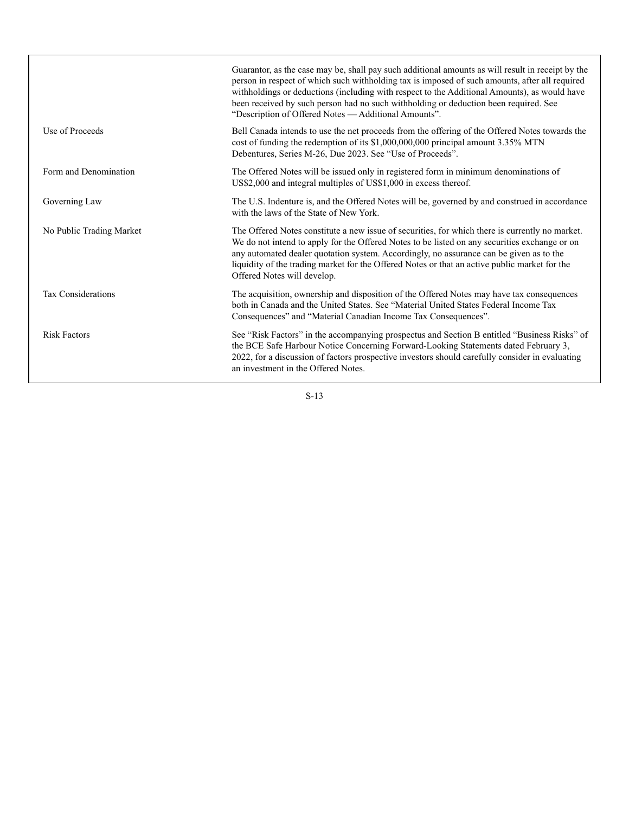|                           | Guarantor, as the case may be, shall pay such additional amounts as will result in receipt by the<br>person in respect of which such withholding tax is imposed of such amounts, after all required<br>withholdings or deductions (including with respect to the Additional Amounts), as would have<br>been received by such person had no such withholding or deduction been required. See<br>"Description of Offered Notes - Additional Amounts". |
|---------------------------|-----------------------------------------------------------------------------------------------------------------------------------------------------------------------------------------------------------------------------------------------------------------------------------------------------------------------------------------------------------------------------------------------------------------------------------------------------|
| Use of Proceeds           | Bell Canada intends to use the net proceeds from the offering of the Offered Notes towards the<br>cost of funding the redemption of its \$1,000,000,000 principal amount 3.35% MTN<br>Debentures, Series M-26, Due 2023. See "Use of Proceeds".                                                                                                                                                                                                     |
| Form and Denomination     | The Offered Notes will be issued only in registered form in minimum denominations of<br>US\$2,000 and integral multiples of US\$1,000 in excess thereof.                                                                                                                                                                                                                                                                                            |
| Governing Law             | The U.S. Indenture is, and the Offered Notes will be, governed by and construed in accordance<br>with the laws of the State of New York.                                                                                                                                                                                                                                                                                                            |
| No Public Trading Market  | The Offered Notes constitute a new issue of securities, for which there is currently no market.<br>We do not intend to apply for the Offered Notes to be listed on any securities exchange or on<br>any automated dealer quotation system. Accordingly, no assurance can be given as to the<br>liquidity of the trading market for the Offered Notes or that an active public market for the<br>Offered Notes will develop.                         |
| <b>Tax Considerations</b> | The acquisition, ownership and disposition of the Offered Notes may have tax consequences<br>both in Canada and the United States. See "Material United States Federal Income Tax<br>Consequences" and "Material Canadian Income Tax Consequences".                                                                                                                                                                                                 |
| <b>Risk Factors</b>       | See "Risk Factors" in the accompanying prospectus and Section B entitled "Business Risks" of<br>the BCE Safe Harbour Notice Concerning Forward-Looking Statements dated February 3,<br>2022, for a discussion of factors prospective investors should carefully consider in evaluating<br>an investment in the Offered Notes.                                                                                                                       |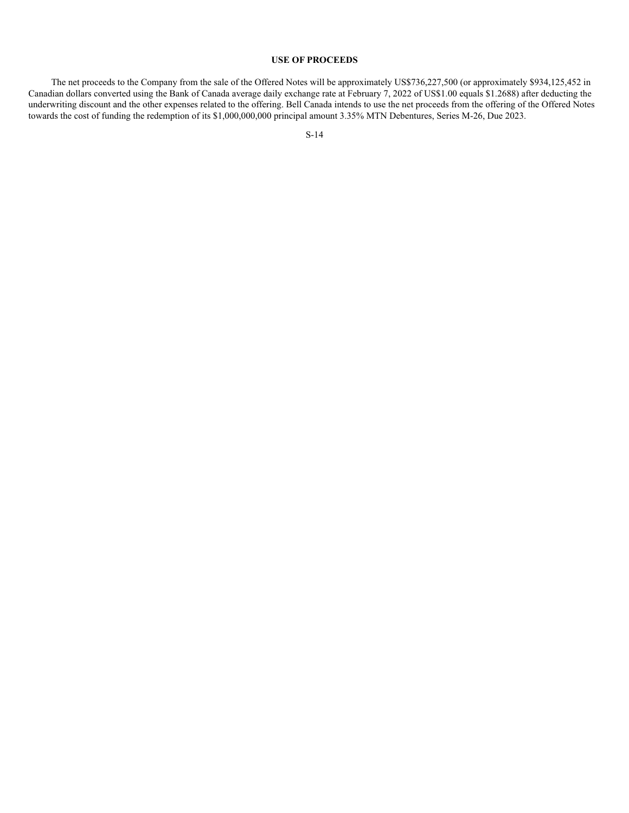## **USE OF PROCEEDS**

The net proceeds to the Company from the sale of the Offered Notes will be approximately US\$736,227,500 (or approximately \$934,125,452 in Canadian dollars converted using the Bank of Canada average daily exchange rate at February 7, 2022 of US\$1.00 equals \$1.2688) after deducting the underwriting discount and the other expenses related to the offering. Bell Canada intends to use the net proceeds from the offering of the Offered Notes towards the cost of funding the redemption of its \$1,000,000,000 principal amount 3.35% MTN Debentures, Series M-26, Due 2023.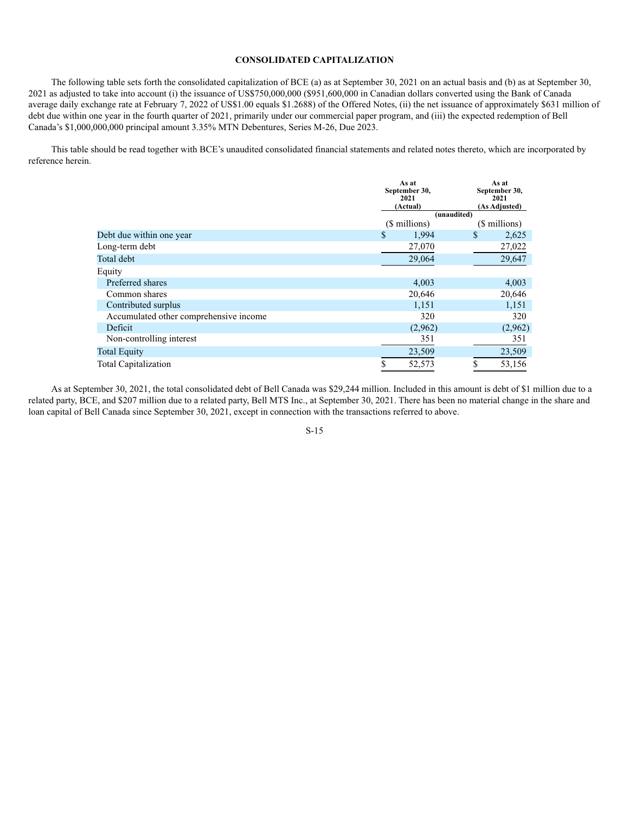# **CONSOLIDATED CAPITALIZATION**

The following table sets forth the consolidated capitalization of BCE (a) as at September 30, 2021 on an actual basis and (b) as at September 30, 2021 as adjusted to take into account (i) the issuance of US\$750,000,000 (\$951,600,000 in Canadian dollars converted using the Bank of Canada average daily exchange rate at February 7, 2022 of US\$1.00 equals \$1.2688) of the Offered Notes, (ii) the net issuance of approximately \$631 million of debt due within one year in the fourth quarter of 2021, primarily under our commercial paper program, and (iii) the expected redemption of Bell Canada's \$1,000,000,000 principal amount 3.35% MTN Debentures, Series M-26, Due 2023.

This table should be read together with BCE's unaudited consolidated financial statements and related notes thereto, which are incorporated by reference herein.

|                                        | As at<br>September 30,<br>2021<br>(Actual) | As at<br>September 30,<br>2021<br>(As Adjusted) |
|----------------------------------------|--------------------------------------------|-------------------------------------------------|
|                                        | (unaudited)                                |                                                 |
|                                        | (\$ millions)                              | (\$ millions)                                   |
| Debt due within one year               | \$<br>1,994                                | \$<br>2,625                                     |
| Long-term debt                         | 27,070                                     | 27,022                                          |
| Total debt                             | 29,064                                     | 29,647                                          |
| Equity                                 |                                            |                                                 |
| Preferred shares                       | 4,003                                      | 4,003                                           |
| Common shares                          | 20,646                                     | 20,646                                          |
| Contributed surplus                    | 1,151                                      | 1,151                                           |
| Accumulated other comprehensive income | 320                                        | 320                                             |
| Deficit                                | (2,962)                                    | (2,962)                                         |
| Non-controlling interest               | 351                                        | 351                                             |
| <b>Total Equity</b>                    | 23,509                                     | 23,509                                          |
| <b>Total Capitalization</b>            | \$<br>52,573                               | \$<br>53,156                                    |

As at September 30, 2021, the total consolidated debt of Bell Canada was \$29,244 million. Included in this amount is debt of \$1 million due to a related party, BCE, and \$207 million due to a related party, Bell MTS Inc., at September 30, 2021. There has been no material change in the share and loan capital of Bell Canada since September 30, 2021, except in connection with the transactions referred to above.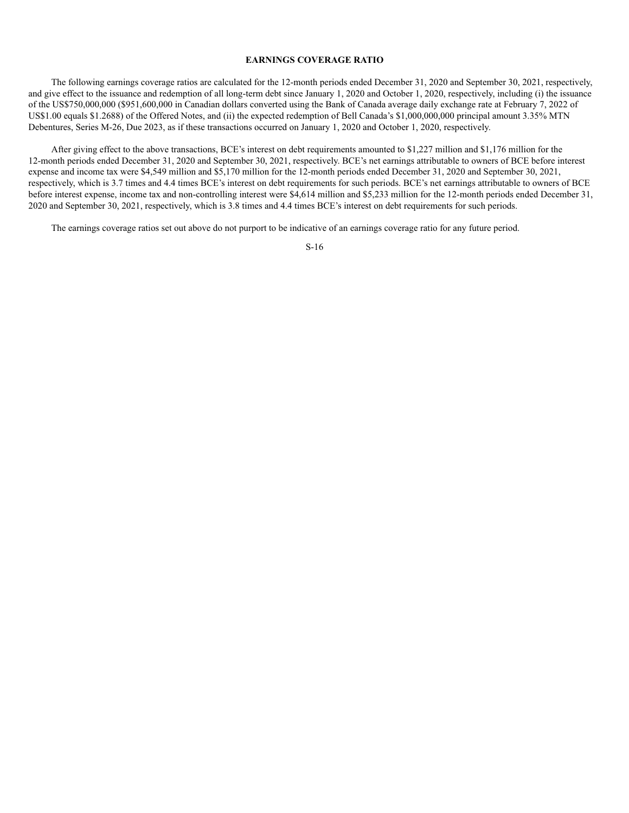## **EARNINGS COVERAGE RATIO**

The following earnings coverage ratios are calculated for the 12-month periods ended December 31, 2020 and September 30, 2021, respectively, and give effect to the issuance and redemption of all long-term debt since January 1, 2020 and October 1, 2020, respectively, including (i) the issuance of the US\$750,000,000 (\$951,600,000 in Canadian dollars converted using the Bank of Canada average daily exchange rate at February 7, 2022 of US\$1.00 equals \$1.2688) of the Offered Notes, and (ii) the expected redemption of Bell Canada's \$1,000,000,000 principal amount 3.35% MTN Debentures, Series M-26, Due 2023, as if these transactions occurred on January 1, 2020 and October 1, 2020, respectively.

After giving effect to the above transactions, BCE's interest on debt requirements amounted to \$1,227 million and \$1,176 million for the 12-month periods ended December 31, 2020 and September 30, 2021, respectively. BCE's net earnings attributable to owners of BCE before interest expense and income tax were \$4,549 million and \$5,170 million for the 12-month periods ended December 31, 2020 and September 30, 2021, respectively, which is 3.7 times and 4.4 times BCE's interest on debt requirements for such periods. BCE's net earnings attributable to owners of BCE before interest expense, income tax and non-controlling interest were \$4,614 million and \$5,233 million for the 12-month periods ended December 31, 2020 and September 30, 2021, respectively, which is 3.8 times and 4.4 times BCE's interest on debt requirements for such periods.

The earnings coverage ratios set out above do not purport to be indicative of an earnings coverage ratio for any future period.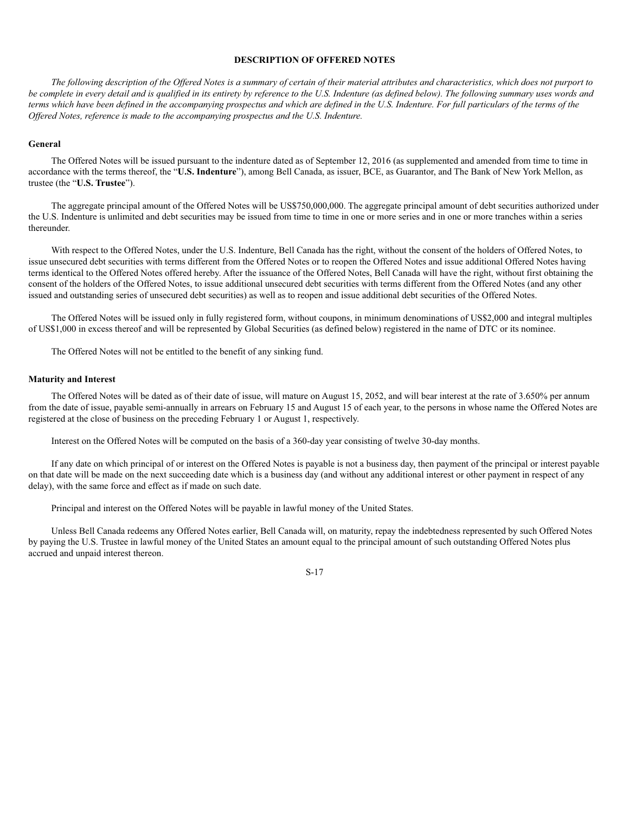## **DESCRIPTION OF OFFERED NOTES**

*The following description of the Offered Notes is a summary of certain of their material attributes and characteristics, which does not purport to be complete in every detail and is qualified in its entirety by reference to the U.S. Indenture (as defined below). The following summary uses words and terms which have been defined in the accompanying prospectus and which are defined in the U.S. Indenture. For full particulars of the terms of the Offered Notes, reference is made to the accompanying prospectus and the U.S. Indenture.*

## **General**

The Offered Notes will be issued pursuant to the indenture dated as of September 12, 2016 (as supplemented and amended from time to time in accordance with the terms thereof, the "**U.S. Indenture**"), among Bell Canada, as issuer, BCE, as Guarantor, and The Bank of New York Mellon, as trustee (the "**U.S. Trustee**").

The aggregate principal amount of the Offered Notes will be US\$750,000,000. The aggregate principal amount of debt securities authorized under the U.S. Indenture is unlimited and debt securities may be issued from time to time in one or more series and in one or more tranches within a series thereunder.

With respect to the Offered Notes, under the U.S. Indenture, Bell Canada has the right, without the consent of the holders of Offered Notes, to issue unsecured debt securities with terms different from the Offered Notes or to reopen the Offered Notes and issue additional Offered Notes having terms identical to the Offered Notes offered hereby. After the issuance of the Offered Notes, Bell Canada will have the right, without first obtaining the consent of the holders of the Offered Notes, to issue additional unsecured debt securities with terms different from the Offered Notes (and any other issued and outstanding series of unsecured debt securities) as well as to reopen and issue additional debt securities of the Offered Notes.

The Offered Notes will be issued only in fully registered form, without coupons, in minimum denominations of US\$2,000 and integral multiples of US\$1,000 in excess thereof and will be represented by Global Securities (as defined below) registered in the name of DTC or its nominee.

The Offered Notes will not be entitled to the benefit of any sinking fund.

## **Maturity and Interest**

The Offered Notes will be dated as of their date of issue, will mature on August 15, 2052, and will bear interest at the rate of 3.650% per annum from the date of issue, payable semi-annually in arrears on February 15 and August 15 of each year, to the persons in whose name the Offered Notes are registered at the close of business on the preceding February 1 or August 1, respectively.

Interest on the Offered Notes will be computed on the basis of a 360-day year consisting of twelve 30-day months.

If any date on which principal of or interest on the Offered Notes is payable is not a business day, then payment of the principal or interest payable on that date will be made on the next succeeding date which is a business day (and without any additional interest or other payment in respect of any delay), with the same force and effect as if made on such date.

Principal and interest on the Offered Notes will be payable in lawful money of the United States.

Unless Bell Canada redeems any Offered Notes earlier, Bell Canada will, on maturity, repay the indebtedness represented by such Offered Notes by paying the U.S. Trustee in lawful money of the United States an amount equal to the principal amount of such outstanding Offered Notes plus accrued and unpaid interest thereon.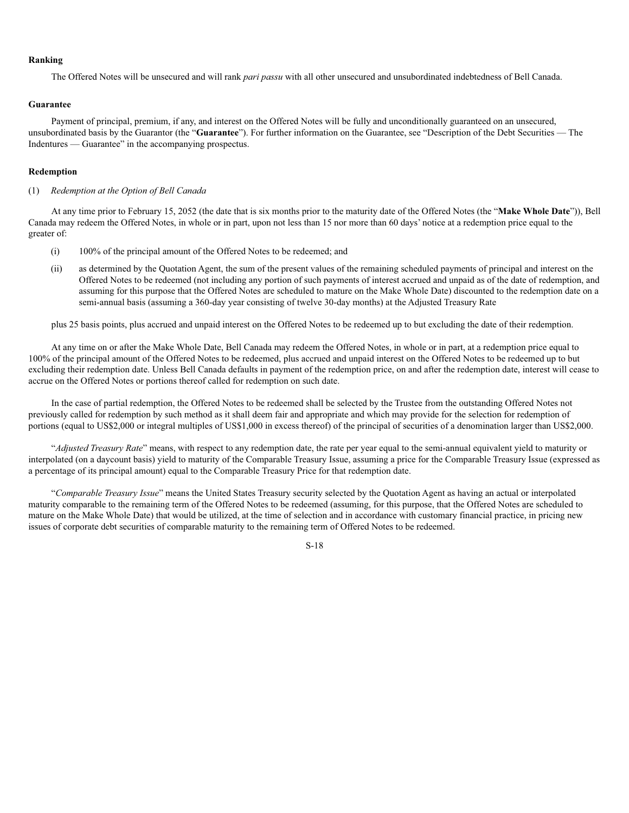## **Ranking**

The Offered Notes will be unsecured and will rank *pari passu* with all other unsecured and unsubordinated indebtedness of Bell Canada.

## **Guarantee**

Payment of principal, premium, if any, and interest on the Offered Notes will be fully and unconditionally guaranteed on an unsecured, unsubordinated basis by the Guarantor (the "**Guarantee**"). For further information on the Guarantee, see "Description of the Debt Securities — The Indentures — Guarantee" in the accompanying prospectus.

## **Redemption**

## (1) *Redemption at the Option of Bell Canada*

At any time prior to February 15, 2052 (the date that is six months prior to the maturity date of the Offered Notes (the "**Make Whole Date**")), Bell Canada may redeem the Offered Notes, in whole or in part, upon not less than 15 nor more than 60 days' notice at a redemption price equal to the greater of:

- (i) 100% of the principal amount of the Offered Notes to be redeemed; and
- (ii) as determined by the Quotation Agent, the sum of the present values of the remaining scheduled payments of principal and interest on the Offered Notes to be redeemed (not including any portion of such payments of interest accrued and unpaid as of the date of redemption, and assuming for this purpose that the Offered Notes are scheduled to mature on the Make Whole Date) discounted to the redemption date on a semi-annual basis (assuming a 360-day year consisting of twelve 30-day months) at the Adjusted Treasury Rate

plus 25 basis points, plus accrued and unpaid interest on the Offered Notes to be redeemed up to but excluding the date of their redemption.

At any time on or after the Make Whole Date, Bell Canada may redeem the Offered Notes, in whole or in part, at a redemption price equal to 100% of the principal amount of the Offered Notes to be redeemed, plus accrued and unpaid interest on the Offered Notes to be redeemed up to but excluding their redemption date. Unless Bell Canada defaults in payment of the redemption price, on and after the redemption date, interest will cease to accrue on the Offered Notes or portions thereof called for redemption on such date.

In the case of partial redemption, the Offered Notes to be redeemed shall be selected by the Trustee from the outstanding Offered Notes not previously called for redemption by such method as it shall deem fair and appropriate and which may provide for the selection for redemption of portions (equal to US\$2,000 or integral multiples of US\$1,000 in excess thereof) of the principal of securities of a denomination larger than US\$2,000.

"*Adjusted Treasury Rate*" means, with respect to any redemption date, the rate per year equal to the semi-annual equivalent yield to maturity or interpolated (on a daycount basis) yield to maturity of the Comparable Treasury Issue, assuming a price for the Comparable Treasury Issue (expressed as a percentage of its principal amount) equal to the Comparable Treasury Price for that redemption date.

"*Comparable Treasury Issue*" means the United States Treasury security selected by the Quotation Agent as having an actual or interpolated maturity comparable to the remaining term of the Offered Notes to be redeemed (assuming, for this purpose, that the Offered Notes are scheduled to mature on the Make Whole Date) that would be utilized, at the time of selection and in accordance with customary financial practice, in pricing new issues of corporate debt securities of comparable maturity to the remaining term of Offered Notes to be redeemed.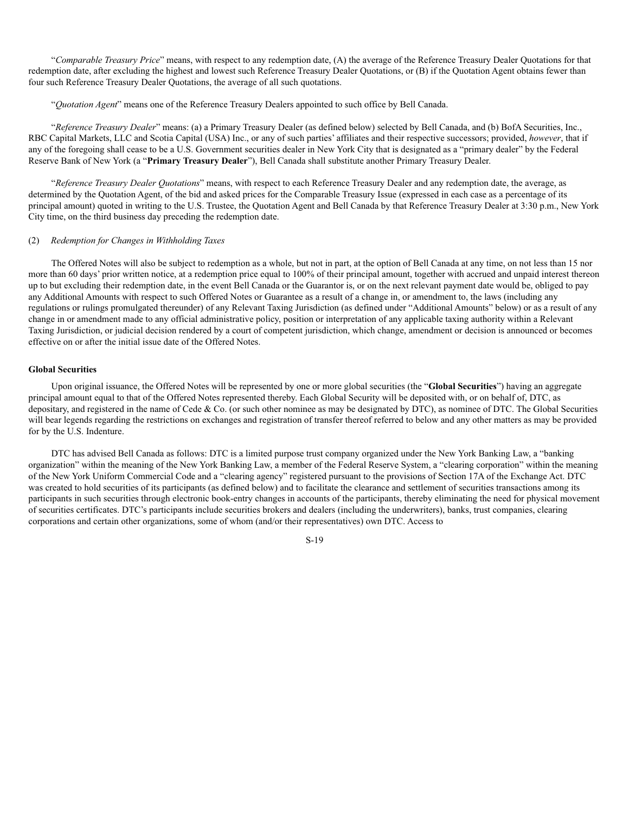"*Comparable Treasury Price*" means, with respect to any redemption date, (A) the average of the Reference Treasury Dealer Quotations for that redemption date, after excluding the highest and lowest such Reference Treasury Dealer Quotations, or (B) if the Quotation Agent obtains fewer than four such Reference Treasury Dealer Quotations, the average of all such quotations.

"*Quotation Agent*" means one of the Reference Treasury Dealers appointed to such office by Bell Canada.

"*Reference Treasury Dealer*" means: (a) a Primary Treasury Dealer (as defined below) selected by Bell Canada, and (b) BofA Securities, Inc., RBC Capital Markets, LLC and Scotia Capital (USA) Inc., or any of such parties' affiliates and their respective successors; provided, *however*, that if any of the foregoing shall cease to be a U.S. Government securities dealer in New York City that is designated as a "primary dealer" by the Federal Reserve Bank of New York (a "**Primary Treasury Dealer**"), Bell Canada shall substitute another Primary Treasury Dealer.

"*Reference Treasury Dealer Quotations*" means, with respect to each Reference Treasury Dealer and any redemption date, the average, as determined by the Quotation Agent, of the bid and asked prices for the Comparable Treasury Issue (expressed in each case as a percentage of its principal amount) quoted in writing to the U.S. Trustee, the Quotation Agent and Bell Canada by that Reference Treasury Dealer at 3:30 p.m., New York City time, on the third business day preceding the redemption date.

# (2) *Redemption for Changes in Withholding Taxes*

The Offered Notes will also be subject to redemption as a whole, but not in part, at the option of Bell Canada at any time, on not less than 15 nor more than 60 days' prior written notice, at a redemption price equal to 100% of their principal amount, together with accrued and unpaid interest thereon up to but excluding their redemption date, in the event Bell Canada or the Guarantor is, or on the next relevant payment date would be, obliged to pay any Additional Amounts with respect to such Offered Notes or Guarantee as a result of a change in, or amendment to, the laws (including any regulations or rulings promulgated thereunder) of any Relevant Taxing Jurisdiction (as defined under "Additional Amounts" below) or as a result of any change in or amendment made to any official administrative policy, position or interpretation of any applicable taxing authority within a Relevant Taxing Jurisdiction, or judicial decision rendered by a court of competent jurisdiction, which change, amendment or decision is announced or becomes effective on or after the initial issue date of the Offered Notes.

## **Global Securities**

Upon original issuance, the Offered Notes will be represented by one or more global securities (the "**Global Securities**") having an aggregate principal amount equal to that of the Offered Notes represented thereby. Each Global Security will be deposited with, or on behalf of, DTC, as depositary, and registered in the name of Cede  $\&$  Co. (or such other nominee as may be designated by DTC), as nominee of DTC. The Global Securities will bear legends regarding the restrictions on exchanges and registration of transfer thereof referred to below and any other matters as may be provided for by the U.S. Indenture.

DTC has advised Bell Canada as follows: DTC is a limited purpose trust company organized under the New York Banking Law, a "banking organization" within the meaning of the New York Banking Law, a member of the Federal Reserve System, a "clearing corporation" within the meaning of the New York Uniform Commercial Code and a "clearing agency" registered pursuant to the provisions of Section 17A of the Exchange Act. DTC was created to hold securities of its participants (as defined below) and to facilitate the clearance and settlement of securities transactions among its participants in such securities through electronic book-entry changes in accounts of the participants, thereby eliminating the need for physical movement of securities certificates. DTC's participants include securities brokers and dealers (including the underwriters), banks, trust companies, clearing corporations and certain other organizations, some of whom (and/or their representatives) own DTC. Access to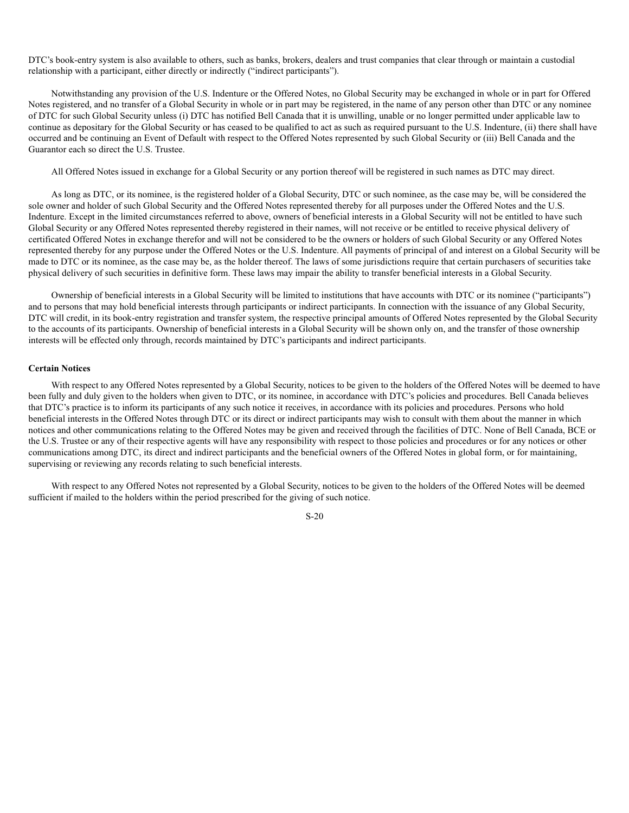DTC's book-entry system is also available to others, such as banks, brokers, dealers and trust companies that clear through or maintain a custodial relationship with a participant, either directly or indirectly ("indirect participants").

Notwithstanding any provision of the U.S. Indenture or the Offered Notes, no Global Security may be exchanged in whole or in part for Offered Notes registered, and no transfer of a Global Security in whole or in part may be registered, in the name of any person other than DTC or any nominee of DTC for such Global Security unless (i) DTC has notified Bell Canada that it is unwilling, unable or no longer permitted under applicable law to continue as depositary for the Global Security or has ceased to be qualified to act as such as required pursuant to the U.S. Indenture, (ii) there shall have occurred and be continuing an Event of Default with respect to the Offered Notes represented by such Global Security or (iii) Bell Canada and the Guarantor each so direct the U.S. Trustee.

All Offered Notes issued in exchange for a Global Security or any portion thereof will be registered in such names as DTC may direct.

As long as DTC, or its nominee, is the registered holder of a Global Security, DTC or such nominee, as the case may be, will be considered the sole owner and holder of such Global Security and the Offered Notes represented thereby for all purposes under the Offered Notes and the U.S. Indenture. Except in the limited circumstances referred to above, owners of beneficial interests in a Global Security will not be entitled to have such Global Security or any Offered Notes represented thereby registered in their names, will not receive or be entitled to receive physical delivery of certificated Offered Notes in exchange therefor and will not be considered to be the owners or holders of such Global Security or any Offered Notes represented thereby for any purpose under the Offered Notes or the U.S. Indenture. All payments of principal of and interest on a Global Security will be made to DTC or its nominee, as the case may be, as the holder thereof. The laws of some jurisdictions require that certain purchasers of securities take physical delivery of such securities in definitive form. These laws may impair the ability to transfer beneficial interests in a Global Security.

Ownership of beneficial interests in a Global Security will be limited to institutions that have accounts with DTC or its nominee ("participants") and to persons that may hold beneficial interests through participants or indirect participants. In connection with the issuance of any Global Security, DTC will credit, in its book-entry registration and transfer system, the respective principal amounts of Offered Notes represented by the Global Security to the accounts of its participants. Ownership of beneficial interests in a Global Security will be shown only on, and the transfer of those ownership interests will be effected only through, records maintained by DTC's participants and indirect participants.

## **Certain Notices**

With respect to any Offered Notes represented by a Global Security, notices to be given to the holders of the Offered Notes will be deemed to have been fully and duly given to the holders when given to DTC, or its nominee, in accordance with DTC's policies and procedures. Bell Canada believes that DTC's practice is to inform its participants of any such notice it receives, in accordance with its policies and procedures. Persons who hold beneficial interests in the Offered Notes through DTC or its direct or indirect participants may wish to consult with them about the manner in which notices and other communications relating to the Offered Notes may be given and received through the facilities of DTC. None of Bell Canada, BCE or the U.S. Trustee or any of their respective agents will have any responsibility with respect to those policies and procedures or for any notices or other communications among DTC, its direct and indirect participants and the beneficial owners of the Offered Notes in global form, or for maintaining, supervising or reviewing any records relating to such beneficial interests.

With respect to any Offered Notes not represented by a Global Security, notices to be given to the holders of the Offered Notes will be deemed sufficient if mailed to the holders within the period prescribed for the giving of such notice.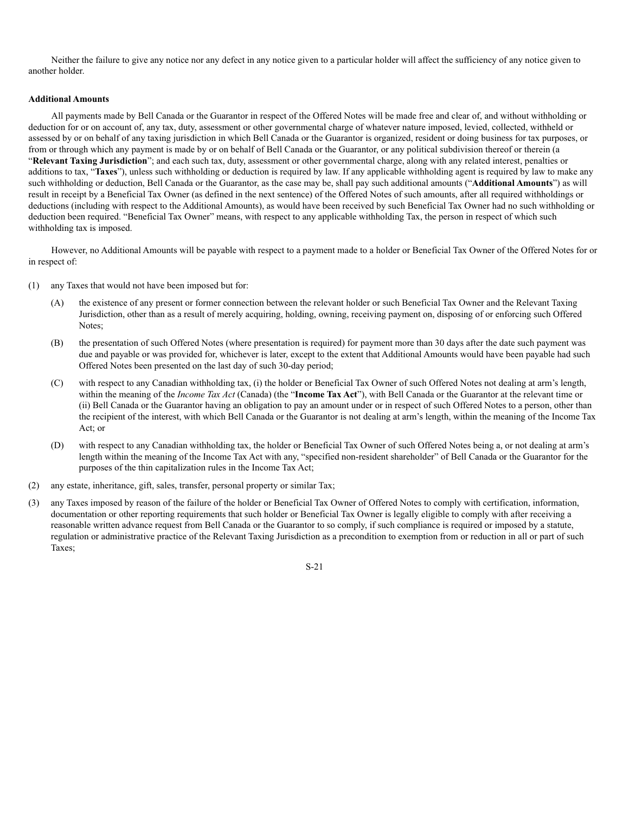Neither the failure to give any notice nor any defect in any notice given to a particular holder will affect the sufficiency of any notice given to another holder.

## **Additional Amounts**

All payments made by Bell Canada or the Guarantor in respect of the Offered Notes will be made free and clear of, and without withholding or deduction for or on account of, any tax, duty, assessment or other governmental charge of whatever nature imposed, levied, collected, withheld or assessed by or on behalf of any taxing jurisdiction in which Bell Canada or the Guarantor is organized, resident or doing business for tax purposes, or from or through which any payment is made by or on behalf of Bell Canada or the Guarantor, or any political subdivision thereof or therein (a "**Relevant Taxing Jurisdiction**"; and each such tax, duty, assessment or other governmental charge, along with any related interest, penalties or additions to tax, "**Taxes**"), unless such withholding or deduction is required by law. If any applicable withholding agent is required by law to make any such withholding or deduction, Bell Canada or the Guarantor, as the case may be, shall pay such additional amounts ("**Additional Amounts**") as will result in receipt by a Beneficial Tax Owner (as defined in the next sentence) of the Offered Notes of such amounts, after all required withholdings or deductions (including with respect to the Additional Amounts), as would have been received by such Beneficial Tax Owner had no such withholding or deduction been required. "Beneficial Tax Owner" means, with respect to any applicable withholding Tax, the person in respect of which such withholding tax is imposed.

However, no Additional Amounts will be payable with respect to a payment made to a holder or Beneficial Tax Owner of the Offered Notes for or in respect of:

- (1) any Taxes that would not have been imposed but for:
	- (A) the existence of any present or former connection between the relevant holder or such Beneficial Tax Owner and the Relevant Taxing Jurisdiction, other than as a result of merely acquiring, holding, owning, receiving payment on, disposing of or enforcing such Offered Notes;
	- (B) the presentation of such Offered Notes (where presentation is required) for payment more than 30 days after the date such payment was due and payable or was provided for, whichever is later, except to the extent that Additional Amounts would have been payable had such Offered Notes been presented on the last day of such 30-day period;
	- (C) with respect to any Canadian withholding tax, (i) the holder or Beneficial Tax Owner of such Offered Notes not dealing at arm's length, within the meaning of the *Income Tax Act* (Canada) (the "**Income Tax Act**"), with Bell Canada or the Guarantor at the relevant time or (ii) Bell Canada or the Guarantor having an obligation to pay an amount under or in respect of such Offered Notes to a person, other than the recipient of the interest, with which Bell Canada or the Guarantor is not dealing at arm's length, within the meaning of the Income Tax Act; or
	- (D) with respect to any Canadian withholding tax, the holder or Beneficial Tax Owner of such Offered Notes being a, or not dealing at arm's length within the meaning of the Income Tax Act with any, "specified non-resident shareholder" of Bell Canada or the Guarantor for the purposes of the thin capitalization rules in the Income Tax Act;
- (2) any estate, inheritance, gift, sales, transfer, personal property or similar Tax;
- (3) any Taxes imposed by reason of the failure of the holder or Beneficial Tax Owner of Offered Notes to comply with certification, information, documentation or other reporting requirements that such holder or Beneficial Tax Owner is legally eligible to comply with after receiving a reasonable written advance request from Bell Canada or the Guarantor to so comply, if such compliance is required or imposed by a statute, regulation or administrative practice of the Relevant Taxing Jurisdiction as a precondition to exemption from or reduction in all or part of such Taxes;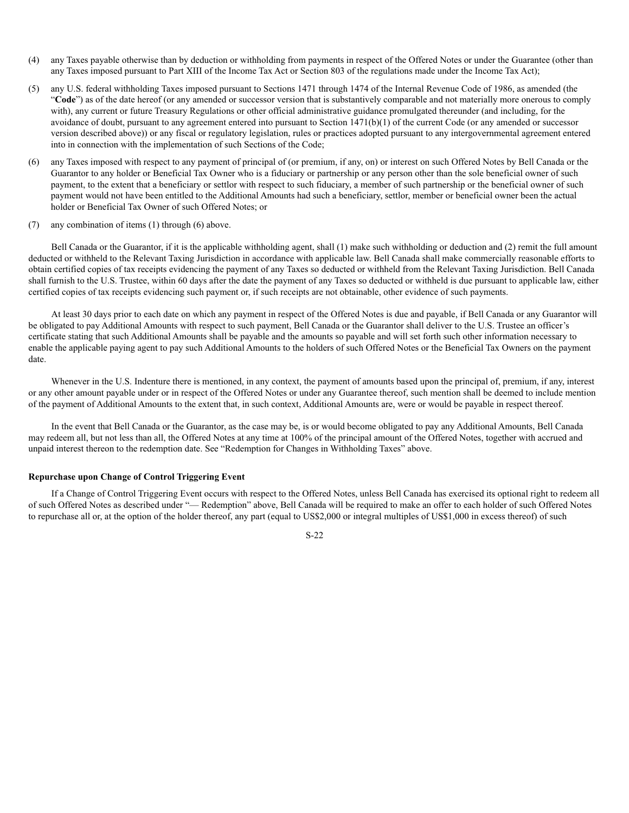- (4) any Taxes payable otherwise than by deduction or withholding from payments in respect of the Offered Notes or under the Guarantee (other than any Taxes imposed pursuant to Part XIII of the Income Tax Act or Section 803 of the regulations made under the Income Tax Act);
- (5) any U.S. federal withholding Taxes imposed pursuant to Sections 1471 through 1474 of the Internal Revenue Code of 1986, as amended (the "**Code**") as of the date hereof (or any amended or successor version that is substantively comparable and not materially more onerous to comply with), any current or future Treasury Regulations or other official administrative guidance promulgated thereunder (and including, for the avoidance of doubt, pursuant to any agreement entered into pursuant to Section 1471(b)(1) of the current Code (or any amended or successor version described above)) or any fiscal or regulatory legislation, rules or practices adopted pursuant to any intergovernmental agreement entered into in connection with the implementation of such Sections of the Code;
- (6) any Taxes imposed with respect to any payment of principal of (or premium, if any, on) or interest on such Offered Notes by Bell Canada or the Guarantor to any holder or Beneficial Tax Owner who is a fiduciary or partnership or any person other than the sole beneficial owner of such payment, to the extent that a beneficiary or settlor with respect to such fiduciary, a member of such partnership or the beneficial owner of such payment would not have been entitled to the Additional Amounts had such a beneficiary, settlor, member or beneficial owner been the actual holder or Beneficial Tax Owner of such Offered Notes; or
- (7) any combination of items (1) through (6) above.

Bell Canada or the Guarantor, if it is the applicable withholding agent, shall (1) make such withholding or deduction and (2) remit the full amount deducted or withheld to the Relevant Taxing Jurisdiction in accordance with applicable law. Bell Canada shall make commercially reasonable efforts to obtain certified copies of tax receipts evidencing the payment of any Taxes so deducted or withheld from the Relevant Taxing Jurisdiction. Bell Canada shall furnish to the U.S. Trustee, within 60 days after the date the payment of any Taxes so deducted or withheld is due pursuant to applicable law, either certified copies of tax receipts evidencing such payment or, if such receipts are not obtainable, other evidence of such payments.

At least 30 days prior to each date on which any payment in respect of the Offered Notes is due and payable, if Bell Canada or any Guarantor will be obligated to pay Additional Amounts with respect to such payment, Bell Canada or the Guarantor shall deliver to the U.S. Trustee an officer's certificate stating that such Additional Amounts shall be payable and the amounts so payable and will set forth such other information necessary to enable the applicable paying agent to pay such Additional Amounts to the holders of such Offered Notes or the Beneficial Tax Owners on the payment date.

Whenever in the U.S. Indenture there is mentioned, in any context, the payment of amounts based upon the principal of, premium, if any, interest or any other amount payable under or in respect of the Offered Notes or under any Guarantee thereof, such mention shall be deemed to include mention of the payment of Additional Amounts to the extent that, in such context, Additional Amounts are, were or would be payable in respect thereof.

In the event that Bell Canada or the Guarantor, as the case may be, is or would become obligated to pay any Additional Amounts, Bell Canada may redeem all, but not less than all, the Offered Notes at any time at 100% of the principal amount of the Offered Notes, together with accrued and unpaid interest thereon to the redemption date. See "Redemption for Changes in Withholding Taxes" above.

## **Repurchase upon Change of Control Triggering Event**

If a Change of Control Triggering Event occurs with respect to the Offered Notes, unless Bell Canada has exercised its optional right to redeem all of such Offered Notes as described under "— Redemption" above, Bell Canada will be required to make an offer to each holder of such Offered Notes to repurchase all or, at the option of the holder thereof, any part (equal to US\$2,000 or integral multiples of US\$1,000 in excess thereof) of such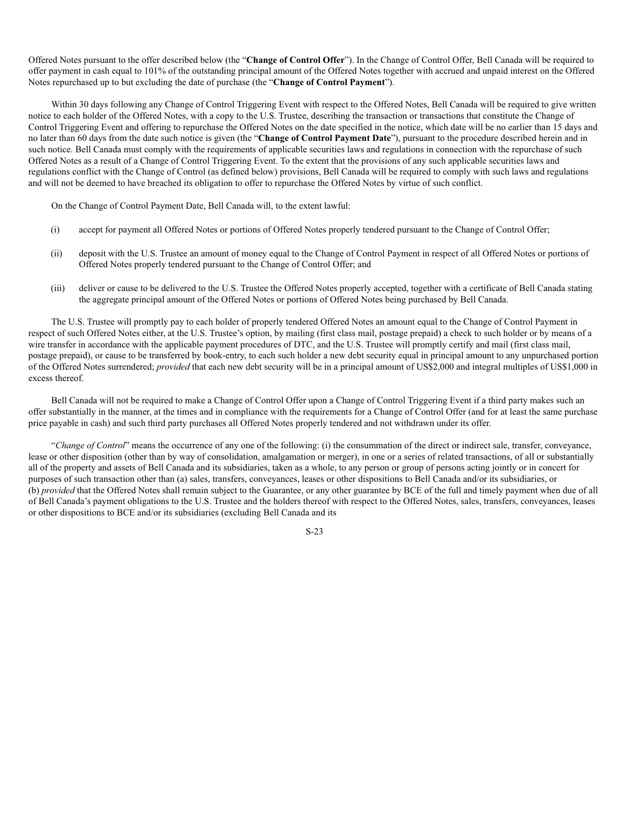Offered Notes pursuant to the offer described below (the "**Change of Control Offer**"). In the Change of Control Offer, Bell Canada will be required to offer payment in cash equal to 101% of the outstanding principal amount of the Offered Notes together with accrued and unpaid interest on the Offered Notes repurchased up to but excluding the date of purchase (the "**Change of Control Payment**").

Within 30 days following any Change of Control Triggering Event with respect to the Offered Notes, Bell Canada will be required to give written notice to each holder of the Offered Notes, with a copy to the U.S. Trustee, describing the transaction or transactions that constitute the Change of Control Triggering Event and offering to repurchase the Offered Notes on the date specified in the notice, which date will be no earlier than 15 days and no later than 60 days from the date such notice is given (the "**Change of Control Payment Date**"), pursuant to the procedure described herein and in such notice. Bell Canada must comply with the requirements of applicable securities laws and regulations in connection with the repurchase of such Offered Notes as a result of a Change of Control Triggering Event. To the extent that the provisions of any such applicable securities laws and regulations conflict with the Change of Control (as defined below) provisions, Bell Canada will be required to comply with such laws and regulations and will not be deemed to have breached its obligation to offer to repurchase the Offered Notes by virtue of such conflict.

On the Change of Control Payment Date, Bell Canada will, to the extent lawful:

- (i) accept for payment all Offered Notes or portions of Offered Notes properly tendered pursuant to the Change of Control Offer;
- (ii) deposit with the U.S. Trustee an amount of money equal to the Change of Control Payment in respect of all Offered Notes or portions of Offered Notes properly tendered pursuant to the Change of Control Offer; and
- (iii) deliver or cause to be delivered to the U.S. Trustee the Offered Notes properly accepted, together with a certificate of Bell Canada stating the aggregate principal amount of the Offered Notes or portions of Offered Notes being purchased by Bell Canada.

The U.S. Trustee will promptly pay to each holder of properly tendered Offered Notes an amount equal to the Change of Control Payment in respect of such Offered Notes either, at the U.S. Trustee's option, by mailing (first class mail, postage prepaid) a check to such holder or by means of a wire transfer in accordance with the applicable payment procedures of DTC, and the U.S. Trustee will promptly certify and mail (first class mail, postage prepaid), or cause to be transferred by book-entry, to each such holder a new debt security equal in principal amount to any unpurchased portion of the Offered Notes surrendered; *provided* that each new debt security will be in a principal amount of US\$2,000 and integral multiples of US\$1,000 in excess thereof.

Bell Canada will not be required to make a Change of Control Offer upon a Change of Control Triggering Event if a third party makes such an offer substantially in the manner, at the times and in compliance with the requirements for a Change of Control Offer (and for at least the same purchase price payable in cash) and such third party purchases all Offered Notes properly tendered and not withdrawn under its offer.

"*Change of Control*" means the occurrence of any one of the following: (i) the consummation of the direct or indirect sale, transfer, conveyance, lease or other disposition (other than by way of consolidation, amalgamation or merger), in one or a series of related transactions, of all or substantially all of the property and assets of Bell Canada and its subsidiaries, taken as a whole, to any person or group of persons acting jointly or in concert for purposes of such transaction other than (a) sales, transfers, conveyances, leases or other dispositions to Bell Canada and/or its subsidiaries, or (b) *provided* that the Offered Notes shall remain subject to the Guarantee, or any other guarantee by BCE of the full and timely payment when due of all of Bell Canada's payment obligations to the U.S. Trustee and the holders thereof with respect to the Offered Notes, sales, transfers, conveyances, leases or other dispositions to BCE and/or its subsidiaries (excluding Bell Canada and its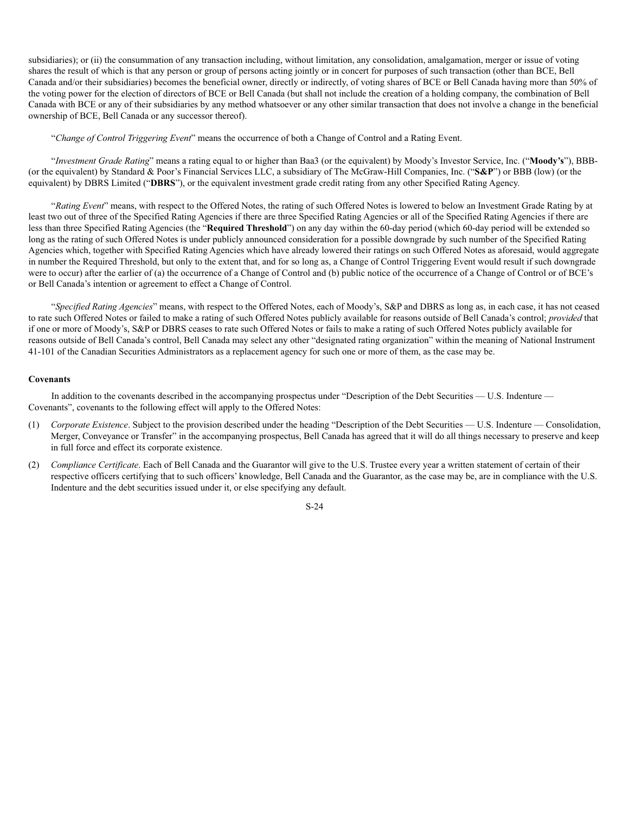subsidiaries); or (ii) the consummation of any transaction including, without limitation, any consolidation, amalgamation, merger or issue of voting shares the result of which is that any person or group of persons acting jointly or in concert for purposes of such transaction (other than BCE, Bell Canada and/or their subsidiaries) becomes the beneficial owner, directly or indirectly, of voting shares of BCE or Bell Canada having more than 50% of the voting power for the election of directors of BCE or Bell Canada (but shall not include the creation of a holding company, the combination of Bell Canada with BCE or any of their subsidiaries by any method whatsoever or any other similar transaction that does not involve a change in the beneficial ownership of BCE, Bell Canada or any successor thereof).

"*Change of Control Triggering Event*" means the occurrence of both a Change of Control and a Rating Event.

"*Investment Grade Rating*" means a rating equal to or higher than Baa3 (or the equivalent) by Moody's Investor Service, Inc. ("**Moody's**"), BBB- (or the equivalent) by Standard & Poor's Financial Services LLC, a subsidiary of The McGraw-Hill Companies, Inc. ("**S&P**") or BBB (low) (or the equivalent) by DBRS Limited ("**DBRS**"), or the equivalent investment grade credit rating from any other Specified Rating Agency.

"*Rating Event*" means, with respect to the Offered Notes, the rating of such Offered Notes is lowered to below an Investment Grade Rating by at least two out of three of the Specified Rating Agencies if there are three Specified Rating Agencies or all of the Specified Rating Agencies if there are less than three Specified Rating Agencies (the "**Required Threshold**") on any day within the 60-day period (which 60-day period will be extended so long as the rating of such Offered Notes is under publicly announced consideration for a possible downgrade by such number of the Specified Rating Agencies which, together with Specified Rating Agencies which have already lowered their ratings on such Offered Notes as aforesaid, would aggregate in number the Required Threshold, but only to the extent that, and for so long as, a Change of Control Triggering Event would result if such downgrade were to occur) after the earlier of (a) the occurrence of a Change of Control and (b) public notice of the occurrence of a Change of Control or of BCE's or Bell Canada's intention or agreement to effect a Change of Control.

"*Specified Rating Agencies*" means, with respect to the Offered Notes, each of Moody's, S&P and DBRS as long as, in each case, it has not ceased to rate such Offered Notes or failed to make a rating of such Offered Notes publicly available for reasons outside of Bell Canada's control; *provided* that if one or more of Moody's, S&P or DBRS ceases to rate such Offered Notes or fails to make a rating of such Offered Notes publicly available for reasons outside of Bell Canada's control, Bell Canada may select any other "designated rating organization" within the meaning of National Instrument 41-101 of the Canadian Securities Administrators as a replacement agency for such one or more of them, as the case may be.

## **Covenants**

In addition to the covenants described in the accompanying prospectus under "Description of the Debt Securities — U.S. Indenture — Covenants", covenants to the following effect will apply to the Offered Notes:

- (1) *Corporate Existence*. Subject to the provision described under the heading "Description of the Debt Securities U.S. Indenture Consolidation, Merger, Conveyance or Transfer" in the accompanying prospectus, Bell Canada has agreed that it will do all things necessary to preserve and keep in full force and effect its corporate existence.
- (2) *Compliance Certificate*. Each of Bell Canada and the Guarantor will give to the U.S. Trustee every year a written statement of certain of their respective officers certifying that to such officers' knowledge, Bell Canada and the Guarantor, as the case may be, are in compliance with the U.S. Indenture and the debt securities issued under it, or else specifying any default.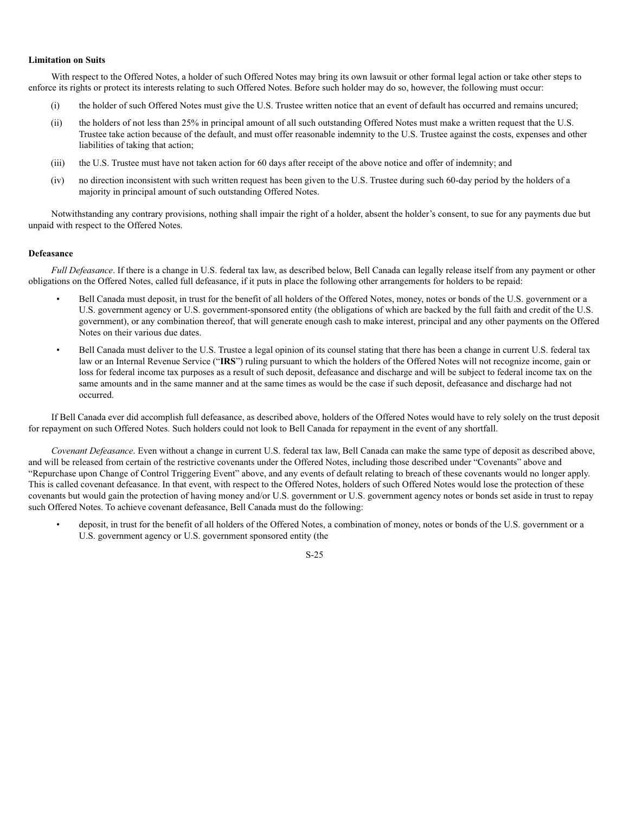## **Limitation on Suits**

With respect to the Offered Notes, a holder of such Offered Notes may bring its own lawsuit or other formal legal action or take other steps to enforce its rights or protect its interests relating to such Offered Notes. Before such holder may do so, however, the following must occur:

- (i) the holder of such Offered Notes must give the U.S. Trustee written notice that an event of default has occurred and remains uncured;
- (ii) the holders of not less than 25% in principal amount of all such outstanding Offered Notes must make a written request that the U.S. Trustee take action because of the default, and must offer reasonable indemnity to the U.S. Trustee against the costs, expenses and other liabilities of taking that action;
- (iii) the U.S. Trustee must have not taken action for 60 days after receipt of the above notice and offer of indemnity; and
- (iv) no direction inconsistent with such written request has been given to the U.S. Trustee during such 60-day period by the holders of a majority in principal amount of such outstanding Offered Notes.

Notwithstanding any contrary provisions, nothing shall impair the right of a holder, absent the holder's consent, to sue for any payments due but unpaid with respect to the Offered Notes.

# **Defeasance**

*Full Defeasance*. If there is a change in U.S. federal tax law, as described below, Bell Canada can legally release itself from any payment or other obligations on the Offered Notes, called full defeasance, if it puts in place the following other arrangements for holders to be repaid:

- Bell Canada must deposit, in trust for the benefit of all holders of the Offered Notes, money, notes or bonds of the U.S. government or a U.S. government agency or U.S. government-sponsored entity (the obligations of which are backed by the full faith and credit of the U.S. government), or any combination thereof, that will generate enough cash to make interest, principal and any other payments on the Offered Notes on their various due dates.
- Bell Canada must deliver to the U.S. Trustee a legal opinion of its counsel stating that there has been a change in current U.S. federal tax law or an Internal Revenue Service ("**IRS**") ruling pursuant to which the holders of the Offered Notes will not recognize income, gain or loss for federal income tax purposes as a result of such deposit, defeasance and discharge and will be subject to federal income tax on the same amounts and in the same manner and at the same times as would be the case if such deposit, defeasance and discharge had not occurred.

If Bell Canada ever did accomplish full defeasance, as described above, holders of the Offered Notes would have to rely solely on the trust deposit for repayment on such Offered Notes. Such holders could not look to Bell Canada for repayment in the event of any shortfall.

*Covenant Defeasance*. Even without a change in current U.S. federal tax law, Bell Canada can make the same type of deposit as described above, and will be released from certain of the restrictive covenants under the Offered Notes, including those described under "Covenants" above and "Repurchase upon Change of Control Triggering Event" above, and any events of default relating to breach of these covenants would no longer apply. This is called covenant defeasance. In that event, with respect to the Offered Notes, holders of such Offered Notes would lose the protection of these covenants but would gain the protection of having money and/or U.S. government or U.S. government agency notes or bonds set aside in trust to repay such Offered Notes. To achieve covenant defeasance, Bell Canada must do the following:

• deposit, in trust for the benefit of all holders of the Offered Notes, a combination of money, notes or bonds of the U.S. government or a U.S. government agency or U.S. government sponsored entity (the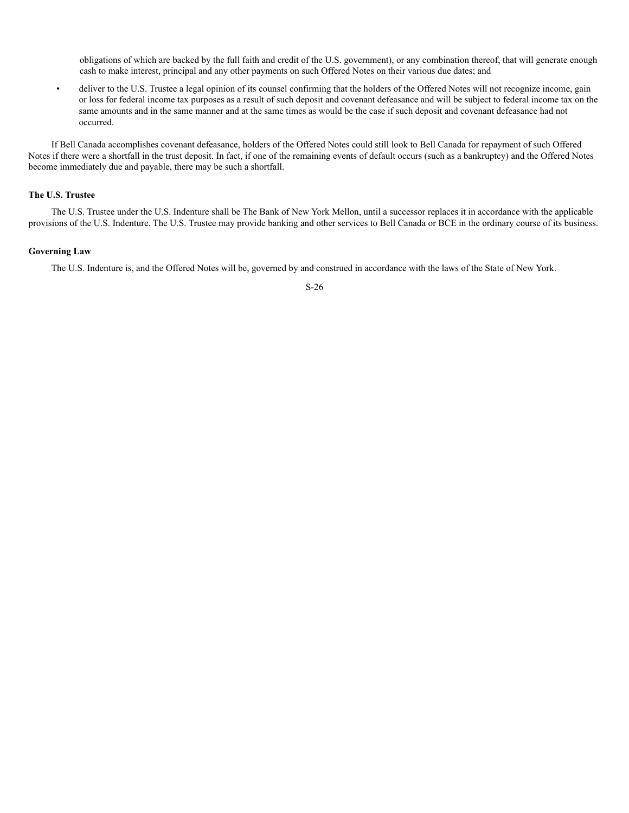obligations of which are backed by the full faith and credit of the U.S. government), or any combination thereof, that will generate enough cash to make interest, principal and any other payments on such Offered Notes on their various due dates; and

• deliver to the U.S. Trustee a legal opinion of its counsel confirming that the holders of the Offered Notes will not recognize income, gain or loss for federal income tax purposes as a result of such deposit and covenant defeasance and will be subject to federal income tax on the same amounts and in the same manner and at the same times as would be the case if such deposit and covenant defeasance had not occurred.

If Bell Canada accomplishes covenant defeasance, holders of the Offered Notes could still look to Bell Canada for repayment of such Offered Notes if there were a shortfall in the trust deposit. In fact, if one of the remaining events of default occurs (such as a bankruptcy) and the Offered Notes become immediately due and payable, there may be such a shortfall.

# **The U.S. Trustee**

The U.S. Trustee under the U.S. Indenture shall be The Bank of New York Mellon, until a successor replaces it in accordance with the applicable provisions of the U.S. Indenture. The U.S. Trustee may provide banking and other services to Bell Canada or BCE in the ordinary course of its business.

## **Governing Law**

The U.S. Indenture is, and the Offered Notes will be, governed by and construed in accordance with the laws of the State of New York.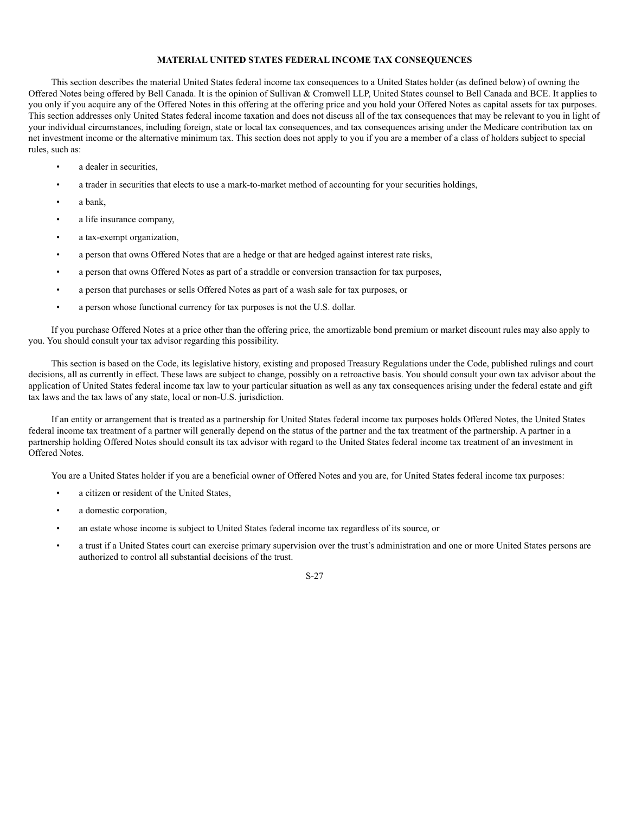# **MATERIAL UNITED STATES FEDERAL INCOME TAX CONSEQUENCES**

This section describes the material United States federal income tax consequences to a United States holder (as defined below) of owning the Offered Notes being offered by Bell Canada. It is the opinion of Sullivan & Cromwell LLP, United States counsel to Bell Canada and BCE. It applies to you only if you acquire any of the Offered Notes in this offering at the offering price and you hold your Offered Notes as capital assets for tax purposes. This section addresses only United States federal income taxation and does not discuss all of the tax consequences that may be relevant to you in light of your individual circumstances, including foreign, state or local tax consequences, and tax consequences arising under the Medicare contribution tax on net investment income or the alternative minimum tax. This section does not apply to you if you are a member of a class of holders subject to special rules, such as:

- a dealer in securities.
- a trader in securities that elects to use a mark-to-market method of accounting for your securities holdings,
- a bank,
- a life insurance company,
- a tax-exempt organization,
- a person that owns Offered Notes that are a hedge or that are hedged against interest rate risks,
- a person that owns Offered Notes as part of a straddle or conversion transaction for tax purposes,
- a person that purchases or sells Offered Notes as part of a wash sale for tax purposes, or
- a person whose functional currency for tax purposes is not the U.S. dollar.

If you purchase Offered Notes at a price other than the offering price, the amortizable bond premium or market discount rules may also apply to you. You should consult your tax advisor regarding this possibility.

This section is based on the Code, its legislative history, existing and proposed Treasury Regulations under the Code, published rulings and court decisions, all as currently in effect. These laws are subject to change, possibly on a retroactive basis. You should consult your own tax advisor about the application of United States federal income tax law to your particular situation as well as any tax consequences arising under the federal estate and gift tax laws and the tax laws of any state, local or non-U.S. jurisdiction.

If an entity or arrangement that is treated as a partnership for United States federal income tax purposes holds Offered Notes, the United States federal income tax treatment of a partner will generally depend on the status of the partner and the tax treatment of the partnership. A partner in a partnership holding Offered Notes should consult its tax advisor with regard to the United States federal income tax treatment of an investment in Offered Notes.

You are a United States holder if you are a beneficial owner of Offered Notes and you are, for United States federal income tax purposes:

- a citizen or resident of the United States,
- a domestic corporation.
- an estate whose income is subject to United States federal income tax regardless of its source, or
- a trust if a United States court can exercise primary supervision over the trust's administration and one or more United States persons are authorized to control all substantial decisions of the trust.

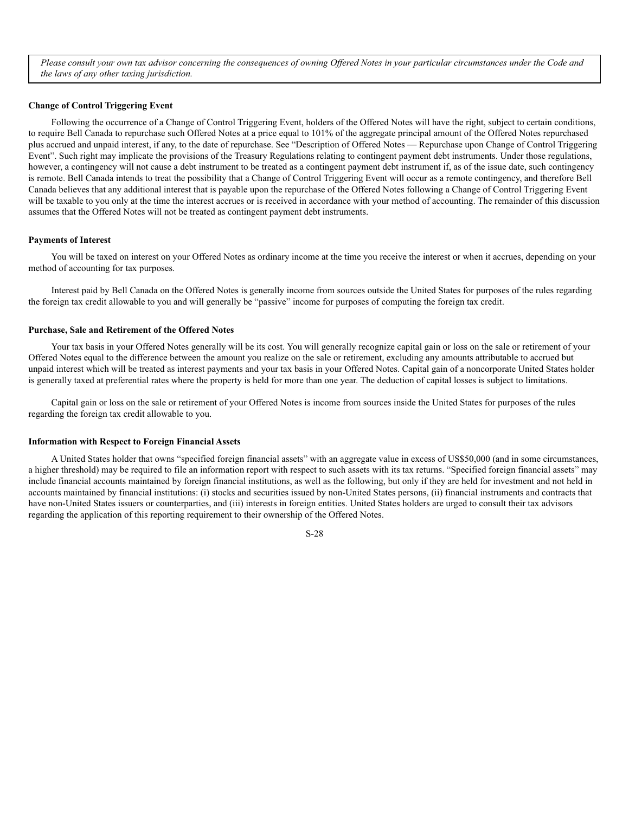*Please consult your own tax advisor concerning the consequences of owning Offered Notes in your particular circumstances under the Code and the laws of any other taxing jurisdiction.*

## **Change of Control Triggering Event**

Following the occurrence of a Change of Control Triggering Event, holders of the Offered Notes will have the right, subject to certain conditions, to require Bell Canada to repurchase such Offered Notes at a price equal to 101% of the aggregate principal amount of the Offered Notes repurchased plus accrued and unpaid interest, if any, to the date of repurchase. See "Description of Offered Notes — Repurchase upon Change of Control Triggering Event". Such right may implicate the provisions of the Treasury Regulations relating to contingent payment debt instruments. Under those regulations, however, a contingency will not cause a debt instrument to be treated as a contingent payment debt instrument if, as of the issue date, such contingency is remote. Bell Canada intends to treat the possibility that a Change of Control Triggering Event will occur as a remote contingency, and therefore Bell Canada believes that any additional interest that is payable upon the repurchase of the Offered Notes following a Change of Control Triggering Event will be taxable to you only at the time the interest accrues or is received in accordance with your method of accounting. The remainder of this discussion assumes that the Offered Notes will not be treated as contingent payment debt instruments.

#### **Payments of Interest**

You will be taxed on interest on your Offered Notes as ordinary income at the time you receive the interest or when it accrues, depending on your method of accounting for tax purposes.

Interest paid by Bell Canada on the Offered Notes is generally income from sources outside the United States for purposes of the rules regarding the foreign tax credit allowable to you and will generally be "passive" income for purposes of computing the foreign tax credit.

## **Purchase, Sale and Retirement of the Offered Notes**

Your tax basis in your Offered Notes generally will be its cost. You will generally recognize capital gain or loss on the sale or retirement of your Offered Notes equal to the difference between the amount you realize on the sale or retirement, excluding any amounts attributable to accrued but unpaid interest which will be treated as interest payments and your tax basis in your Offered Notes. Capital gain of a noncorporate United States holder is generally taxed at preferential rates where the property is held for more than one year. The deduction of capital losses is subject to limitations.

Capital gain or loss on the sale or retirement of your Offered Notes is income from sources inside the United States for purposes of the rules regarding the foreign tax credit allowable to you.

## **Information with Respect to Foreign Financial Assets**

A United States holder that owns "specified foreign financial assets" with an aggregate value in excess of US\$50,000 (and in some circumstances, a higher threshold) may be required to file an information report with respect to such assets with its tax returns. "Specified foreign financial assets" may include financial accounts maintained by foreign financial institutions, as well as the following, but only if they are held for investment and not held in accounts maintained by financial institutions: (i) stocks and securities issued by non-United States persons, (ii) financial instruments and contracts that have non-United States issuers or counterparties, and (iii) interests in foreign entities. United States holders are urged to consult their tax advisors regarding the application of this reporting requirement to their ownership of the Offered Notes.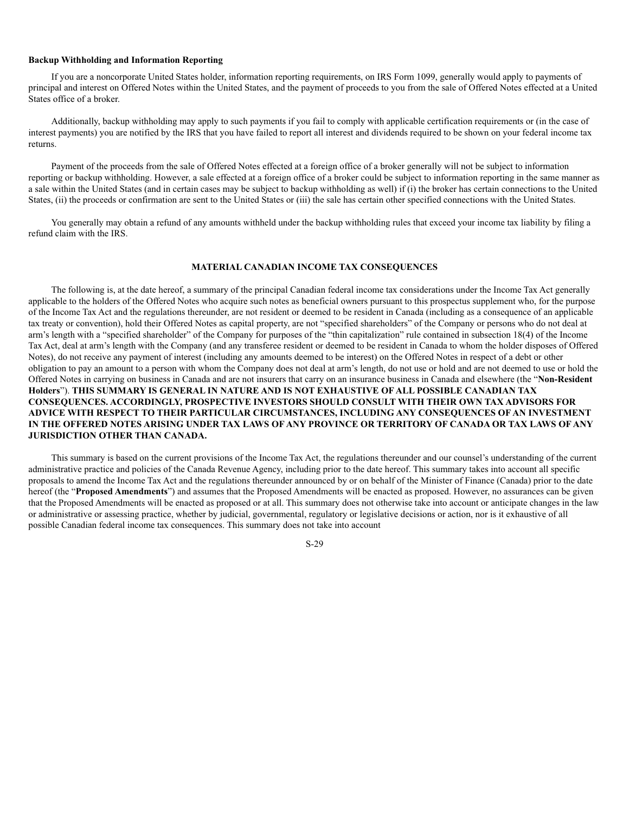# **Backup Withholding and Information Reporting**

If you are a noncorporate United States holder, information reporting requirements, on IRS Form 1099, generally would apply to payments of principal and interest on Offered Notes within the United States, and the payment of proceeds to you from the sale of Offered Notes effected at a United States office of a broker.

Additionally, backup withholding may apply to such payments if you fail to comply with applicable certification requirements or (in the case of interest payments) you are notified by the IRS that you have failed to report all interest and dividends required to be shown on your federal income tax returns.

Payment of the proceeds from the sale of Offered Notes effected at a foreign office of a broker generally will not be subject to information reporting or backup withholding. However, a sale effected at a foreign office of a broker could be subject to information reporting in the same manner as a sale within the United States (and in certain cases may be subject to backup withholding as well) if (i) the broker has certain connections to the United States, (ii) the proceeds or confirmation are sent to the United States or (iii) the sale has certain other specified connections with the United States.

You generally may obtain a refund of any amounts withheld under the backup withholding rules that exceed your income tax liability by filing a refund claim with the IRS.

## **MATERIAL CANADIAN INCOME TAX CONSEQUENCES**

The following is, at the date hereof, a summary of the principal Canadian federal income tax considerations under the Income Tax Act generally applicable to the holders of the Offered Notes who acquire such notes as beneficial owners pursuant to this prospectus supplement who, for the purpose of the Income Tax Act and the regulations thereunder, are not resident or deemed to be resident in Canada (including as a consequence of an applicable tax treaty or convention), hold their Offered Notes as capital property, are not "specified shareholders" of the Company or persons who do not deal at arm's length with a "specified shareholder" of the Company for purposes of the "thin capitalization" rule contained in subsection 18(4) of the Income Tax Act, deal at arm's length with the Company (and any transferee resident or deemed to be resident in Canada to whom the holder disposes of Offered Notes), do not receive any payment of interest (including any amounts deemed to be interest) on the Offered Notes in respect of a debt or other obligation to pay an amount to a person with whom the Company does not deal at arm's length, do not use or hold and are not deemed to use or hold the Offered Notes in carrying on business in Canada and are not insurers that carry on an insurance business in Canada and elsewhere (the "**Non-Resident Holders**"). **THIS SUMMARY IS GENERAL IN NATURE AND IS NOT EXHAUSTIVE OF ALL POSSIBLE CANADIAN TAX CONSEQUENCES. ACCORDINGLY, PROSPECTIVE INVESTORS SHOULD CONSULT WITH THEIR OWN TAX ADVISORS FOR ADVICE WITH RESPECT TO THEIR PARTICULAR CIRCUMSTANCES, INCLUDING ANY CONSEQUENCES OF AN INVESTMENT IN THE OFFERED NOTES ARISING UNDER TAX LAWS OF ANY PROVINCE OR TERRITORY OF CANADA OR TAX LAWS OF ANY JURISDICTION OTHER THAN CANADA.**

This summary is based on the current provisions of the Income Tax Act, the regulations thereunder and our counsel's understanding of the current administrative practice and policies of the Canada Revenue Agency, including prior to the date hereof. This summary takes into account all specific proposals to amend the Income Tax Act and the regulations thereunder announced by or on behalf of the Minister of Finance (Canada) prior to the date hereof (the "**Proposed Amendments**") and assumes that the Proposed Amendments will be enacted as proposed. However, no assurances can be given that the Proposed Amendments will be enacted as proposed or at all. This summary does not otherwise take into account or anticipate changes in the law or administrative or assessing practice, whether by judicial, governmental, regulatory or legislative decisions or action, nor is it exhaustive of all possible Canadian federal income tax consequences. This summary does not take into account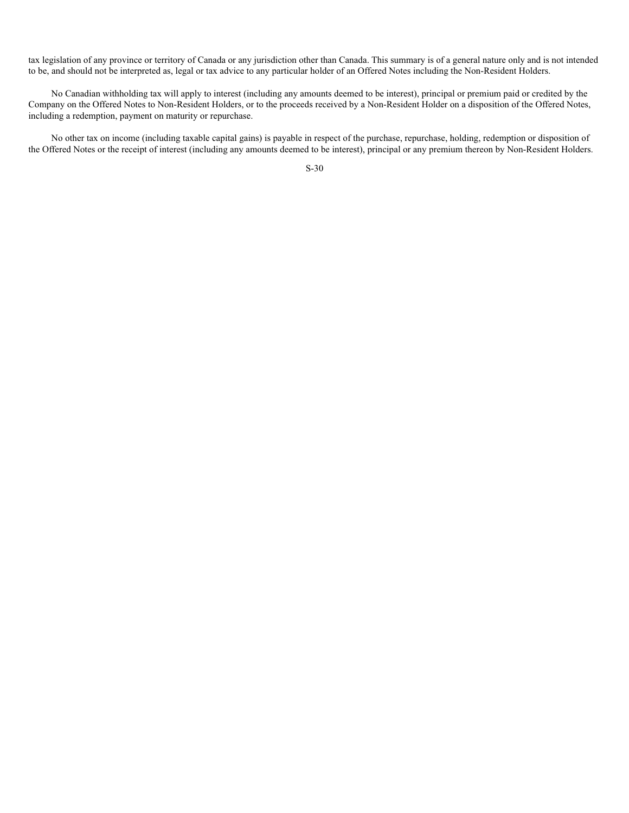tax legislation of any province or territory of Canada or any jurisdiction other than Canada. This summary is of a general nature only and is not intended to be, and should not be interpreted as, legal or tax advice to any particular holder of an Offered Notes including the Non-Resident Holders.

No Canadian withholding tax will apply to interest (including any amounts deemed to be interest), principal or premium paid or credited by the Company on the Offered Notes to Non-Resident Holders, or to the proceeds received by a Non-Resident Holder on a disposition of the Offered Notes, including a redemption, payment on maturity or repurchase.

No other tax on income (including taxable capital gains) is payable in respect of the purchase, repurchase, holding, redemption or disposition of the Offered Notes or the receipt of interest (including any amounts deemed to be interest), principal or any premium thereon by Non-Resident Holders.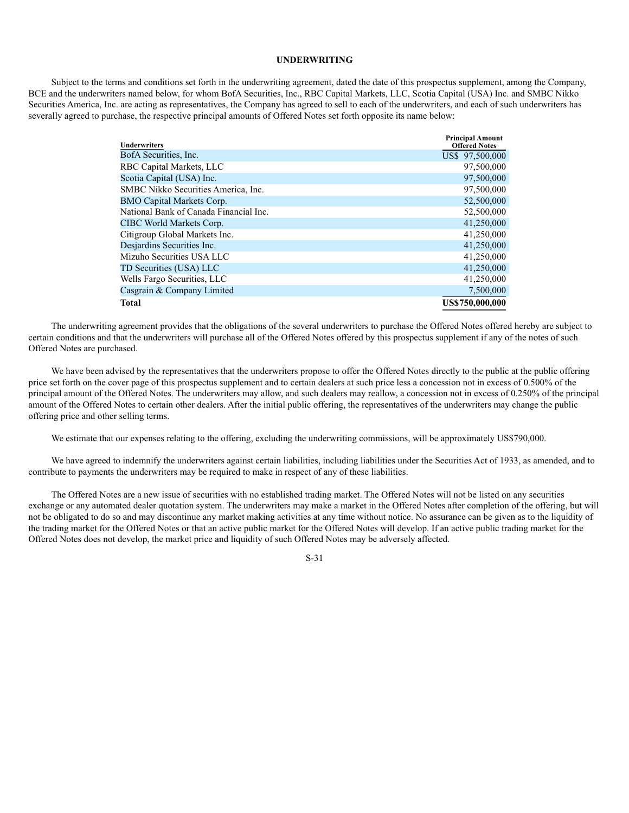## **UNDERWRITING**

Subject to the terms and conditions set forth in the underwriting agreement, dated the date of this prospectus supplement, among the Company, BCE and the underwriters named below, for whom BofA Securities, Inc., RBC Capital Markets, LLC, Scotia Capital (USA) Inc. and SMBC Nikko Securities America, Inc. are acting as representatives, the Company has agreed to sell to each of the underwriters, and each of such underwriters has severally agreed to purchase, the respective principal amounts of Offered Notes set forth opposite its name below:

| <b>Underwriters</b>                    | <b>Principal Amount</b><br><b>Offered Notes</b> |
|----------------------------------------|-------------------------------------------------|
| BofA Securities, Inc.                  | US\$ 97,500,000                                 |
| RBC Capital Markets, LLC               | 97,500,000                                      |
| Scotia Capital (USA) Inc.              | 97,500,000                                      |
| SMBC Nikko Securities America, Inc.    | 97,500,000                                      |
| BMO Capital Markets Corp.              | 52,500,000                                      |
| National Bank of Canada Financial Inc. | 52,500,000                                      |
| CIBC World Markets Corp.               | 41,250,000                                      |
| Citigroup Global Markets Inc.          | 41,250,000                                      |
| Desjardins Securities Inc.             | 41,250,000                                      |
| Mizuho Securities USA LLC              | 41,250,000                                      |
| TD Securities (USA) LLC                | 41,250,000                                      |
| Wells Fargo Securities, LLC            | 41,250,000                                      |
| Casgrain & Company Limited             | 7,500,000                                       |
| <b>Total</b>                           | US\$750,000,000                                 |

The underwriting agreement provides that the obligations of the several underwriters to purchase the Offered Notes offered hereby are subject to certain conditions and that the underwriters will purchase all of the Offered Notes offered by this prospectus supplement if any of the notes of such Offered Notes are purchased.

We have been advised by the representatives that the underwriters propose to offer the Offered Notes directly to the public at the public offering price set forth on the cover page of this prospectus supplement and to certain dealers at such price less a concession not in excess of 0.500% of the principal amount of the Offered Notes. The underwriters may allow, and such dealers may reallow, a concession not in excess of 0.250% of the principal amount of the Offered Notes to certain other dealers. After the initial public offering, the representatives of the underwriters may change the public offering price and other selling terms.

We estimate that our expenses relating to the offering, excluding the underwriting commissions, will be approximately US\$790,000.

We have agreed to indemnify the underwriters against certain liabilities, including liabilities under the Securities Act of 1933, as amended, and to contribute to payments the underwriters may be required to make in respect of any of these liabilities.

The Offered Notes are a new issue of securities with no established trading market. The Offered Notes will not be listed on any securities exchange or any automated dealer quotation system. The underwriters may make a market in the Offered Notes after completion of the offering, but will not be obligated to do so and may discontinue any market making activities at any time without notice. No assurance can be given as to the liquidity of the trading market for the Offered Notes or that an active public market for the Offered Notes will develop. If an active public trading market for the Offered Notes does not develop, the market price and liquidity of such Offered Notes may be adversely affected.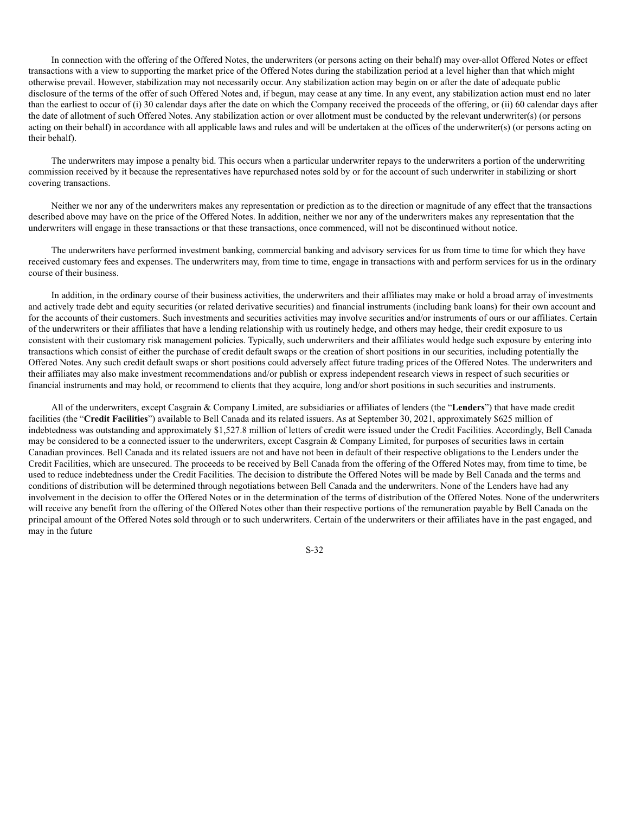In connection with the offering of the Offered Notes, the underwriters (or persons acting on their behalf) may over-allot Offered Notes or effect transactions with a view to supporting the market price of the Offered Notes during the stabilization period at a level higher than that which might otherwise prevail. However, stabilization may not necessarily occur. Any stabilization action may begin on or after the date of adequate public disclosure of the terms of the offer of such Offered Notes and, if begun, may cease at any time. In any event, any stabilization action must end no later than the earliest to occur of (i) 30 calendar days after the date on which the Company received the proceeds of the offering, or (ii) 60 calendar days after the date of allotment of such Offered Notes. Any stabilization action or over allotment must be conducted by the relevant underwriter(s) (or persons acting on their behalf) in accordance with all applicable laws and rules and will be undertaken at the offices of the underwriter(s) (or persons acting on their behalf).

The underwriters may impose a penalty bid. This occurs when a particular underwriter repays to the underwriters a portion of the underwriting commission received by it because the representatives have repurchased notes sold by or for the account of such underwriter in stabilizing or short covering transactions.

Neither we nor any of the underwriters makes any representation or prediction as to the direction or magnitude of any effect that the transactions described above may have on the price of the Offered Notes. In addition, neither we nor any of the underwriters makes any representation that the underwriters will engage in these transactions or that these transactions, once commenced, will not be discontinued without notice.

The underwriters have performed investment banking, commercial banking and advisory services for us from time to time for which they have received customary fees and expenses. The underwriters may, from time to time, engage in transactions with and perform services for us in the ordinary course of their business.

In addition, in the ordinary course of their business activities, the underwriters and their affiliates may make or hold a broad array of investments and actively trade debt and equity securities (or related derivative securities) and financial instruments (including bank loans) for their own account and for the accounts of their customers. Such investments and securities activities may involve securities and/or instruments of ours or our affiliates. Certain of the underwriters or their affiliates that have a lending relationship with us routinely hedge, and others may hedge, their credit exposure to us consistent with their customary risk management policies. Typically, such underwriters and their affiliates would hedge such exposure by entering into transactions which consist of either the purchase of credit default swaps or the creation of short positions in our securities, including potentially the Offered Notes. Any such credit default swaps or short positions could adversely affect future trading prices of the Offered Notes. The underwriters and their affiliates may also make investment recommendations and/or publish or express independent research views in respect of such securities or financial instruments and may hold, or recommend to clients that they acquire, long and/or short positions in such securities and instruments.

All of the underwriters, except Casgrain & Company Limited, are subsidiaries or affiliates of lenders (the "**Lenders**") that have made credit facilities (the "**Credit Facilities**") available to Bell Canada and its related issuers. As at September 30, 2021, approximately \$625 million of indebtedness was outstanding and approximately \$1,527.8 million of letters of credit were issued under the Credit Facilities. Accordingly, Bell Canada may be considered to be a connected issuer to the underwriters, except Casgrain & Company Limited, for purposes of securities laws in certain Canadian provinces. Bell Canada and its related issuers are not and have not been in default of their respective obligations to the Lenders under the Credit Facilities, which are unsecured. The proceeds to be received by Bell Canada from the offering of the Offered Notes may, from time to time, be used to reduce indebtedness under the Credit Facilities. The decision to distribute the Offered Notes will be made by Bell Canada and the terms and conditions of distribution will be determined through negotiations between Bell Canada and the underwriters. None of the Lenders have had any involvement in the decision to offer the Offered Notes or in the determination of the terms of distribution of the Offered Notes. None of the underwriters will receive any benefit from the offering of the Offered Notes other than their respective portions of the remuneration payable by Bell Canada on the principal amount of the Offered Notes sold through or to such underwriters. Certain of the underwriters or their affiliates have in the past engaged, and may in the future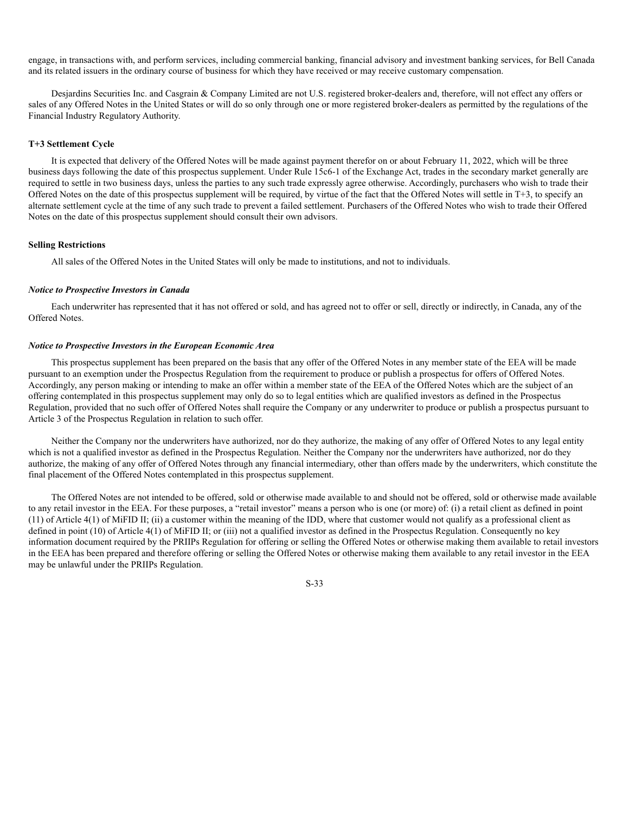engage, in transactions with, and perform services, including commercial banking, financial advisory and investment banking services, for Bell Canada and its related issuers in the ordinary course of business for which they have received or may receive customary compensation.

Desjardins Securities Inc. and Casgrain & Company Limited are not U.S. registered broker-dealers and, therefore, will not effect any offers or sales of any Offered Notes in the United States or will do so only through one or more registered broker-dealers as permitted by the regulations of the Financial Industry Regulatory Authority.

## **T+3 Settlement Cycle**

It is expected that delivery of the Offered Notes will be made against payment therefor on or about February 11, 2022, which will be three business days following the date of this prospectus supplement. Under Rule 15c6-1 of the Exchange Act, trades in the secondary market generally are required to settle in two business days, unless the parties to any such trade expressly agree otherwise. Accordingly, purchasers who wish to trade their Offered Notes on the date of this prospectus supplement will be required, by virtue of the fact that the Offered Notes will settle in T+3, to specify an alternate settlement cycle at the time of any such trade to prevent a failed settlement. Purchasers of the Offered Notes who wish to trade their Offered Notes on the date of this prospectus supplement should consult their own advisors.

## **Selling Restrictions**

All sales of the Offered Notes in the United States will only be made to institutions, and not to individuals.

#### *Notice to Prospective Investors in Canada*

Each underwriter has represented that it has not offered or sold, and has agreed not to offer or sell, directly or indirectly, in Canada, any of the Offered Notes.

#### *Notice to Prospective Investors in the European Economic Area*

This prospectus supplement has been prepared on the basis that any offer of the Offered Notes in any member state of the EEA will be made pursuant to an exemption under the Prospectus Regulation from the requirement to produce or publish a prospectus for offers of Offered Notes. Accordingly, any person making or intending to make an offer within a member state of the EEA of the Offered Notes which are the subject of an offering contemplated in this prospectus supplement may only do so to legal entities which are qualified investors as defined in the Prospectus Regulation, provided that no such offer of Offered Notes shall require the Company or any underwriter to produce or publish a prospectus pursuant to Article 3 of the Prospectus Regulation in relation to such offer.

Neither the Company nor the underwriters have authorized, nor do they authorize, the making of any offer of Offered Notes to any legal entity which is not a qualified investor as defined in the Prospectus Regulation. Neither the Company nor the underwriters have authorized, nor do they authorize, the making of any offer of Offered Notes through any financial intermediary, other than offers made by the underwriters, which constitute the final placement of the Offered Notes contemplated in this prospectus supplement.

The Offered Notes are not intended to be offered, sold or otherwise made available to and should not be offered, sold or otherwise made available to any retail investor in the EEA. For these purposes, a "retail investor" means a person who is one (or more) of: (i) a retail client as defined in point (11) of Article 4(1) of MiFID II; (ii) a customer within the meaning of the IDD, where that customer would not qualify as a professional client as defined in point (10) of Article 4(1) of MiFID II; or (iii) not a qualified investor as defined in the Prospectus Regulation. Consequently no key information document required by the PRIIPs Regulation for offering or selling the Offered Notes or otherwise making them available to retail investors in the EEA has been prepared and therefore offering or selling the Offered Notes or otherwise making them available to any retail investor in the EEA may be unlawful under the PRIIPs Regulation.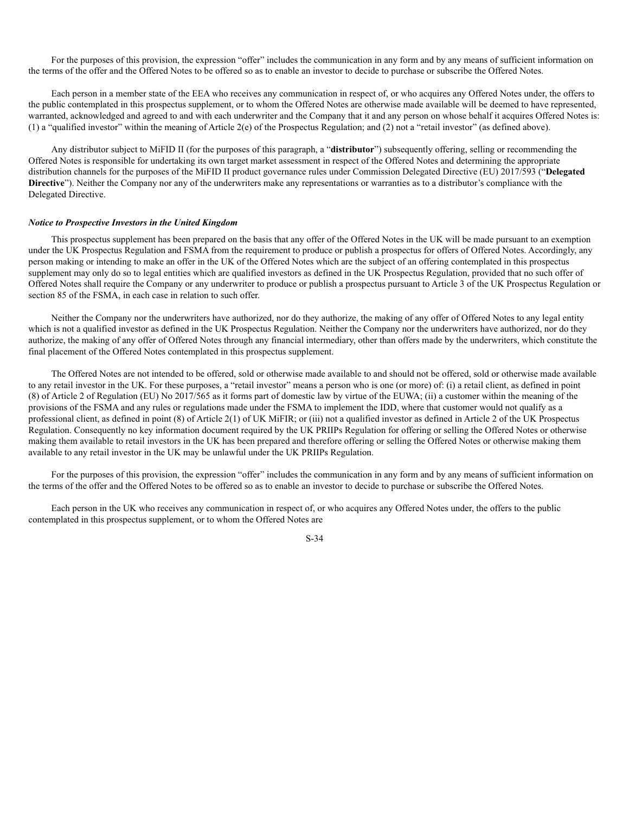For the purposes of this provision, the expression "offer" includes the communication in any form and by any means of sufficient information on the terms of the offer and the Offered Notes to be offered so as to enable an investor to decide to purchase or subscribe the Offered Notes.

Each person in a member state of the EEA who receives any communication in respect of, or who acquires any Offered Notes under, the offers to the public contemplated in this prospectus supplement, or to whom the Offered Notes are otherwise made available will be deemed to have represented, warranted, acknowledged and agreed to and with each underwriter and the Company that it and any person on whose behalf it acquires Offered Notes is: (1) a "qualified investor" within the meaning of Article 2(e) of the Prospectus Regulation; and (2) not a "retail investor" (as defined above).

Any distributor subject to MiFID II (for the purposes of this paragraph, a "**distributor**") subsequently offering, selling or recommending the Offered Notes is responsible for undertaking its own target market assessment in respect of the Offered Notes and determining the appropriate distribution channels for the purposes of the MiFID II product governance rules under Commission Delegated Directive (EU) 2017/593 ("**Delegated Directive**"). Neither the Company nor any of the underwriters make any representations or warranties as to a distributor's compliance with the Delegated Directive.

## *Notice to Prospective Investors in the United Kingdom*

This prospectus supplement has been prepared on the basis that any offer of the Offered Notes in the UK will be made pursuant to an exemption under the UK Prospectus Regulation and FSMA from the requirement to produce or publish a prospectus for offers of Offered Notes. Accordingly, any person making or intending to make an offer in the UK of the Offered Notes which are the subject of an offering contemplated in this prospectus supplement may only do so to legal entities which are qualified investors as defined in the UK Prospectus Regulation, provided that no such offer of Offered Notes shall require the Company or any underwriter to produce or publish a prospectus pursuant to Article 3 of the UK Prospectus Regulation or section 85 of the FSMA, in each case in relation to such offer.

Neither the Company nor the underwriters have authorized, nor do they authorize, the making of any offer of Offered Notes to any legal entity which is not a qualified investor as defined in the UK Prospectus Regulation. Neither the Company nor the underwriters have authorized, nor do they authorize, the making of any offer of Offered Notes through any financial intermediary, other than offers made by the underwriters, which constitute the final placement of the Offered Notes contemplated in this prospectus supplement.

The Offered Notes are not intended to be offered, sold or otherwise made available to and should not be offered, sold or otherwise made available to any retail investor in the UK. For these purposes, a "retail investor" means a person who is one (or more) of: (i) a retail client, as defined in point (8) of Article 2 of Regulation (EU) No 2017/565 as it forms part of domestic law by virtue of the EUWA; (ii) a customer within the meaning of the provisions of the FSMA and any rules or regulations made under the FSMA to implement the IDD, where that customer would not qualify as a professional client, as defined in point (8) of Article 2(1) of UK MiFIR; or (iii) not a qualified investor as defined in Article 2 of the UK Prospectus Regulation. Consequently no key information document required by the UK PRIIPs Regulation for offering or selling the Offered Notes or otherwise making them available to retail investors in the UK has been prepared and therefore offering or selling the Offered Notes or otherwise making them available to any retail investor in the UK may be unlawful under the UK PRIIPs Regulation.

For the purposes of this provision, the expression "offer" includes the communication in any form and by any means of sufficient information on the terms of the offer and the Offered Notes to be offered so as to enable an investor to decide to purchase or subscribe the Offered Notes.

Each person in the UK who receives any communication in respect of, or who acquires any Offered Notes under, the offers to the public contemplated in this prospectus supplement, or to whom the Offered Notes are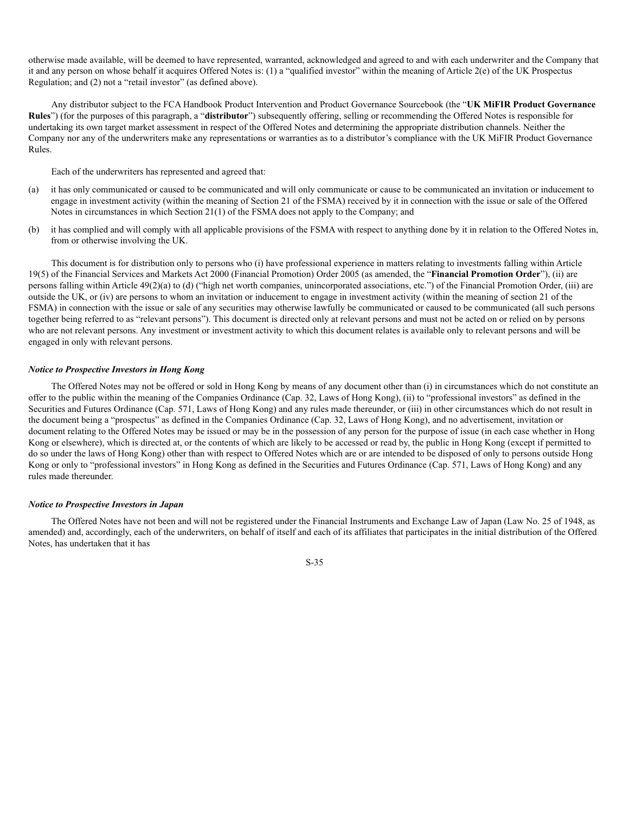otherwise made available, will be deemed to have represented, warranted, acknowledged and agreed to and with each underwriter and the Company that it and any person on whose behalf it acquires Offered Notes is: (1) a "qualified investor" within the meaning of Article 2(e) of the UK Prospectus Regulation; and (2) not a "retail investor" (as defined above).

Any distributor subject to the FCA Handbook Product Intervention and Product Governance Sourcebook (the "**UK MiFIR Product Governance Rules**") (for the purposes of this paragraph, a "**distributor**") subsequently offering, selling or recommending the Offered Notes is responsible for undertaking its own target market assessment in respect of the Offered Notes and determining the appropriate distribution channels. Neither the Company nor any of the underwriters make any representations or warranties as to a distributor's compliance with the UK MiFIR Product Governance Rules.

Each of the underwriters has represented and agreed that:

- (a) it has only communicated or caused to be communicated and will only communicate or cause to be communicated an invitation or inducement to engage in investment activity (within the meaning of Section 21 of the FSMA) received by it in connection with the issue or sale of the Offered Notes in circumstances in which Section 21(1) of the FSMA does not apply to the Company; and
- (b) it has complied and will comply with all applicable provisions of the FSMA with respect to anything done by it in relation to the Offered Notes in, from or otherwise involving the UK.

This document is for distribution only to persons who (i) have professional experience in matters relating to investments falling within Article 19(5) of the Financial Services and Markets Act 2000 (Financial Promotion) Order 2005 (as amended, the "**Financial Promotion Order**"), (ii) are persons falling within Article 49(2)(a) to (d) ("high net worth companies, unincorporated associations, etc.") of the Financial Promotion Order, (iii) are outside the UK, or (iv) are persons to whom an invitation or inducement to engage in investment activity (within the meaning of section 21 of the FSMA) in connection with the issue or sale of any securities may otherwise lawfully be communicated or caused to be communicated (all such persons together being referred to as "relevant persons"). This document is directed only at relevant persons and must not be acted on or relied on by persons who are not relevant persons. Any investment or investment activity to which this document relates is available only to relevant persons and will be engaged in only with relevant persons.

## *Notice to Prospective Investors in Hong Kong*

The Offered Notes may not be offered or sold in Hong Kong by means of any document other than (i) in circumstances which do not constitute an offer to the public within the meaning of the Companies Ordinance (Cap. 32, Laws of Hong Kong), (ii) to "professional investors" as defined in the Securities and Futures Ordinance (Cap. 571, Laws of Hong Kong) and any rules made thereunder, or (iii) in other circumstances which do not result in the document being a "prospectus" as defined in the Companies Ordinance (Cap. 32, Laws of Hong Kong), and no advertisement, invitation or document relating to the Offered Notes may be issued or may be in the possession of any person for the purpose of issue (in each case whether in Hong Kong or elsewhere), which is directed at, or the contents of which are likely to be accessed or read by, the public in Hong Kong (except if permitted to do so under the laws of Hong Kong) other than with respect to Offered Notes which are or are intended to be disposed of only to persons outside Hong Kong or only to "professional investors" in Hong Kong as defined in the Securities and Futures Ordinance (Cap. 571, Laws of Hong Kong) and any rules made thereunder.

## *Notice to Prospective Investors in Japan*

The Offered Notes have not been and will not be registered under the Financial Instruments and Exchange Law of Japan (Law No. 25 of 1948, as amended) and, accordingly, each of the underwriters, on behalf of itself and each of its affiliates that participates in the initial distribution of the Offered Notes, has undertaken that it has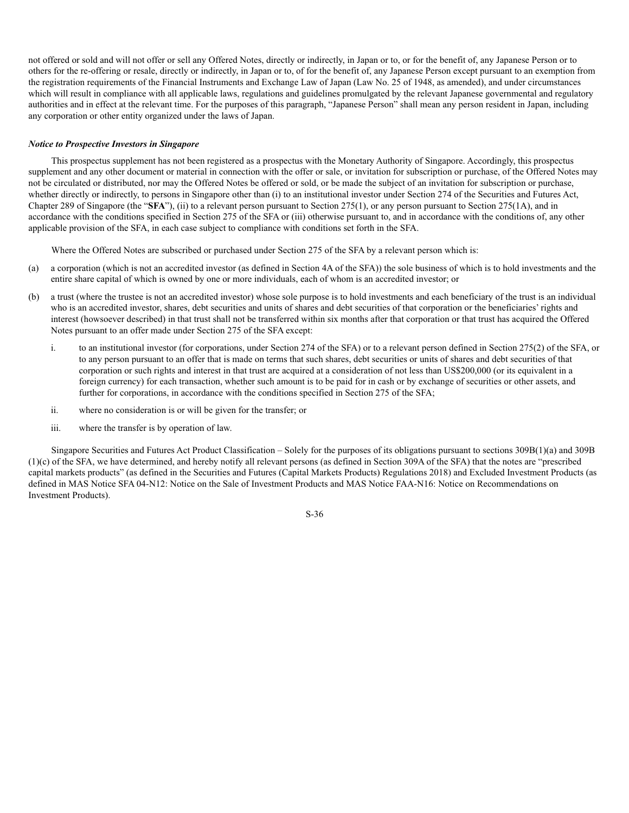not offered or sold and will not offer or sell any Offered Notes, directly or indirectly, in Japan or to, or for the benefit of, any Japanese Person or to others for the re-offering or resale, directly or indirectly, in Japan or to, of for the benefit of, any Japanese Person except pursuant to an exemption from the registration requirements of the Financial Instruments and Exchange Law of Japan (Law No. 25 of 1948, as amended), and under circumstances which will result in compliance with all applicable laws, regulations and guidelines promulgated by the relevant Japanese governmental and regulatory authorities and in effect at the relevant time. For the purposes of this paragraph, "Japanese Person" shall mean any person resident in Japan, including any corporation or other entity organized under the laws of Japan.

# *Notice to Prospective Investors in Singapore*

This prospectus supplement has not been registered as a prospectus with the Monetary Authority of Singapore. Accordingly, this prospectus supplement and any other document or material in connection with the offer or sale, or invitation for subscription or purchase, of the Offered Notes may not be circulated or distributed, nor may the Offered Notes be offered or sold, or be made the subject of an invitation for subscription or purchase, whether directly or indirectly, to persons in Singapore other than (i) to an institutional investor under Section 274 of the Securities and Futures Act, Chapter 289 of Singapore (the "**SFA**"), (ii) to a relevant person pursuant to Section 275(1), or any person pursuant to Section 275(1A), and in accordance with the conditions specified in Section 275 of the SFA or (iii) otherwise pursuant to, and in accordance with the conditions of, any other applicable provision of the SFA, in each case subject to compliance with conditions set forth in the SFA.

Where the Offered Notes are subscribed or purchased under Section 275 of the SFA by a relevant person which is:

- (a) a corporation (which is not an accredited investor (as defined in Section 4A of the SFA)) the sole business of which is to hold investments and the entire share capital of which is owned by one or more individuals, each of whom is an accredited investor; or
- (b) a trust (where the trustee is not an accredited investor) whose sole purpose is to hold investments and each beneficiary of the trust is an individual who is an accredited investor, shares, debt securities and units of shares and debt securities of that corporation or the beneficiaries' rights and interest (howsoever described) in that trust shall not be transferred within six months after that corporation or that trust has acquired the Offered Notes pursuant to an offer made under Section 275 of the SFA except:
	- i. to an institutional investor (for corporations, under Section 274 of the SFA) or to a relevant person defined in Section 275(2) of the SFA, or to any person pursuant to an offer that is made on terms that such shares, debt securities or units of shares and debt securities of that corporation or such rights and interest in that trust are acquired at a consideration of not less than US\$200,000 (or its equivalent in a foreign currency) for each transaction, whether such amount is to be paid for in cash or by exchange of securities or other assets, and further for corporations, in accordance with the conditions specified in Section 275 of the SFA;
	- ii. where no consideration is or will be given for the transfer; or
	- iii. where the transfer is by operation of law.

Singapore Securities and Futures Act Product Classification – Solely for the purposes of its obligations pursuant to sections 309B(1)(a) and 309B (1)(c) of the SFA, we have determined, and hereby notify all relevant persons (as defined in Section 309A of the SFA) that the notes are "prescribed capital markets products" (as defined in the Securities and Futures (Capital Markets Products) Regulations 2018) and Excluded Investment Products (as defined in MAS Notice SFA 04-N12: Notice on the Sale of Investment Products and MAS Notice FAA-N16: Notice on Recommendations on Investment Products).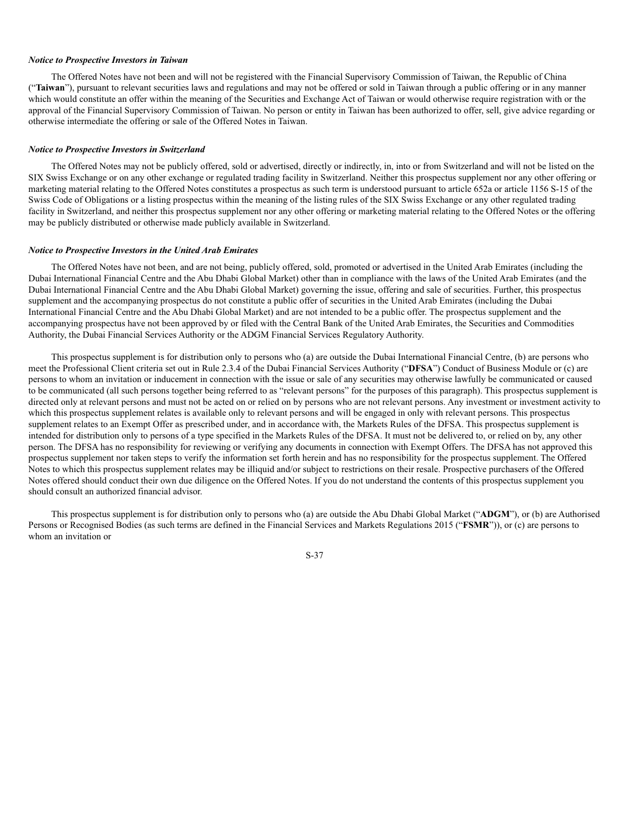#### *Notice to Prospective Investors in Taiwan*

The Offered Notes have not been and will not be registered with the Financial Supervisory Commission of Taiwan, the Republic of China ("**Taiwan**"), pursuant to relevant securities laws and regulations and may not be offered or sold in Taiwan through a public offering or in any manner which would constitute an offer within the meaning of the Securities and Exchange Act of Taiwan or would otherwise require registration with or the approval of the Financial Supervisory Commission of Taiwan. No person or entity in Taiwan has been authorized to offer, sell, give advice regarding or otherwise intermediate the offering or sale of the Offered Notes in Taiwan.

## *Notice to Prospective Investors in Switzerland*

The Offered Notes may not be publicly offered, sold or advertised, directly or indirectly, in, into or from Switzerland and will not be listed on the SIX Swiss Exchange or on any other exchange or regulated trading facility in Switzerland. Neither this prospectus supplement nor any other offering or marketing material relating to the Offered Notes constitutes a prospectus as such term is understood pursuant to article 652a or article 1156 S-15 of the Swiss Code of Obligations or a listing prospectus within the meaning of the listing rules of the SIX Swiss Exchange or any other regulated trading facility in Switzerland, and neither this prospectus supplement nor any other offering or marketing material relating to the Offered Notes or the offering may be publicly distributed or otherwise made publicly available in Switzerland.

#### *Notice to Prospective Investors in the United Arab Emirates*

The Offered Notes have not been, and are not being, publicly offered, sold, promoted or advertised in the United Arab Emirates (including the Dubai International Financial Centre and the Abu Dhabi Global Market) other than in compliance with the laws of the United Arab Emirates (and the Dubai International Financial Centre and the Abu Dhabi Global Market) governing the issue, offering and sale of securities. Further, this prospectus supplement and the accompanying prospectus do not constitute a public offer of securities in the United Arab Emirates (including the Dubai International Financial Centre and the Abu Dhabi Global Market) and are not intended to be a public offer. The prospectus supplement and the accompanying prospectus have not been approved by or filed with the Central Bank of the United Arab Emirates, the Securities and Commodities Authority, the Dubai Financial Services Authority or the ADGM Financial Services Regulatory Authority.

This prospectus supplement is for distribution only to persons who (a) are outside the Dubai International Financial Centre, (b) are persons who meet the Professional Client criteria set out in Rule 2.3.4 of the Dubai Financial Services Authority ("**DFSA**") Conduct of Business Module or (c) are persons to whom an invitation or inducement in connection with the issue or sale of any securities may otherwise lawfully be communicated or caused to be communicated (all such persons together being referred to as "relevant persons" for the purposes of this paragraph). This prospectus supplement is directed only at relevant persons and must not be acted on or relied on by persons who are not relevant persons. Any investment or investment activity to which this prospectus supplement relates is available only to relevant persons and will be engaged in only with relevant persons. This prospectus supplement relates to an Exempt Offer as prescribed under, and in accordance with, the Markets Rules of the DFSA. This prospectus supplement is intended for distribution only to persons of a type specified in the Markets Rules of the DFSA. It must not be delivered to, or relied on by, any other person. The DFSA has no responsibility for reviewing or verifying any documents in connection with Exempt Offers. The DFSA has not approved this prospectus supplement nor taken steps to verify the information set forth herein and has no responsibility for the prospectus supplement. The Offered Notes to which this prospectus supplement relates may be illiquid and/or subject to restrictions on their resale. Prospective purchasers of the Offered Notes offered should conduct their own due diligence on the Offered Notes. If you do not understand the contents of this prospectus supplement you should consult an authorized financial advisor.

This prospectus supplement is for distribution only to persons who (a) are outside the Abu Dhabi Global Market ("**ADGM**"), or (b) are Authorised Persons or Recognised Bodies (as such terms are defined in the Financial Services and Markets Regulations 2015 ("**FSMR**")), or (c) are persons to whom an invitation or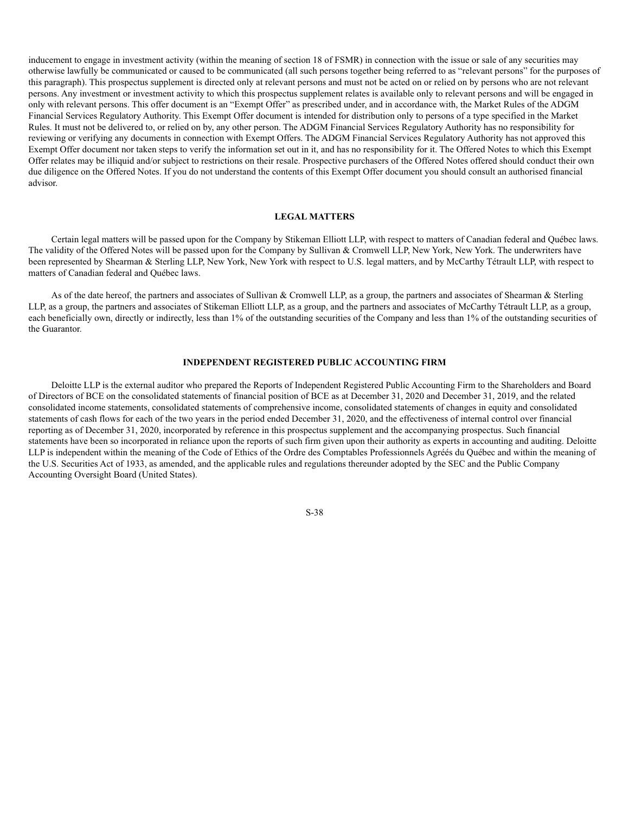inducement to engage in investment activity (within the meaning of section 18 of FSMR) in connection with the issue or sale of any securities may otherwise lawfully be communicated or caused to be communicated (all such persons together being referred to as "relevant persons" for the purposes of this paragraph). This prospectus supplement is directed only at relevant persons and must not be acted on or relied on by persons who are not relevant persons. Any investment or investment activity to which this prospectus supplement relates is available only to relevant persons and will be engaged in only with relevant persons. This offer document is an "Exempt Offer" as prescribed under, and in accordance with, the Market Rules of the ADGM Financial Services Regulatory Authority. This Exempt Offer document is intended for distribution only to persons of a type specified in the Market Rules. It must not be delivered to, or relied on by, any other person. The ADGM Financial Services Regulatory Authority has no responsibility for reviewing or verifying any documents in connection with Exempt Offers. The ADGM Financial Services Regulatory Authority has not approved this Exempt Offer document nor taken steps to verify the information set out in it, and has no responsibility for it. The Offered Notes to which this Exempt Offer relates may be illiquid and/or subject to restrictions on their resale. Prospective purchasers of the Offered Notes offered should conduct their own due diligence on the Offered Notes. If you do not understand the contents of this Exempt Offer document you should consult an authorised financial advisor.

#### **LEGAL MATTERS**

Certain legal matters will be passed upon for the Company by Stikeman Elliott LLP, with respect to matters of Canadian federal and Québec laws. The validity of the Offered Notes will be passed upon for the Company by Sullivan & Cromwell LLP, New York, New York. The underwriters have been represented by Shearman & Sterling LLP, New York, New York with respect to U.S. legal matters, and by McCarthy Tétrault LLP, with respect to matters of Canadian federal and Québec laws.

As of the date hereof, the partners and associates of Sullivan & Cromwell LLP, as a group, the partners and associates of Shearman & Sterling LLP, as a group, the partners and associates of Stikeman Elliott LLP, as a group, and the partners and associates of McCarthy Tétrault LLP, as a group, each beneficially own, directly or indirectly, less than 1% of the outstanding securities of the Company and less than 1% of the outstanding securities of the Guarantor.

## **INDEPENDENT REGISTERED PUBLIC ACCOUNTING FIRM**

Deloitte LLP is the external auditor who prepared the Reports of Independent Registered Public Accounting Firm to the Shareholders and Board of Directors of BCE on the consolidated statements of financial position of BCE as at December 31, 2020 and December 31, 2019, and the related consolidated income statements, consolidated statements of comprehensive income, consolidated statements of changes in equity and consolidated statements of cash flows for each of the two years in the period ended December 31, 2020, and the effectiveness of internal control over financial reporting as of December 31, 2020, incorporated by reference in this prospectus supplement and the accompanying prospectus. Such financial statements have been so incorporated in reliance upon the reports of such firm given upon their authority as experts in accounting and auditing. Deloitte LLP is independent within the meaning of the Code of Ethics of the Ordre des Comptables Professionnels Agréés du Québec and within the meaning of the U.S. Securities Act of 1933, as amended, and the applicable rules and regulations thereunder adopted by the SEC and the Public Company Accounting Oversight Board (United States).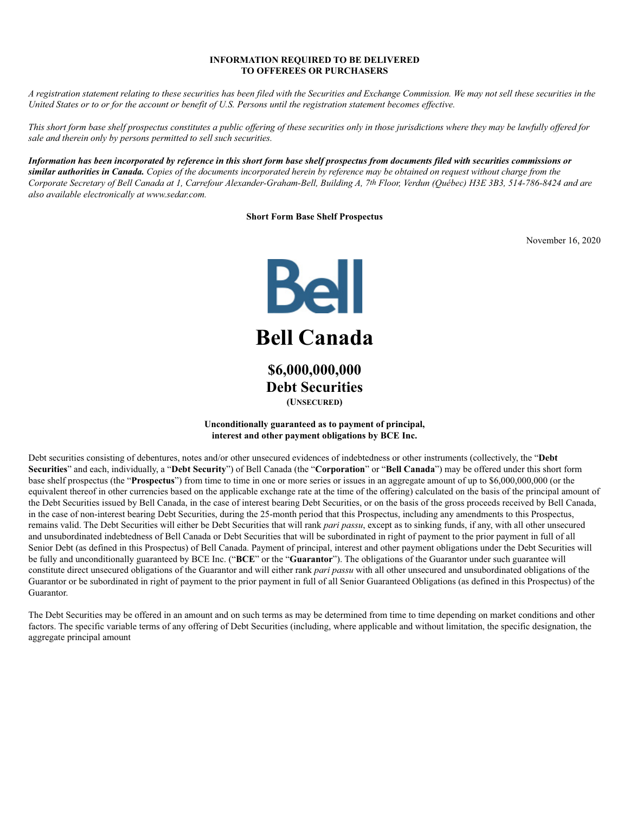## **INFORMATION REQUIRED TO BE DELIVERED TO OFFEREES OR PURCHASERS**

*A registration statement relating to these securities has been filed with the Securities and Exchange Commission. We may not sell these securities in the United States or to or for the account or benefit of U.S. Persons until the registration statement becomes effective.*

*This short form base shelf prospectus constitutes a public offering of these securities only in those jurisdictions where they may be lawfully offered for sale and therein only by persons permitted to sell such securities.*

*Information has been incorporated by reference in this short form base shelf prospectus from documents filed with securities commissions or similar authorities in Canada. Copies of the documents incorporated herein by reference may be obtained on request without charge from the Corporate Secretary of Bell Canada at 1, Carrefour Alexander-Graham-Bell, Building A, 7th Floor, Verdun (Québec) H3E 3B3, 514-786-8424 and are also available electronically at www.sedar.com.*

**Short Form Base Shelf Prospectus**

November 16, 2020



**Bell Canada**

**\$6,000,000,000 Debt Securities**

**(UNSECURED)**

# **Unconditionally guaranteed as to payment of principal, interest and other payment obligations by BCE Inc.**

Debt securities consisting of debentures, notes and/or other unsecured evidences of indebtedness or other instruments (collectively, the "**Debt Securities**" and each, individually, a "**Debt Security**") of Bell Canada (the "**Corporation**" or "**Bell Canada**") may be offered under this short form base shelf prospectus (the "**Prospectus**") from time to time in one or more series or issues in an aggregate amount of up to \$6,000,000,000 (or the equivalent thereof in other currencies based on the applicable exchange rate at the time of the offering) calculated on the basis of the principal amount of the Debt Securities issued by Bell Canada, in the case of interest bearing Debt Securities, or on the basis of the gross proceeds received by Bell Canada, in the case of non-interest bearing Debt Securities, during the 25-month period that this Prospectus, including any amendments to this Prospectus, remains valid. The Debt Securities will either be Debt Securities that will rank *pari passu*, except as to sinking funds, if any, with all other unsecured and unsubordinated indebtedness of Bell Canada or Debt Securities that will be subordinated in right of payment to the prior payment in full of all Senior Debt (as defined in this Prospectus) of Bell Canada. Payment of principal, interest and other payment obligations under the Debt Securities will be fully and unconditionally guaranteed by BCE Inc. ("**BCE**" or the "**Guarantor**"). The obligations of the Guarantor under such guarantee will constitute direct unsecured obligations of the Guarantor and will either rank *pari passu* with all other unsecured and unsubordinated obligations of the Guarantor or be subordinated in right of payment to the prior payment in full of all Senior Guaranteed Obligations (as defined in this Prospectus) of the Guarantor.

The Debt Securities may be offered in an amount and on such terms as may be determined from time to time depending on market conditions and other factors. The specific variable terms of any offering of Debt Securities (including, where applicable and without limitation, the specific designation, the aggregate principal amount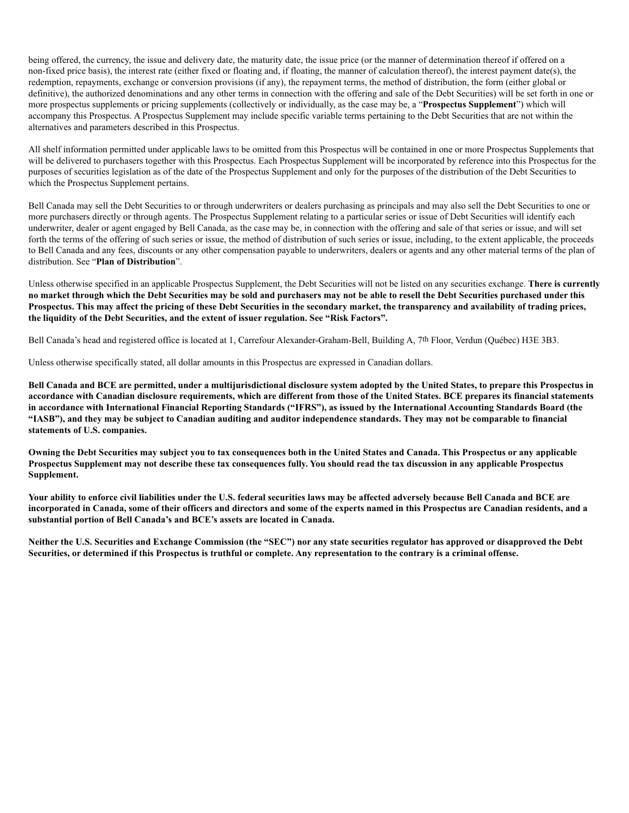being offered, the currency, the issue and delivery date, the maturity date, the issue price (or the manner of determination thereof if offered on a non-fixed price basis), the interest rate (either fixed or floating and, if floating, the manner of calculation thereof), the interest payment date(s), the redemption, repayments, exchange or conversion provisions (if any), the repayment terms, the method of distribution, the form (either global or definitive), the authorized denominations and any other terms in connection with the offering and sale of the Debt Securities) will be set forth in one or more prospectus supplements or pricing supplements (collectively or individually, as the case may be, a "**Prospectus Supplement**") which will accompany this Prospectus. A Prospectus Supplement may include specific variable terms pertaining to the Debt Securities that are not within the alternatives and parameters described in this Prospectus.

All shelf information permitted under applicable laws to be omitted from this Prospectus will be contained in one or more Prospectus Supplements that will be delivered to purchasers together with this Prospectus. Each Prospectus Supplement will be incorporated by reference into this Prospectus for the purposes of securities legislation as of the date of the Prospectus Supplement and only for the purposes of the distribution of the Debt Securities to which the Prospectus Supplement pertains.

Bell Canada may sell the Debt Securities to or through underwriters or dealers purchasing as principals and may also sell the Debt Securities to one or more purchasers directly or through agents. The Prospectus Supplement relating to a particular series or issue of Debt Securities will identify each underwriter, dealer or agent engaged by Bell Canada, as the case may be, in connection with the offering and sale of that series or issue, and will set forth the terms of the offering of such series or issue, the method of distribution of such series or issue, including, to the extent applicable, the proceeds to Bell Canada and any fees, discounts or any other compensation payable to underwriters, dealers or agents and any other material terms of the plan of distribution. See "**Plan of Distribution**".

Unless otherwise specified in an applicable Prospectus Supplement, the Debt Securities will not be listed on any securities exchange. **There is currently no market through which the Debt Securities may be sold and purchasers may not be able to resell the Debt Securities purchased under this Prospectus. This may affect the pricing of these Debt Securities in the secondary market, the transparency and availability of trading prices, the liquidity of the Debt Securities, and the extent of issuer regulation. See "Risk Factors".**

Bell Canada's head and registered office is located at 1, Carrefour Alexander-Graham-Bell, Building A, 7th Floor, Verdun (Québec) H3E 3B3.

Unless otherwise specifically stated, all dollar amounts in this Prospectus are expressed in Canadian dollars.

**Bell Canada and BCE are permitted, under a multijurisdictional disclosure system adopted by the United States, to prepare this Prospectus in accordance with Canadian disclosure requirements, which are different from those of the United States. BCE prepares its financial statements in accordance with International Financial Reporting Standards ("IFRS"), as issued by the International Accounting Standards Board (the "IASB"), and they may be subject to Canadian auditing and auditor independence standards. They may not be comparable to financial statements of U.S. companies.**

**Owning the Debt Securities may subject you to tax consequences both in the United States and Canada. This Prospectus or any applicable Prospectus Supplement may not describe these tax consequences fully. You should read the tax discussion in any applicable Prospectus Supplement.**

**Your ability to enforce civil liabilities under the U.S. federal securities laws may be affected adversely because Bell Canada and BCE are incorporated in Canada, some of their officers and directors and some of the experts named in this Prospectus are Canadian residents, and a substantial portion of Bell Canada's and BCE's assets are located in Canada.**

**Neither the U.S. Securities and Exchange Commission (the "SEC") nor any state securities regulator has approved or disapproved the Debt Securities, or determined if this Prospectus is truthful or complete. Any representation to the contrary is a criminal offense.**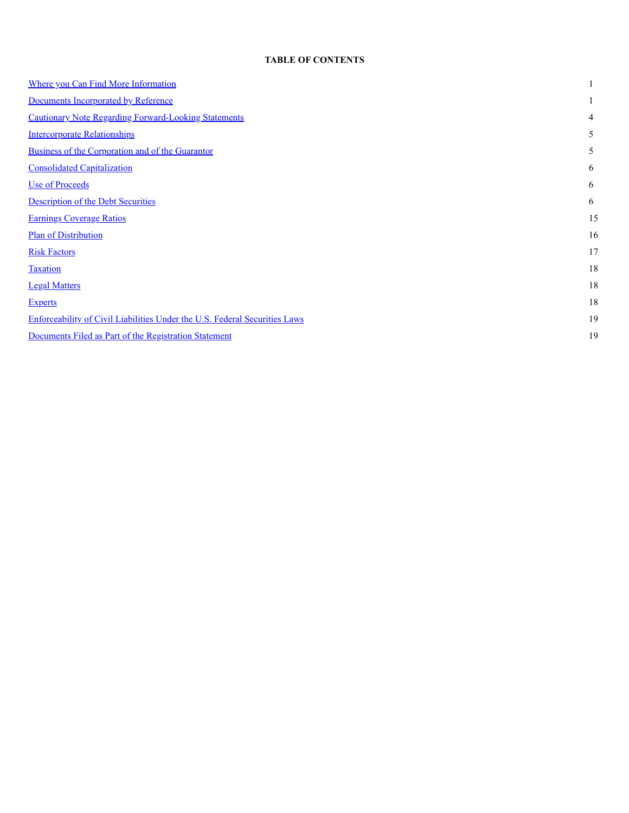# **TABLE OF CONTENTS**

| <b>Where you Can Find More Information</b>                                 |    |
|----------------------------------------------------------------------------|----|
| Documents Incorporated by Reference                                        |    |
| <b>Cautionary Note Regarding Forward-Looking Statements</b>                | 4  |
| <b>Intercorporate Relationships</b>                                        | 5  |
| Business of the Corporation and of the Guarantor                           | 5  |
| <b>Consolidated Capitalization</b>                                         | 6  |
| <b>Use of Proceeds</b>                                                     | 6  |
| Description of the Debt Securities                                         | 6  |
| <b>Earnings Coverage Ratios</b>                                            | 15 |
| <b>Plan of Distribution</b>                                                | 16 |
| <b>Risk Factors</b>                                                        | 17 |
| <b>Taxation</b>                                                            | 18 |
| <b>Legal Matters</b>                                                       | 18 |
| <b>Experts</b>                                                             | 18 |
| Enforceability of Civil Liabilities Under the U.S. Federal Securities Laws | 19 |
| Documents Filed as Part of the Registration Statement                      | 19 |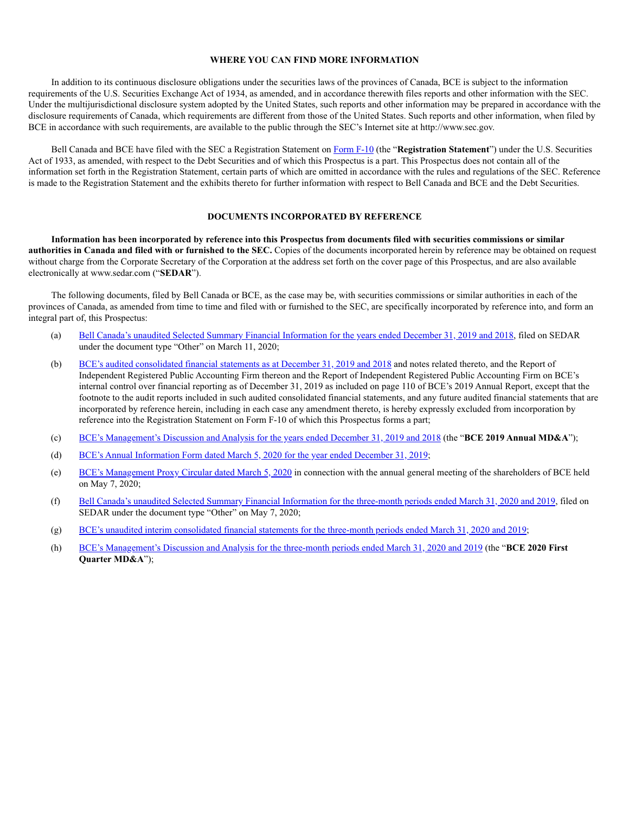## **WHERE YOU CAN FIND MORE INFORMATION**

In addition to its continuous disclosure obligations under the securities laws of the provinces of Canada, BCE is subject to the information requirements of the U.S. Securities Exchange Act of 1934, as amended, and in accordance therewith files reports and other information with the SEC. Under the multijurisdictional disclosure system adopted by the United States, such reports and other information may be prepared in accordance with the disclosure requirements of Canada, which requirements are different from those of the United States. Such reports and other information, when filed by BCE in accordance with such requirements, are available to the public through the SEC's Internet site at http://www.sec.gov.

Bell Canada and BCE have filed with the SEC a Registration Statement on Form F-10 (the "**Registration Statement**") under the U.S. Securities Act of 1933, as amended, with respect to the Debt Securities and of which this Prospectus is a part. This Prospectus does not contain all of the information set forth in the Registration Statement, certain parts of which are omitted in accordance with the rules and regulations of the SEC. Reference is made to the Registration Statement and the exhibits thereto for further information with respect to Bell Canada and BCE and the Debt Securities.

## **DOCUMENTS INCORPORATED BY REFERENCE**

**Information has been incorporated by reference into this Prospectus from documents filed with securities commissions or similar authorities in Canada and filed with or furnished to the SEC.** Copies of the documents incorporated herein by reference may be obtained on request without charge from the Corporate Secretary of the Corporation at the address set forth on the cover page of this Prospectus, and are also available electronically at www.sedar.com ("**SEDAR**").

The following documents, filed by Bell Canada or BCE, as the case may be, with securities commissions or similar authorities in each of the provinces of Canada, as amended from time to time and filed with or furnished to the SEC, are specifically incorporated by reference into, and form an integral part of, this Prospectus:

- (a) Bell Canada's unaudited Selected Summary Financial Information for the years ended December 31, 2019 and 2018, filed on SEDAR under the document type "Other" on March 11, 2020;
- (b) BCE's audited consolidated financial statements as at December 31, 2019 and 2018 and notes related thereto, and the Report of Independent Registered Public Accounting Firm thereon and the Report of Independent Registered Public Accounting Firm on BCE's internal control over financial reporting as of December 31, 2019 as included on page 110 of BCE's 2019 Annual Report, except that the footnote to the audit reports included in such audited consolidated financial statements, and any future audited financial statements that are incorporated by reference herein, including in each case any amendment thereto, is hereby expressly excluded from incorporation by reference into the Registration Statement on Form F-10 of which this Prospectus forms a part;
- (c) BCE's Management's Discussion and Analysis for the years ended December 31, 2019 and 2018 (the "**BCE 2019 Annual MD&A**");
- (d) BCE's Annual Information Form dated March 5, 2020 for the year ended December 31, 2019;
- (e) BCE's Management Proxy Circular dated March 5, 2020 in connection with the annual general meeting of the shareholders of BCE held on May 7, 2020;
- (f) Bell Canada's unaudited Selected Summary Financial Information for the three-month periods ended March 31, 2020 and 2019, filed on SEDAR under the document type "Other" on May 7, 2020;
- (g) BCE's unaudited interim consolidated financial statements for the three-month periods ended March 31, 2020 and 2019;
- (h) BCE's Management's Discussion and Analysis for the three-month periods ended March 31, 2020 and 2019 (the "**BCE 2020 First Quarter MD&A**");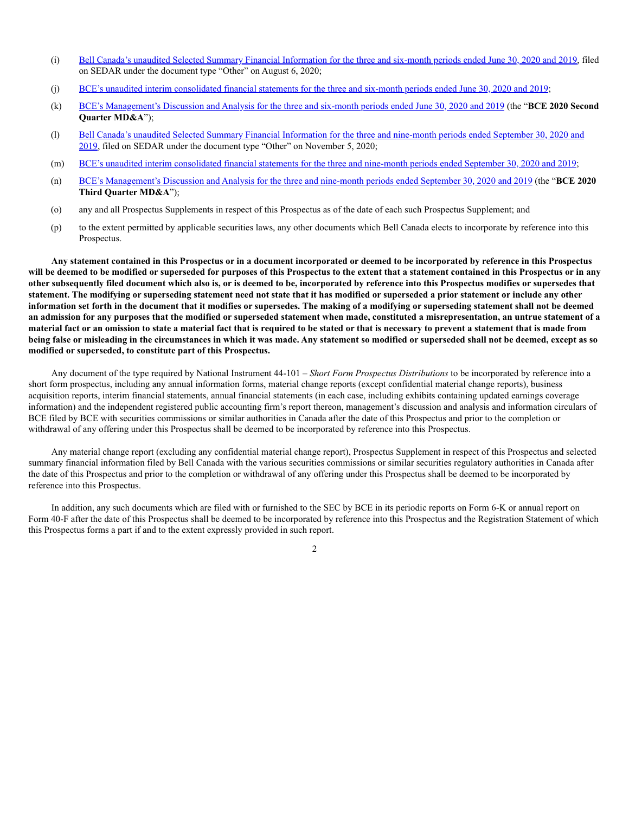- (i) Bell Canada's unaudited Selected Summary Financial Information for the three and six-month periods ended June 30, 2020 and 2019, filed on SEDAR under the document type "Other" on August 6, 2020;
- (j) BCE's unaudited interim consolidated financial statements for the three and six-month periods ended June 30, 2020 and 2019;
- (k) BCE's Management's Discussion and Analysis for the three and six-month periods ended June 30, 2020 and 2019 (the "**BCE 2020 Second Quarter MD&A**");
- (l) Bell Canada's unaudited Selected Summary Financial Information for the three and nine-month periods ended September 30, 2020 and 2019, filed on SEDAR under the document type "Other" on November 5, 2020;
- (m) BCE's unaudited interim consolidated financial statements for the three and nine-month periods ended September 30, 2020 and 2019;
- (n) BCE's Management's Discussion and Analysis for the three and nine-month periods ended September 30, 2020 and 2019 (the "**BCE 2020 Third Quarter MD&A**");
- (o) any and all Prospectus Supplements in respect of this Prospectus as of the date of each such Prospectus Supplement; and
- (p) to the extent permitted by applicable securities laws, any other documents which Bell Canada elects to incorporate by reference into this Prospectus.

**Any statement contained in this Prospectus or in a document incorporated or deemed to be incorporated by reference in this Prospectus will be deemed to be modified or superseded for purposes of this Prospectus to the extent that a statement contained in this Prospectus or in any other subsequently filed document which also is, or is deemed to be, incorporated by reference into this Prospectus modifies or supersedes that statement. The modifying or superseding statement need not state that it has modified or superseded a prior statement or include any other information set forth in the document that it modifies or supersedes. The making of a modifying or superseding statement shall not be deemed an admission for any purposes that the modified or superseded statement when made, constituted a misrepresentation, an untrue statement of a material fact or an omission to state a material fact that is required to be stated or that is necessary to prevent a statement that is made from being false or misleading in the circumstances in which it was made. Any statement so modified or superseded shall not be deemed, except as so modified or superseded, to constitute part of this Prospectus.**

Any document of the type required by National Instrument 44-101 – *Short Form Prospectus Distributions* to be incorporated by reference into a short form prospectus, including any annual information forms, material change reports (except confidential material change reports), business acquisition reports, interim financial statements, annual financial statements (in each case, including exhibits containing updated earnings coverage information) and the independent registered public accounting firm's report thereon, management's discussion and analysis and information circulars of BCE filed by BCE with securities commissions or similar authorities in Canada after the date of this Prospectus and prior to the completion or withdrawal of any offering under this Prospectus shall be deemed to be incorporated by reference into this Prospectus.

Any material change report (excluding any confidential material change report), Prospectus Supplement in respect of this Prospectus and selected summary financial information filed by Bell Canada with the various securities commissions or similar securities regulatory authorities in Canada after the date of this Prospectus and prior to the completion or withdrawal of any offering under this Prospectus shall be deemed to be incorporated by reference into this Prospectus.

In addition, any such documents which are filed with or furnished to the SEC by BCE in its periodic reports on Form 6-K or annual report on Form 40-F after the date of this Prospectus shall be deemed to be incorporated by reference into this Prospectus and the Registration Statement of which this Prospectus forms a part if and to the extent expressly provided in such report.

 $\overline{2}$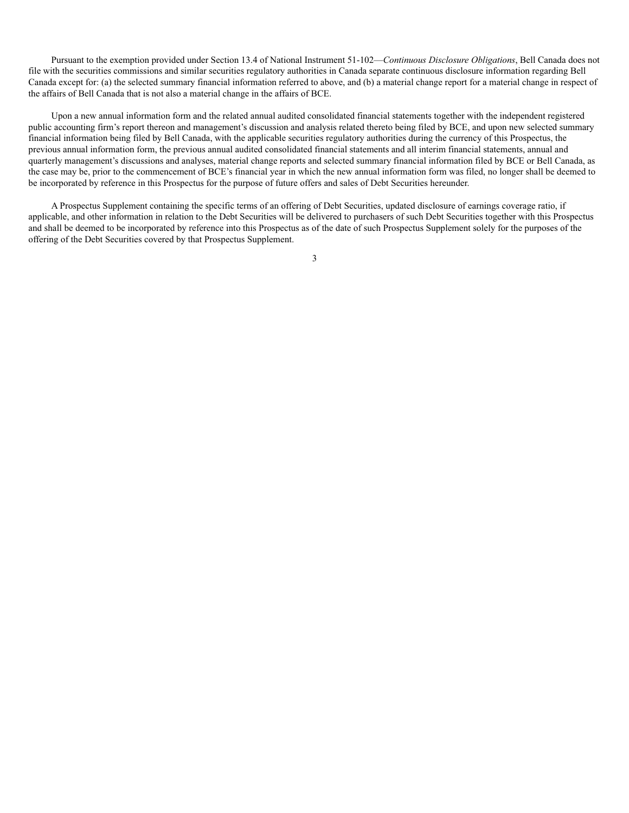Pursuant to the exemption provided under Section 13.4 of National Instrument 51-102—*Continuous Disclosure Obligations*, Bell Canada does not file with the securities commissions and similar securities regulatory authorities in Canada separate continuous disclosure information regarding Bell Canada except for: (a) the selected summary financial information referred to above, and (b) a material change report for a material change in respect of the affairs of Bell Canada that is not also a material change in the affairs of BCE.

Upon a new annual information form and the related annual audited consolidated financial statements together with the independent registered public accounting firm's report thereon and management's discussion and analysis related thereto being filed by BCE, and upon new selected summary financial information being filed by Bell Canada, with the applicable securities regulatory authorities during the currency of this Prospectus, the previous annual information form, the previous annual audited consolidated financial statements and all interim financial statements, annual and quarterly management's discussions and analyses, material change reports and selected summary financial information filed by BCE or Bell Canada, as the case may be, prior to the commencement of BCE's financial year in which the new annual information form was filed, no longer shall be deemed to be incorporated by reference in this Prospectus for the purpose of future offers and sales of Debt Securities hereunder.

A Prospectus Supplement containing the specific terms of an offering of Debt Securities, updated disclosure of earnings coverage ratio, if applicable, and other information in relation to the Debt Securities will be delivered to purchasers of such Debt Securities together with this Prospectus and shall be deemed to be incorporated by reference into this Prospectus as of the date of such Prospectus Supplement solely for the purposes of the offering of the Debt Securities covered by that Prospectus Supplement.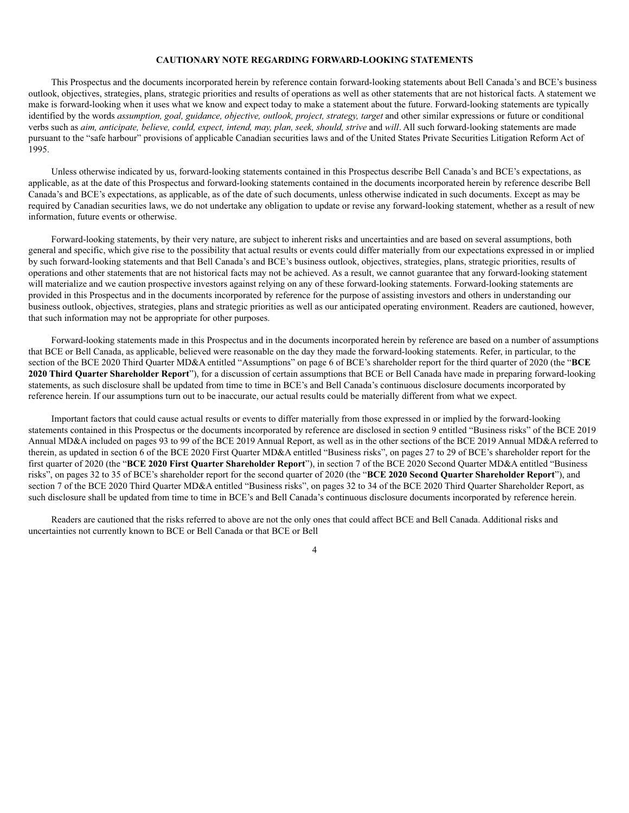## **CAUTIONARY NOTE REGARDING FORWARD-LOOKING STATEMENTS**

This Prospectus and the documents incorporated herein by reference contain forward-looking statements about Bell Canada's and BCE's business outlook, objectives, strategies, plans, strategic priorities and results of operations as well as other statements that are not historical facts. A statement we make is forward-looking when it uses what we know and expect today to make a statement about the future. Forward-looking statements are typically identified by the words *assumption, goal, guidance, objective, outlook, project, strategy, target* and other similar expressions or future or conditional verbs such as *aim, anticipate, believe, could, expect, intend, may, plan, seek, should, strive* and *will*. All such forward-looking statements are made pursuant to the "safe harbour" provisions of applicable Canadian securities laws and of the United States Private Securities Litigation Reform Act of 1995.

Unless otherwise indicated by us, forward-looking statements contained in this Prospectus describe Bell Canada's and BCE's expectations, as applicable, as at the date of this Prospectus and forward-looking statements contained in the documents incorporated herein by reference describe Bell Canada's and BCE's expectations, as applicable, as of the date of such documents, unless otherwise indicated in such documents. Except as may be required by Canadian securities laws, we do not undertake any obligation to update or revise any forward-looking statement, whether as a result of new information, future events or otherwise.

Forward-looking statements, by their very nature, are subject to inherent risks and uncertainties and are based on several assumptions, both general and specific, which give rise to the possibility that actual results or events could differ materially from our expectations expressed in or implied by such forward-looking statements and that Bell Canada's and BCE's business outlook, objectives, strategies, plans, strategic priorities, results of operations and other statements that are not historical facts may not be achieved. As a result, we cannot guarantee that any forward-looking statement will materialize and we caution prospective investors against relying on any of these forward-looking statements. Forward-looking statements are provided in this Prospectus and in the documents incorporated by reference for the purpose of assisting investors and others in understanding our business outlook, objectives, strategies, plans and strategic priorities as well as our anticipated operating environment. Readers are cautioned, however, that such information may not be appropriate for other purposes.

Forward-looking statements made in this Prospectus and in the documents incorporated herein by reference are based on a number of assumptions that BCE or Bell Canada, as applicable, believed were reasonable on the day they made the forward-looking statements. Refer, in particular, to the section of the BCE 2020 Third Quarter MD&A entitled "Assumptions" on page 6 of BCE's shareholder report for the third quarter of 2020 (the "**BCE 2020 Third Quarter Shareholder Report**"), for a discussion of certain assumptions that BCE or Bell Canada have made in preparing forward-looking statements, as such disclosure shall be updated from time to time in BCE's and Bell Canada's continuous disclosure documents incorporated by reference herein. If our assumptions turn out to be inaccurate, our actual results could be materially different from what we expect.

Important factors that could cause actual results or events to differ materially from those expressed in or implied by the forward-looking statements contained in this Prospectus or the documents incorporated by reference are disclosed in section 9 entitled "Business risks" of the BCE 2019 Annual MD&A included on pages 93 to 99 of the BCE 2019 Annual Report, as well as in the other sections of the BCE 2019 Annual MD&A referred to therein, as updated in section 6 of the BCE 2020 First Quarter MD&A entitled "Business risks", on pages 27 to 29 of BCE's shareholder report for the first quarter of 2020 (the "**BCE 2020 First Quarter Shareholder Report**"), in section 7 of the BCE 2020 Second Quarter MD&A entitled "Business risks", on pages 32 to 35 of BCE's shareholder report for the second quarter of 2020 (the "**BCE 2020 Second Quarter Shareholder Report**"), and section 7 of the BCE 2020 Third Quarter MD&A entitled "Business risks", on pages 32 to 34 of the BCE 2020 Third Quarter Shareholder Report, as such disclosure shall be updated from time to time in BCE's and Bell Canada's continuous disclosure documents incorporated by reference herein.

Readers are cautioned that the risks referred to above are not the only ones that could affect BCE and Bell Canada. Additional risks and uncertainties not currently known to BCE or Bell Canada or that BCE or Bell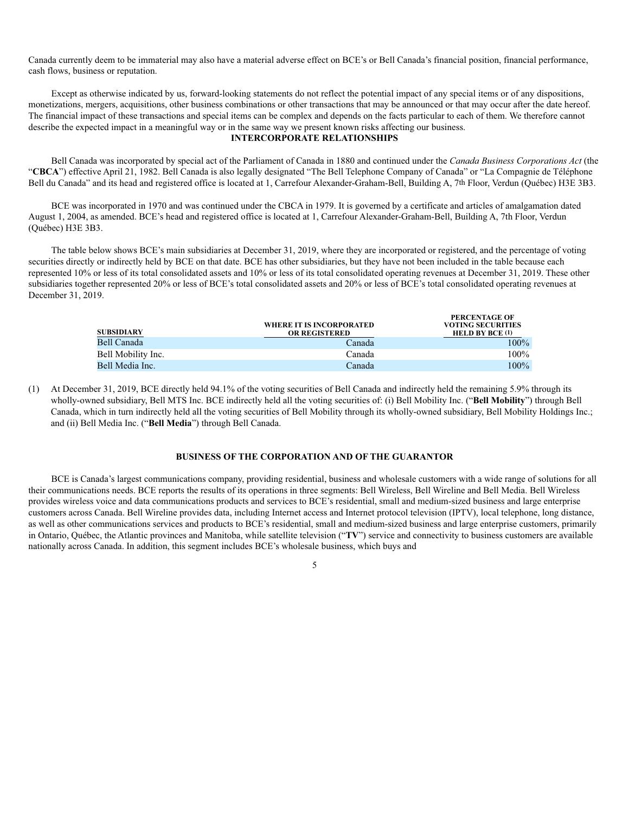Canada currently deem to be immaterial may also have a material adverse effect on BCE's or Bell Canada's financial position, financial performance, cash flows, business or reputation.

Except as otherwise indicated by us, forward-looking statements do not reflect the potential impact of any special items or of any dispositions, monetizations, mergers, acquisitions, other business combinations or other transactions that may be announced or that may occur after the date hereof. The financial impact of these transactions and special items can be complex and depends on the facts particular to each of them. We therefore cannot describe the expected impact in a meaningful way or in the same way we present known risks affecting our business.

# **INTERCORPORATE RELATIONSHIPS**

Bell Canada was incorporated by special act of the Parliament of Canada in 1880 and continued under the *Canada Business Corporations Act* (the "**CBCA**") effective April 21, 1982. Bell Canada is also legally designated "The Bell Telephone Company of Canada" or "La Compagnie de Téléphone Bell du Canada" and its head and registered office is located at 1, Carrefour Alexander-Graham-Bell, Building A, 7th Floor, Verdun (Québec) H3E 3B3.

BCE was incorporated in 1970 and was continued under the CBCA in 1979. It is governed by a certificate and articles of amalgamation dated August 1, 2004, as amended. BCE's head and registered office is located at 1, Carrefour Alexander-Graham-Bell, Building A, 7th Floor, Verdun (Québec) H3E 3B3.

The table below shows BCE's main subsidiaries at December 31, 2019, where they are incorporated or registered, and the percentage of voting securities directly or indirectly held by BCE on that date. BCE has other subsidiaries, but they have not been included in the table because each represented 10% or less of its total consolidated assets and 10% or less of its total consolidated operating revenues at December 31, 2019. These other subsidiaries together represented 20% or less of BCE's total consolidated assets and 20% or less of BCE's total consolidated operating revenues at December 31, 2019.

| SUBSIDIARY         | <b>WHERE IT IS INCORPORATED</b><br><b>OR REGISTERED</b> | PERUENTAGE OF<br><b>VOTING SECURITIES</b><br><b>HELD BY BCE (1)</b> |
|--------------------|---------------------------------------------------------|---------------------------------------------------------------------|
| Bell Canada        | Canada                                                  | $100\%$                                                             |
| Bell Mobility Inc. | Canada                                                  | $100\%$                                                             |
| Bell Media Inc.    | Canada                                                  | $100\%$                                                             |

**PERCENTAGE OF**

(1) At December 31, 2019, BCE directly held 94.1% of the voting securities of Bell Canada and indirectly held the remaining 5.9% through its wholly-owned subsidiary, Bell MTS Inc. BCE indirectly held all the voting securities of: (i) Bell Mobility Inc. ("**Bell Mobility**") through Bell Canada, which in turn indirectly held all the voting securities of Bell Mobility through its wholly-owned subsidiary, Bell Mobility Holdings Inc.; and (ii) Bell Media Inc. ("**Bell Media**") through Bell Canada.

# **BUSINESS OF THE CORPORATION AND OF THE GUARANTOR**

BCE is Canada's largest communications company, providing residential, business and wholesale customers with a wide range of solutions for all their communications needs. BCE reports the results of its operations in three segments: Bell Wireless, Bell Wireline and Bell Media. Bell Wireless provides wireless voice and data communications products and services to BCE's residential, small and medium-sized business and large enterprise customers across Canada. Bell Wireline provides data, including Internet access and Internet protocol television (IPTV), local telephone, long distance, as well as other communications services and products to BCE's residential, small and medium-sized business and large enterprise customers, primarily in Ontario, Québec, the Atlantic provinces and Manitoba, while satellite television ("**TV**") service and connectivity to business customers are available nationally across Canada. In addition, this segment includes BCE's wholesale business, which buys and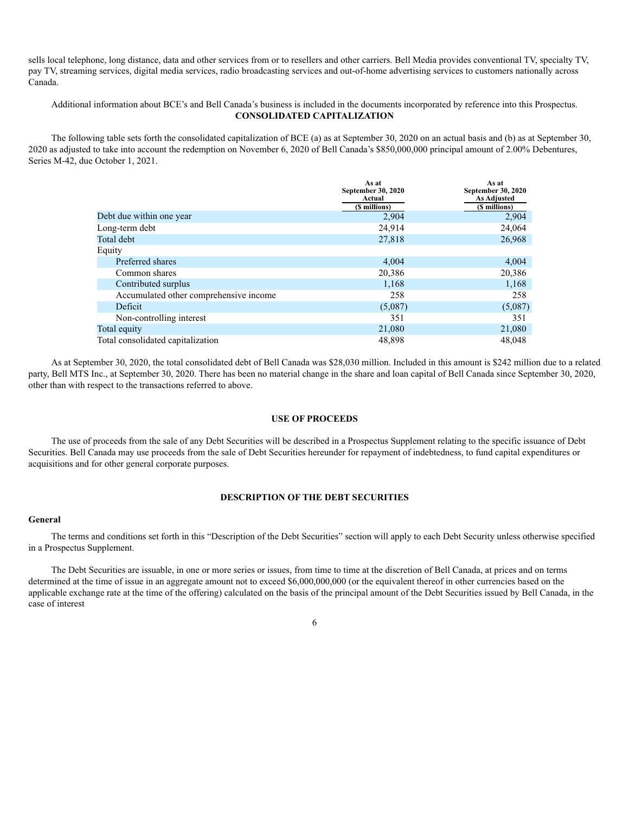sells local telephone, long distance, data and other services from or to resellers and other carriers. Bell Media provides conventional TV, specialty TV, pay TV, streaming services, digital media services, radio broadcasting services and out-of-home advertising services to customers nationally across Canada.

Additional information about BCE's and Bell Canada's business is included in the documents incorporated by reference into this Prospectus. **CONSOLIDATED CAPITALIZATION**

The following table sets forth the consolidated capitalization of BCE (a) as at September 30, 2020 on an actual basis and (b) as at September 30, 2020 as adjusted to take into account the redemption on November 6, 2020 of Bell Canada's \$850,000,000 principal amount of 2.00% Debentures, Series M-42, due October 1, 2021.

|                                        | As at<br><b>September 30, 2020</b><br>Actual | As at<br>September 30, 2020<br><b>As Adjusted</b> |
|----------------------------------------|----------------------------------------------|---------------------------------------------------|
|                                        | (\$ millions)                                | (\$ millions)                                     |
| Debt due within one year               | 2,904                                        | 2,904                                             |
| Long-term debt                         | 24,914                                       | 24,064                                            |
| Total debt                             | 27,818                                       | 26,968                                            |
| Equity                                 |                                              |                                                   |
| Preferred shares                       | 4.004                                        | 4,004                                             |
| Common shares                          | 20,386                                       | 20,386                                            |
| Contributed surplus                    | 1,168                                        | 1,168                                             |
| Accumulated other comprehensive income | 258                                          | 258                                               |
| Deficit                                | (5,087)                                      | (5,087)                                           |
| Non-controlling interest               | 351                                          | 351                                               |
| Total equity                           | 21,080                                       | 21,080                                            |
| Total consolidated capitalization      | 48.898                                       | 48,048                                            |

As at September 30, 2020, the total consolidated debt of Bell Canada was \$28,030 million. Included in this amount is \$242 million due to a related party, Bell MTS Inc., at September 30, 2020. There has been no material change in the share and loan capital of Bell Canada since September 30, 2020, other than with respect to the transactions referred to above.

# **USE OF PROCEEDS**

The use of proceeds from the sale of any Debt Securities will be described in a Prospectus Supplement relating to the specific issuance of Debt Securities. Bell Canada may use proceeds from the sale of Debt Securities hereunder for repayment of indebtedness, to fund capital expenditures or acquisitions and for other general corporate purposes.

# **DESCRIPTION OF THE DEBT SECURITIES**

#### **General**

The terms and conditions set forth in this "Description of the Debt Securities" section will apply to each Debt Security unless otherwise specified in a Prospectus Supplement.

The Debt Securities are issuable, in one or more series or issues, from time to time at the discretion of Bell Canada, at prices and on terms determined at the time of issue in an aggregate amount not to exceed \$6,000,000,000 (or the equivalent thereof in other currencies based on the applicable exchange rate at the time of the offering) calculated on the basis of the principal amount of the Debt Securities issued by Bell Canada, in the case of interest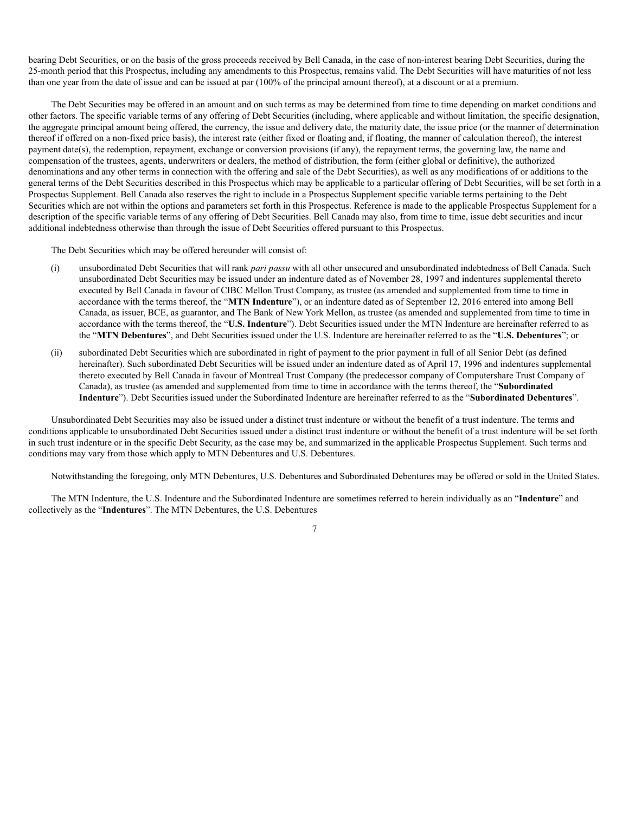bearing Debt Securities, or on the basis of the gross proceeds received by Bell Canada, in the case of non-interest bearing Debt Securities, during the 25-month period that this Prospectus, including any amendments to this Prospectus, remains valid. The Debt Securities will have maturities of not less than one year from the date of issue and can be issued at par (100% of the principal amount thereof), at a discount or at a premium.

The Debt Securities may be offered in an amount and on such terms as may be determined from time to time depending on market conditions and other factors. The specific variable terms of any offering of Debt Securities (including, where applicable and without limitation, the specific designation, the aggregate principal amount being offered, the currency, the issue and delivery date, the maturity date, the issue price (or the manner of determination thereof if offered on a non-fixed price basis), the interest rate (either fixed or floating and, if floating, the manner of calculation thereof), the interest payment date(s), the redemption, repayment, exchange or conversion provisions (if any), the repayment terms, the governing law, the name and compensation of the trustees, agents, underwriters or dealers, the method of distribution, the form (either global or definitive), the authorized denominations and any other terms in connection with the offering and sale of the Debt Securities), as well as any modifications of or additions to the general terms of the Debt Securities described in this Prospectus which may be applicable to a particular offering of Debt Securities, will be set forth in a Prospectus Supplement. Bell Canada also reserves the right to include in a Prospectus Supplement specific variable terms pertaining to the Debt Securities which are not within the options and parameters set forth in this Prospectus. Reference is made to the applicable Prospectus Supplement for a description of the specific variable terms of any offering of Debt Securities. Bell Canada may also, from time to time, issue debt securities and incur additional indebtedness otherwise than through the issue of Debt Securities offered pursuant to this Prospectus.

The Debt Securities which may be offered hereunder will consist of:

- (i) unsubordinated Debt Securities that will rank *pari passu* with all other unsecured and unsubordinated indebtedness of Bell Canada. Such unsubordinated Debt Securities may be issued under an indenture dated as of November 28, 1997 and indentures supplemental thereto executed by Bell Canada in favour of CIBC Mellon Trust Company, as trustee (as amended and supplemented from time to time in accordance with the terms thereof, the "**MTN Indenture**"), or an indenture dated as of September 12, 2016 entered into among Bell Canada, as issuer, BCE, as guarantor, and The Bank of New York Mellon, as trustee (as amended and supplemented from time to time in accordance with the terms thereof, the "**U.S. Indenture**"). Debt Securities issued under the MTN Indenture are hereinafter referred to as the "**MTN Debentures**", and Debt Securities issued under the U.S. Indenture are hereinafter referred to as the "**U.S. Debentures**"; or
- (ii) subordinated Debt Securities which are subordinated in right of payment to the prior payment in full of all Senior Debt (as defined hereinafter). Such subordinated Debt Securities will be issued under an indenture dated as of April 17, 1996 and indentures supplemental thereto executed by Bell Canada in favour of Montreal Trust Company (the predecessor company of Computershare Trust Company of Canada), as trustee (as amended and supplemented from time to time in accordance with the terms thereof, the "**Subordinated Indenture**"). Debt Securities issued under the Subordinated Indenture are hereinafter referred to as the "**Subordinated Debentures**".

Unsubordinated Debt Securities may also be issued under a distinct trust indenture or without the benefit of a trust indenture. The terms and conditions applicable to unsubordinated Debt Securities issued under a distinct trust indenture or without the benefit of a trust indenture will be set forth in such trust indenture or in the specific Debt Security, as the case may be, and summarized in the applicable Prospectus Supplement. Such terms and conditions may vary from those which apply to MTN Debentures and U.S. Debentures.

Notwithstanding the foregoing, only MTN Debentures, U.S. Debentures and Subordinated Debentures may be offered or sold in the United States.

The MTN Indenture, the U.S. Indenture and the Subordinated Indenture are sometimes referred to herein individually as an "**Indenture**" and collectively as the "**Indentures**". The MTN Debentures, the U.S. Debentures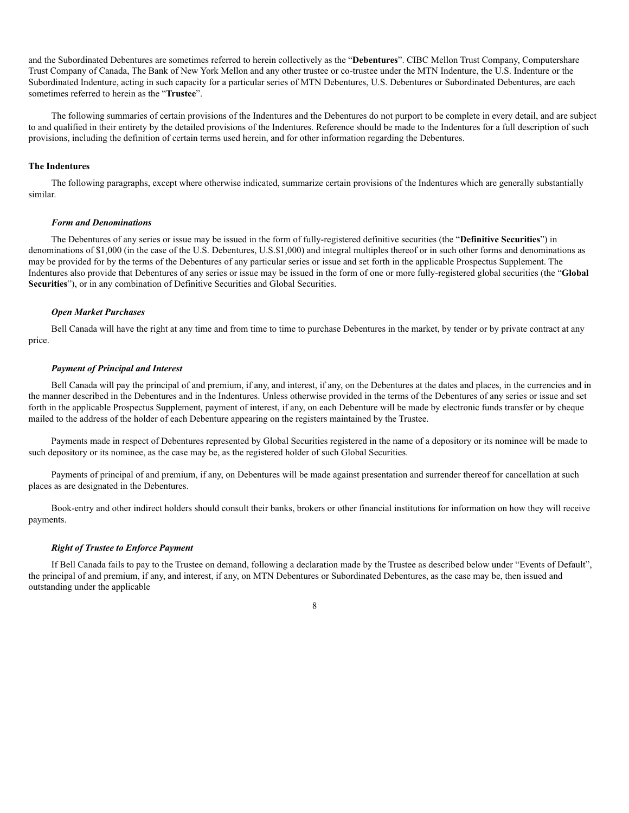and the Subordinated Debentures are sometimes referred to herein collectively as the "**Debentures**". CIBC Mellon Trust Company, Computershare Trust Company of Canada, The Bank of New York Mellon and any other trustee or co-trustee under the MTN Indenture, the U.S. Indenture or the Subordinated Indenture, acting in such capacity for a particular series of MTN Debentures, U.S. Debentures or Subordinated Debentures, are each sometimes referred to herein as the "**Trustee**".

The following summaries of certain provisions of the Indentures and the Debentures do not purport to be complete in every detail, and are subject to and qualified in their entirety by the detailed provisions of the Indentures. Reference should be made to the Indentures for a full description of such provisions, including the definition of certain terms used herein, and for other information regarding the Debentures.

## **The Indentures**

The following paragraphs, except where otherwise indicated, summarize certain provisions of the Indentures which are generally substantially similar.

#### *Form and Denominations*

The Debentures of any series or issue may be issued in the form of fully-registered definitive securities (the "**Definitive Securities**") in denominations of \$1,000 (in the case of the U.S. Debentures, U.S.\$1,000) and integral multiples thereof or in such other forms and denominations as may be provided for by the terms of the Debentures of any particular series or issue and set forth in the applicable Prospectus Supplement. The Indentures also provide that Debentures of any series or issue may be issued in the form of one or more fully-registered global securities (the "**Global Securities**"), or in any combination of Definitive Securities and Global Securities.

## *Open Market Purchases*

Bell Canada will have the right at any time and from time to time to purchase Debentures in the market, by tender or by private contract at any price.

#### *Payment of Principal and Interest*

Bell Canada will pay the principal of and premium, if any, and interest, if any, on the Debentures at the dates and places, in the currencies and in the manner described in the Debentures and in the Indentures. Unless otherwise provided in the terms of the Debentures of any series or issue and set forth in the applicable Prospectus Supplement, payment of interest, if any, on each Debenture will be made by electronic funds transfer or by cheque mailed to the address of the holder of each Debenture appearing on the registers maintained by the Trustee.

Payments made in respect of Debentures represented by Global Securities registered in the name of a depository or its nominee will be made to such depository or its nominee, as the case may be, as the registered holder of such Global Securities.

Payments of principal of and premium, if any, on Debentures will be made against presentation and surrender thereof for cancellation at such places as are designated in the Debentures.

Book-entry and other indirect holders should consult their banks, brokers or other financial institutions for information on how they will receive payments.

## *Right of Trustee to Enforce Payment*

If Bell Canada fails to pay to the Trustee on demand, following a declaration made by the Trustee as described below under "Events of Default", the principal of and premium, if any, and interest, if any, on MTN Debentures or Subordinated Debentures, as the case may be, then issued and outstanding under the applicable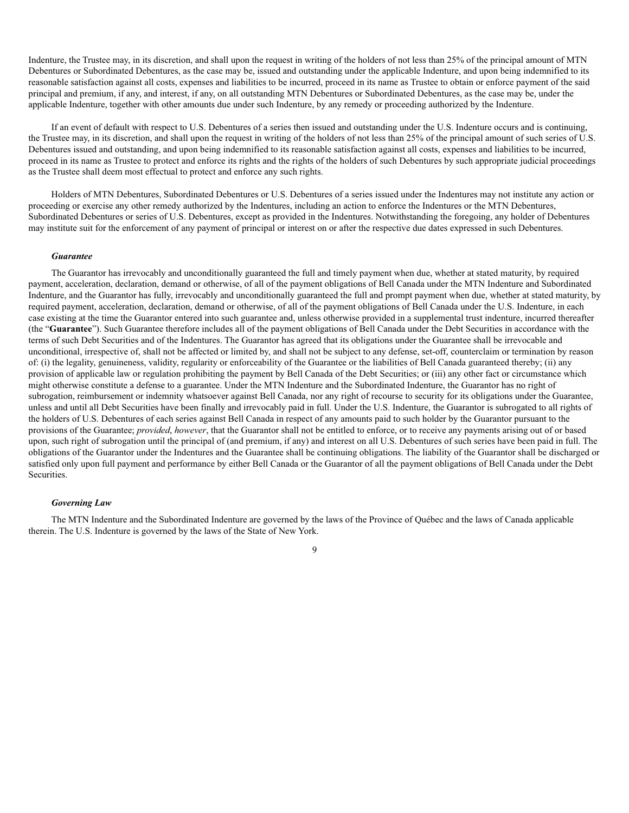Indenture, the Trustee may, in its discretion, and shall upon the request in writing of the holders of not less than 25% of the principal amount of MTN Debentures or Subordinated Debentures, as the case may be, issued and outstanding under the applicable Indenture, and upon being indemnified to its reasonable satisfaction against all costs, expenses and liabilities to be incurred, proceed in its name as Trustee to obtain or enforce payment of the said principal and premium, if any, and interest, if any, on all outstanding MTN Debentures or Subordinated Debentures, as the case may be, under the applicable Indenture, together with other amounts due under such Indenture, by any remedy or proceeding authorized by the Indenture.

If an event of default with respect to U.S. Debentures of a series then issued and outstanding under the U.S. Indenture occurs and is continuing, the Trustee may, in its discretion, and shall upon the request in writing of the holders of not less than 25% of the principal amount of such series of U.S. Debentures issued and outstanding, and upon being indemnified to its reasonable satisfaction against all costs, expenses and liabilities to be incurred, proceed in its name as Trustee to protect and enforce its rights and the rights of the holders of such Debentures by such appropriate judicial proceedings as the Trustee shall deem most effectual to protect and enforce any such rights.

Holders of MTN Debentures, Subordinated Debentures or U.S. Debentures of a series issued under the Indentures may not institute any action or proceeding or exercise any other remedy authorized by the Indentures, including an action to enforce the Indentures or the MTN Debentures, Subordinated Debentures or series of U.S. Debentures, except as provided in the Indentures. Notwithstanding the foregoing, any holder of Debentures may institute suit for the enforcement of any payment of principal or interest on or after the respective due dates expressed in such Debentures.

#### *Guarantee*

The Guarantor has irrevocably and unconditionally guaranteed the full and timely payment when due, whether at stated maturity, by required payment, acceleration, declaration, demand or otherwise, of all of the payment obligations of Bell Canada under the MTN Indenture and Subordinated Indenture, and the Guarantor has fully, irrevocably and unconditionally guaranteed the full and prompt payment when due, whether at stated maturity, by required payment, acceleration, declaration, demand or otherwise, of all of the payment obligations of Bell Canada under the U.S. Indenture, in each case existing at the time the Guarantor entered into such guarantee and, unless otherwise provided in a supplemental trust indenture, incurred thereafter (the "**Guarantee**"). Such Guarantee therefore includes all of the payment obligations of Bell Canada under the Debt Securities in accordance with the terms of such Debt Securities and of the Indentures. The Guarantor has agreed that its obligations under the Guarantee shall be irrevocable and unconditional, irrespective of, shall not be affected or limited by, and shall not be subject to any defense, set-off, counterclaim or termination by reason of: (i) the legality, genuineness, validity, regularity or enforceability of the Guarantee or the liabilities of Bell Canada guaranteed thereby; (ii) any provision of applicable law or regulation prohibiting the payment by Bell Canada of the Debt Securities; or (iii) any other fact or circumstance which might otherwise constitute a defense to a guarantee. Under the MTN Indenture and the Subordinated Indenture, the Guarantor has no right of subrogation, reimbursement or indemnity whatsoever against Bell Canada, nor any right of recourse to security for its obligations under the Guarantee, unless and until all Debt Securities have been finally and irrevocably paid in full. Under the U.S. Indenture, the Guarantor is subrogated to all rights of the holders of U.S. Debentures of each series against Bell Canada in respect of any amounts paid to such holder by the Guarantor pursuant to the provisions of the Guarantee; *provided*, *however*, that the Guarantor shall not be entitled to enforce, or to receive any payments arising out of or based upon, such right of subrogation until the principal of (and premium, if any) and interest on all U.S. Debentures of such series have been paid in full. The obligations of the Guarantor under the Indentures and the Guarantee shall be continuing obligations. The liability of the Guarantor shall be discharged or satisfied only upon full payment and performance by either Bell Canada or the Guarantor of all the payment obligations of Bell Canada under the Debt Securities.

## *Governing Law*

The MTN Indenture and the Subordinated Indenture are governed by the laws of the Province of Québec and the laws of Canada applicable therein. The U.S. Indenture is governed by the laws of the State of New York.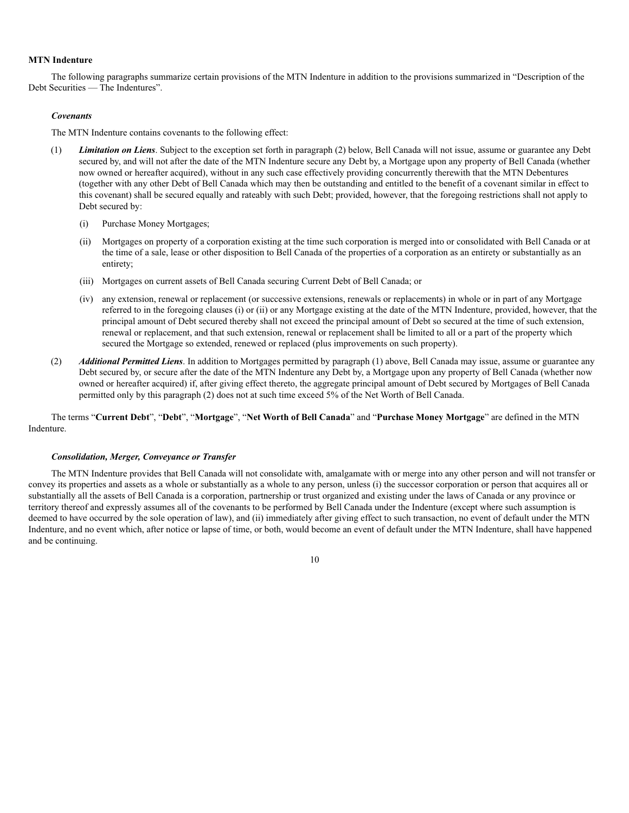## **MTN Indenture**

The following paragraphs summarize certain provisions of the MTN Indenture in addition to the provisions summarized in "Description of the Debt Securities — The Indentures".

## *Covenants*

The MTN Indenture contains covenants to the following effect:

- (1) *Limitation on Liens*. Subject to the exception set forth in paragraph (2) below, Bell Canada will not issue, assume or guarantee any Debt secured by, and will not after the date of the MTN Indenture secure any Debt by, a Mortgage upon any property of Bell Canada (whether now owned or hereafter acquired), without in any such case effectively providing concurrently therewith that the MTN Debentures (together with any other Debt of Bell Canada which may then be outstanding and entitled to the benefit of a covenant similar in effect to this covenant) shall be secured equally and rateably with such Debt; provided, however, that the foregoing restrictions shall not apply to Debt secured by:
	- (i) Purchase Money Mortgages;
	- (ii) Mortgages on property of a corporation existing at the time such corporation is merged into or consolidated with Bell Canada or at the time of a sale, lease or other disposition to Bell Canada of the properties of a corporation as an entirety or substantially as an entirety;
	- (iii) Mortgages on current assets of Bell Canada securing Current Debt of Bell Canada; or
	- (iv) any extension, renewal or replacement (or successive extensions, renewals or replacements) in whole or in part of any Mortgage referred to in the foregoing clauses (i) or (ii) or any Mortgage existing at the date of the MTN Indenture, provided, however, that the principal amount of Debt secured thereby shall not exceed the principal amount of Debt so secured at the time of such extension, renewal or replacement, and that such extension, renewal or replacement shall be limited to all or a part of the property which secured the Mortgage so extended, renewed or replaced (plus improvements on such property).
- (2) *Additional Permitted Liens*. In addition to Mortgages permitted by paragraph (1) above, Bell Canada may issue, assume or guarantee any Debt secured by, or secure after the date of the MTN Indenture any Debt by, a Mortgage upon any property of Bell Canada (whether now owned or hereafter acquired) if, after giving effect thereto, the aggregate principal amount of Debt secured by Mortgages of Bell Canada permitted only by this paragraph (2) does not at such time exceed 5% of the Net Worth of Bell Canada.

The terms "**Current Debt**", "**Debt**", "**Mortgage**", "**Net Worth of Bell Canada**" and "**Purchase Money Mortgage**" are defined in the MTN Indenture.

#### *Consolidation, Merger, Conveyance or Transfer*

The MTN Indenture provides that Bell Canada will not consolidate with, amalgamate with or merge into any other person and will not transfer or convey its properties and assets as a whole or substantially as a whole to any person, unless (i) the successor corporation or person that acquires all or substantially all the assets of Bell Canada is a corporation, partnership or trust organized and existing under the laws of Canada or any province or territory thereof and expressly assumes all of the covenants to be performed by Bell Canada under the Indenture (except where such assumption is deemed to have occurred by the sole operation of law), and (ii) immediately after giving effect to such transaction, no event of default under the MTN Indenture, and no event which, after notice or lapse of time, or both, would become an event of default under the MTN Indenture, shall have happened and be continuing.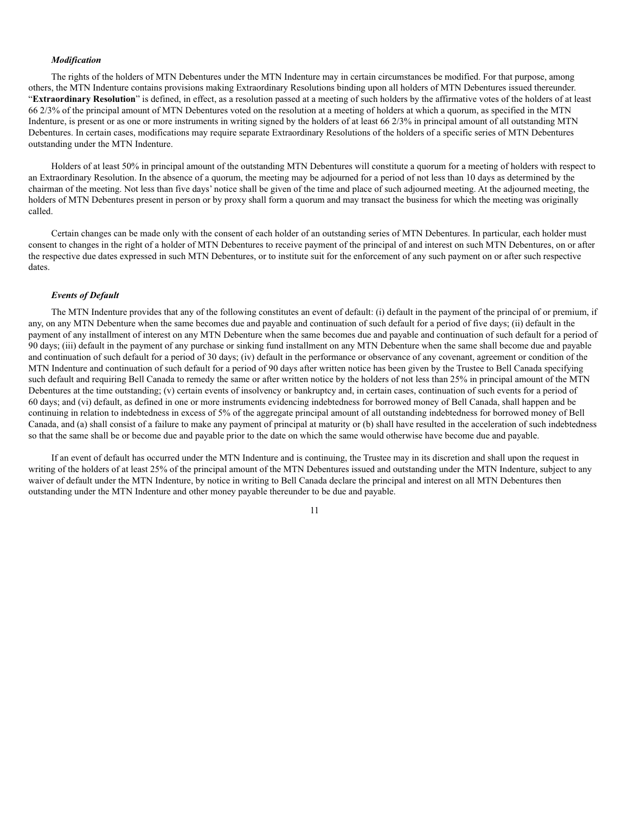## *Modification*

The rights of the holders of MTN Debentures under the MTN Indenture may in certain circumstances be modified. For that purpose, among others, the MTN Indenture contains provisions making Extraordinary Resolutions binding upon all holders of MTN Debentures issued thereunder. "**Extraordinary Resolution**" is defined, in effect, as a resolution passed at a meeting of such holders by the affirmative votes of the holders of at least 66 2/3% of the principal amount of MTN Debentures voted on the resolution at a meeting of holders at which a quorum, as specified in the MTN Indenture, is present or as one or more instruments in writing signed by the holders of at least 66 2/3% in principal amount of all outstanding MTN Debentures. In certain cases, modifications may require separate Extraordinary Resolutions of the holders of a specific series of MTN Debentures outstanding under the MTN Indenture.

Holders of at least 50% in principal amount of the outstanding MTN Debentures will constitute a quorum for a meeting of holders with respect to an Extraordinary Resolution. In the absence of a quorum, the meeting may be adjourned for a period of not less than 10 days as determined by the chairman of the meeting. Not less than five days' notice shall be given of the time and place of such adjourned meeting. At the adjourned meeting, the holders of MTN Debentures present in person or by proxy shall form a quorum and may transact the business for which the meeting was originally called.

Certain changes can be made only with the consent of each holder of an outstanding series of MTN Debentures. In particular, each holder must consent to changes in the right of a holder of MTN Debentures to receive payment of the principal of and interest on such MTN Debentures, on or after the respective due dates expressed in such MTN Debentures, or to institute suit for the enforcement of any such payment on or after such respective dates.

## *Events of Default*

The MTN Indenture provides that any of the following constitutes an event of default: (i) default in the payment of the principal of or premium, if any, on any MTN Debenture when the same becomes due and payable and continuation of such default for a period of five days; (ii) default in the payment of any installment of interest on any MTN Debenture when the same becomes due and payable and continuation of such default for a period of 90 days; (iii) default in the payment of any purchase or sinking fund installment on any MTN Debenture when the same shall become due and payable and continuation of such default for a period of 30 days; (iv) default in the performance or observance of any covenant, agreement or condition of the MTN Indenture and continuation of such default for a period of 90 days after written notice has been given by the Trustee to Bell Canada specifying such default and requiring Bell Canada to remedy the same or after written notice by the holders of not less than 25% in principal amount of the MTN Debentures at the time outstanding; (v) certain events of insolvency or bankruptcy and, in certain cases, continuation of such events for a period of 60 days; and (vi) default, as defined in one or more instruments evidencing indebtedness for borrowed money of Bell Canada, shall happen and be continuing in relation to indebtedness in excess of 5% of the aggregate principal amount of all outstanding indebtedness for borrowed money of Bell Canada, and (a) shall consist of a failure to make any payment of principal at maturity or (b) shall have resulted in the acceleration of such indebtedness so that the same shall be or become due and payable prior to the date on which the same would otherwise have become due and payable.

If an event of default has occurred under the MTN Indenture and is continuing, the Trustee may in its discretion and shall upon the request in writing of the holders of at least 25% of the principal amount of the MTN Debentures issued and outstanding under the MTN Indenture, subject to any waiver of default under the MTN Indenture, by notice in writing to Bell Canada declare the principal and interest on all MTN Debentures then outstanding under the MTN Indenture and other money payable thereunder to be due and payable.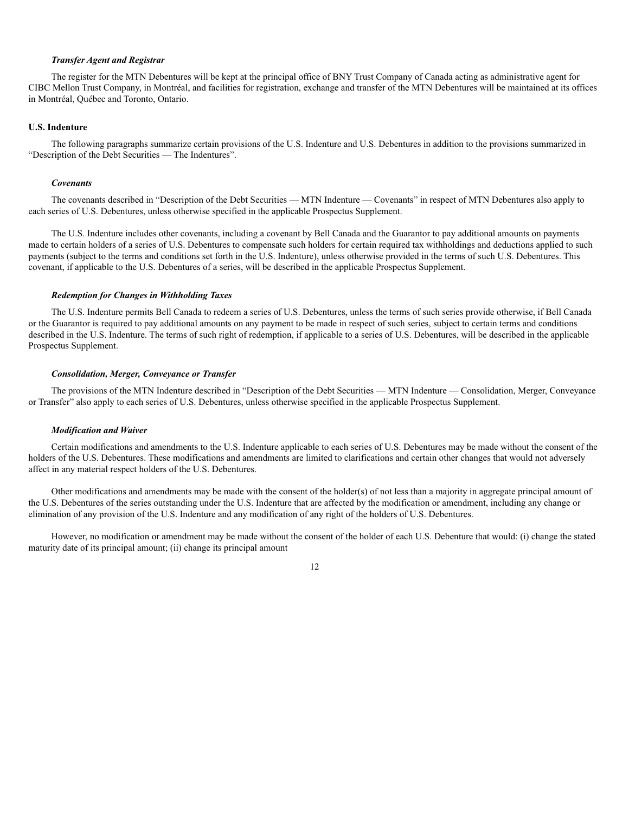## *Transfer Agent and Registrar*

The register for the MTN Debentures will be kept at the principal office of BNY Trust Company of Canada acting as administrative agent for CIBC Mellon Trust Company, in Montréal, and facilities for registration, exchange and transfer of the MTN Debentures will be maintained at its offices in Montréal, Québec and Toronto, Ontario.

#### **U.S. Indenture**

The following paragraphs summarize certain provisions of the U.S. Indenture and U.S. Debentures in addition to the provisions summarized in "Description of the Debt Securities — The Indentures".

## *Covenants*

The covenants described in "Description of the Debt Securities — MTN Indenture — Covenants" in respect of MTN Debentures also apply to each series of U.S. Debentures, unless otherwise specified in the applicable Prospectus Supplement.

The U.S. Indenture includes other covenants, including a covenant by Bell Canada and the Guarantor to pay additional amounts on payments made to certain holders of a series of U.S. Debentures to compensate such holders for certain required tax withholdings and deductions applied to such payments (subject to the terms and conditions set forth in the U.S. Indenture), unless otherwise provided in the terms of such U.S. Debentures. This covenant, if applicable to the U.S. Debentures of a series, will be described in the applicable Prospectus Supplement.

## *Redemption for Changes in Withholding Taxes*

The U.S. Indenture permits Bell Canada to redeem a series of U.S. Debentures, unless the terms of such series provide otherwise, if Bell Canada or the Guarantor is required to pay additional amounts on any payment to be made in respect of such series, subject to certain terms and conditions described in the U.S. Indenture. The terms of such right of redemption, if applicable to a series of U.S. Debentures, will be described in the applicable Prospectus Supplement.

## *Consolidation, Merger, Conveyance or Transfer*

The provisions of the MTN Indenture described in "Description of the Debt Securities — MTN Indenture — Consolidation, Merger, Conveyance or Transfer" also apply to each series of U.S. Debentures, unless otherwise specified in the applicable Prospectus Supplement.

#### *Modification and Waiver*

Certain modifications and amendments to the U.S. Indenture applicable to each series of U.S. Debentures may be made without the consent of the holders of the U.S. Debentures. These modifications and amendments are limited to clarifications and certain other changes that would not adversely affect in any material respect holders of the U.S. Debentures.

Other modifications and amendments may be made with the consent of the holder(s) of not less than a majority in aggregate principal amount of the U.S. Debentures of the series outstanding under the U.S. Indenture that are affected by the modification or amendment, including any change or elimination of any provision of the U.S. Indenture and any modification of any right of the holders of U.S. Debentures.

However, no modification or amendment may be made without the consent of the holder of each U.S. Debenture that would: (i) change the stated maturity date of its principal amount; (ii) change its principal amount

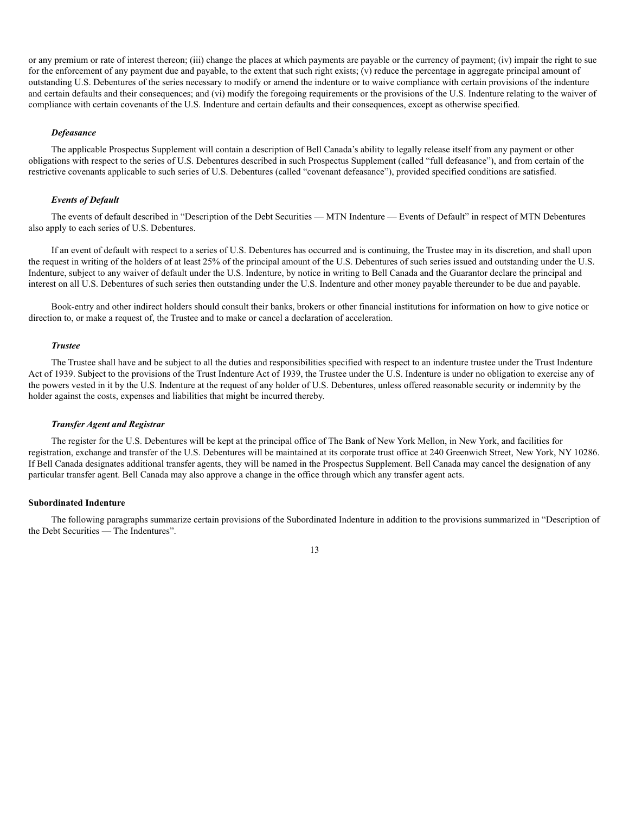or any premium or rate of interest thereon; (iii) change the places at which payments are payable or the currency of payment; (iv) impair the right to sue for the enforcement of any payment due and payable, to the extent that such right exists; (v) reduce the percentage in aggregate principal amount of outstanding U.S. Debentures of the series necessary to modify or amend the indenture or to waive compliance with certain provisions of the indenture and certain defaults and their consequences; and (vi) modify the foregoing requirements or the provisions of the U.S. Indenture relating to the waiver of compliance with certain covenants of the U.S. Indenture and certain defaults and their consequences, except as otherwise specified.

#### *Defeasance*

The applicable Prospectus Supplement will contain a description of Bell Canada's ability to legally release itself from any payment or other obligations with respect to the series of U.S. Debentures described in such Prospectus Supplement (called "full defeasance"), and from certain of the restrictive covenants applicable to such series of U.S. Debentures (called "covenant defeasance"), provided specified conditions are satisfied.

#### *Events of Default*

The events of default described in "Description of the Debt Securities — MTN Indenture — Events of Default" in respect of MTN Debentures also apply to each series of U.S. Debentures.

If an event of default with respect to a series of U.S. Debentures has occurred and is continuing, the Trustee may in its discretion, and shall upon the request in writing of the holders of at least 25% of the principal amount of the U.S. Debentures of such series issued and outstanding under the U.S. Indenture, subject to any waiver of default under the U.S. Indenture, by notice in writing to Bell Canada and the Guarantor declare the principal and interest on all U.S. Debentures of such series then outstanding under the U.S. Indenture and other money payable thereunder to be due and payable.

Book-entry and other indirect holders should consult their banks, brokers or other financial institutions for information on how to give notice or direction to, or make a request of, the Trustee and to make or cancel a declaration of acceleration.

#### *Trustee*

The Trustee shall have and be subject to all the duties and responsibilities specified with respect to an indenture trustee under the Trust Indenture Act of 1939. Subject to the provisions of the Trust Indenture Act of 1939, the Trustee under the U.S. Indenture is under no obligation to exercise any of the powers vested in it by the U.S. Indenture at the request of any holder of U.S. Debentures, unless offered reasonable security or indemnity by the holder against the costs, expenses and liabilities that might be incurred thereby.

## *Transfer Agent and Registrar*

The register for the U.S. Debentures will be kept at the principal office of The Bank of New York Mellon, in New York, and facilities for registration, exchange and transfer of the U.S. Debentures will be maintained at its corporate trust office at 240 Greenwich Street, New York, NY 10286. If Bell Canada designates additional transfer agents, they will be named in the Prospectus Supplement. Bell Canada may cancel the designation of any particular transfer agent. Bell Canada may also approve a change in the office through which any transfer agent acts.

## **Subordinated Indenture**

The following paragraphs summarize certain provisions of the Subordinated Indenture in addition to the provisions summarized in "Description of the Debt Securities — The Indentures".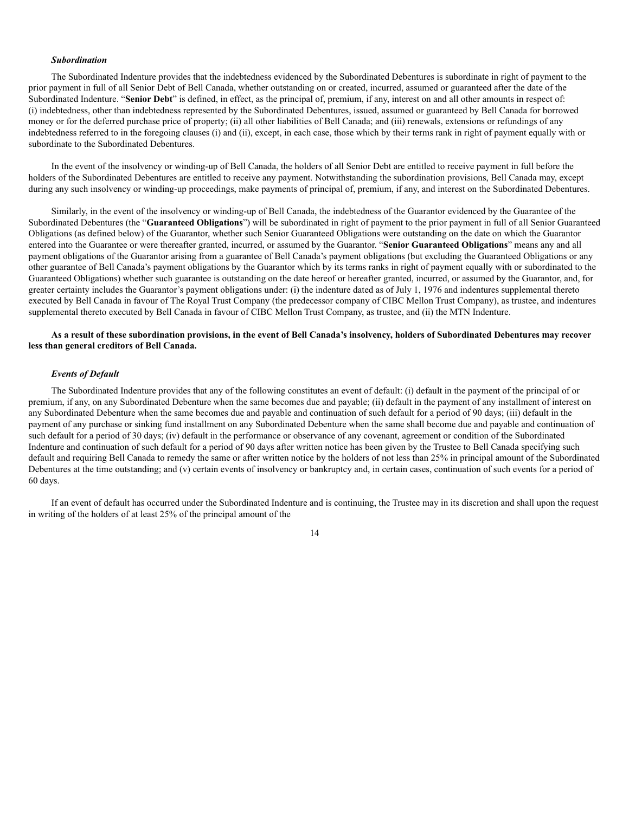## *Subordination*

The Subordinated Indenture provides that the indebtedness evidenced by the Subordinated Debentures is subordinate in right of payment to the prior payment in full of all Senior Debt of Bell Canada, whether outstanding on or created, incurred, assumed or guaranteed after the date of the Subordinated Indenture. "**Senior Debt**" is defined, in effect, as the principal of, premium, if any, interest on and all other amounts in respect of: (i) indebtedness, other than indebtedness represented by the Subordinated Debentures, issued, assumed or guaranteed by Bell Canada for borrowed money or for the deferred purchase price of property; (ii) all other liabilities of Bell Canada; and (iii) renewals, extensions or refundings of any indebtedness referred to in the foregoing clauses (i) and (ii), except, in each case, those which by their terms rank in right of payment equally with or subordinate to the Subordinated Debentures.

In the event of the insolvency or winding-up of Bell Canada, the holders of all Senior Debt are entitled to receive payment in full before the holders of the Subordinated Debentures are entitled to receive any payment. Notwithstanding the subordination provisions, Bell Canada may, except during any such insolvency or winding-up proceedings, make payments of principal of, premium, if any, and interest on the Subordinated Debentures.

Similarly, in the event of the insolvency or winding-up of Bell Canada, the indebtedness of the Guarantor evidenced by the Guarantee of the Subordinated Debentures (the "**Guaranteed Obligations**") will be subordinated in right of payment to the prior payment in full of all Senior Guaranteed Obligations (as defined below) of the Guarantor, whether such Senior Guaranteed Obligations were outstanding on the date on which the Guarantor entered into the Guarantee or were thereafter granted, incurred, or assumed by the Guarantor. "**Senior Guaranteed Obligations**" means any and all payment obligations of the Guarantor arising from a guarantee of Bell Canada's payment obligations (but excluding the Guaranteed Obligations or any other guarantee of Bell Canada's payment obligations by the Guarantor which by its terms ranks in right of payment equally with or subordinated to the Guaranteed Obligations) whether such guarantee is outstanding on the date hereof or hereafter granted, incurred, or assumed by the Guarantor, and, for greater certainty includes the Guarantor's payment obligations under: (i) the indenture dated as of July 1, 1976 and indentures supplemental thereto executed by Bell Canada in favour of The Royal Trust Company (the predecessor company of CIBC Mellon Trust Company), as trustee, and indentures supplemental thereto executed by Bell Canada in favour of CIBC Mellon Trust Company, as trustee, and (ii) the MTN Indenture.

# **As a result of these subordination provisions, in the event of Bell Canada's insolvency, holders of Subordinated Debentures may recover less than general creditors of Bell Canada.**

## *Events of Default*

The Subordinated Indenture provides that any of the following constitutes an event of default: (i) default in the payment of the principal of or premium, if any, on any Subordinated Debenture when the same becomes due and payable; (ii) default in the payment of any installment of interest on any Subordinated Debenture when the same becomes due and payable and continuation of such default for a period of 90 days; (iii) default in the payment of any purchase or sinking fund installment on any Subordinated Debenture when the same shall become due and payable and continuation of such default for a period of 30 days; (iv) default in the performance or observance of any covenant, agreement or condition of the Subordinated Indenture and continuation of such default for a period of 90 days after written notice has been given by the Trustee to Bell Canada specifying such default and requiring Bell Canada to remedy the same or after written notice by the holders of not less than 25% in principal amount of the Subordinated Debentures at the time outstanding; and (v) certain events of insolvency or bankruptcy and, in certain cases, continuation of such events for a period of 60 days.

If an event of default has occurred under the Subordinated Indenture and is continuing, the Trustee may in its discretion and shall upon the request in writing of the holders of at least 25% of the principal amount of the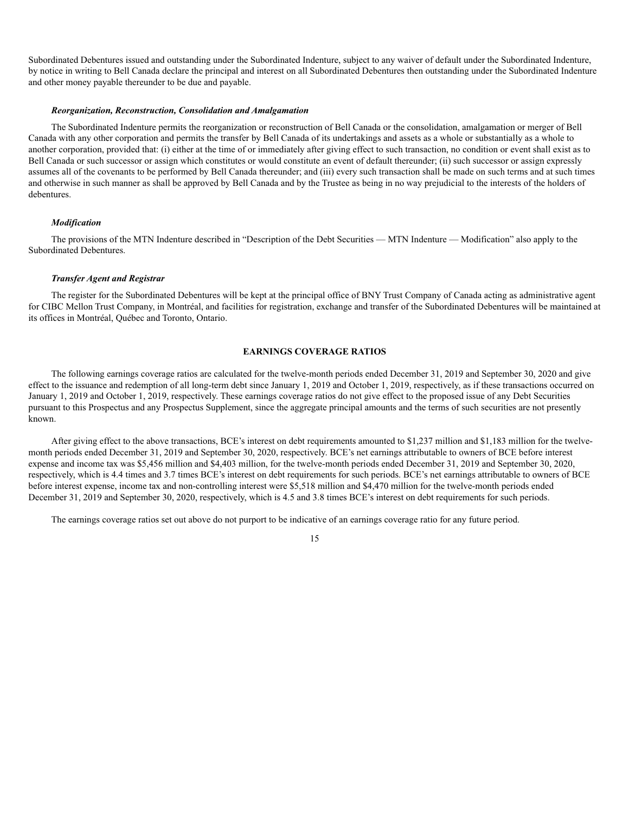Subordinated Debentures issued and outstanding under the Subordinated Indenture, subject to any waiver of default under the Subordinated Indenture, by notice in writing to Bell Canada declare the principal and interest on all Subordinated Debentures then outstanding under the Subordinated Indenture and other money payable thereunder to be due and payable.

#### *Reorganization, Reconstruction, Consolidation and Amalgamation*

The Subordinated Indenture permits the reorganization or reconstruction of Bell Canada or the consolidation, amalgamation or merger of Bell Canada with any other corporation and permits the transfer by Bell Canada of its undertakings and assets as a whole or substantially as a whole to another corporation, provided that: (i) either at the time of or immediately after giving effect to such transaction, no condition or event shall exist as to Bell Canada or such successor or assign which constitutes or would constitute an event of default thereunder; (ii) such successor or assign expressly assumes all of the covenants to be performed by Bell Canada thereunder; and (iii) every such transaction shall be made on such terms and at such times and otherwise in such manner as shall be approved by Bell Canada and by the Trustee as being in no way prejudicial to the interests of the holders of debentures.

## *Modification*

The provisions of the MTN Indenture described in "Description of the Debt Securities — MTN Indenture — Modification" also apply to the Subordinated Debentures.

# *Transfer Agent and Registrar*

The register for the Subordinated Debentures will be kept at the principal office of BNY Trust Company of Canada acting as administrative agent for CIBC Mellon Trust Company, in Montréal, and facilities for registration, exchange and transfer of the Subordinated Debentures will be maintained at its offices in Montréal, Québec and Toronto, Ontario.

## **EARNINGS COVERAGE RATIOS**

The following earnings coverage ratios are calculated for the twelve-month periods ended December 31, 2019 and September 30, 2020 and give effect to the issuance and redemption of all long-term debt since January 1, 2019 and October 1, 2019, respectively, as if these transactions occurred on January 1, 2019 and October 1, 2019, respectively. These earnings coverage ratios do not give effect to the proposed issue of any Debt Securities pursuant to this Prospectus and any Prospectus Supplement, since the aggregate principal amounts and the terms of such securities are not presently known.

After giving effect to the above transactions, BCE's interest on debt requirements amounted to \$1,237 million and \$1,183 million for the twelvemonth periods ended December 31, 2019 and September 30, 2020, respectively. BCE's net earnings attributable to owners of BCE before interest expense and income tax was \$5,456 million and \$4,403 million, for the twelve-month periods ended December 31, 2019 and September 30, 2020, respectively, which is 4.4 times and 3.7 times BCE's interest on debt requirements for such periods. BCE's net earnings attributable to owners of BCE before interest expense, income tax and non-controlling interest were \$5,518 million and \$4,470 million for the twelve-month periods ended December 31, 2019 and September 30, 2020, respectively, which is 4.5 and 3.8 times BCE's interest on debt requirements for such periods.

The earnings coverage ratios set out above do not purport to be indicative of an earnings coverage ratio for any future period.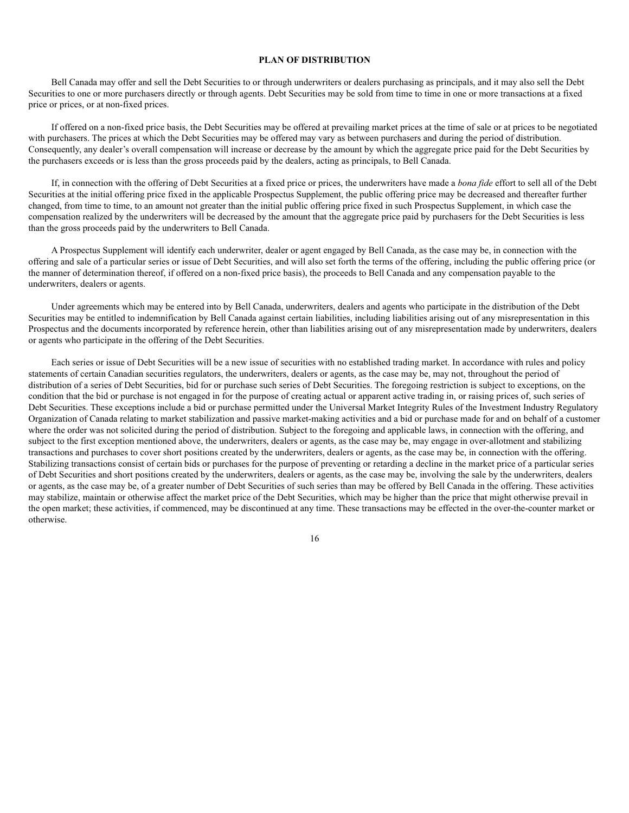# **PLAN OF DISTRIBUTION**

Bell Canada may offer and sell the Debt Securities to or through underwriters or dealers purchasing as principals, and it may also sell the Debt Securities to one or more purchasers directly or through agents. Debt Securities may be sold from time to time in one or more transactions at a fixed price or prices, or at non-fixed prices.

If offered on a non-fixed price basis, the Debt Securities may be offered at prevailing market prices at the time of sale or at prices to be negotiated with purchasers. The prices at which the Debt Securities may be offered may vary as between purchasers and during the period of distribution. Consequently, any dealer's overall compensation will increase or decrease by the amount by which the aggregate price paid for the Debt Securities by the purchasers exceeds or is less than the gross proceeds paid by the dealers, acting as principals, to Bell Canada.

If, in connection with the offering of Debt Securities at a fixed price or prices, the underwriters have made a *bona fide* effort to sell all of the Debt Securities at the initial offering price fixed in the applicable Prospectus Supplement, the public offering price may be decreased and thereafter further changed, from time to time, to an amount not greater than the initial public offering price fixed in such Prospectus Supplement, in which case the compensation realized by the underwriters will be decreased by the amount that the aggregate price paid by purchasers for the Debt Securities is less than the gross proceeds paid by the underwriters to Bell Canada.

A Prospectus Supplement will identify each underwriter, dealer or agent engaged by Bell Canada, as the case may be, in connection with the offering and sale of a particular series or issue of Debt Securities, and will also set forth the terms of the offering, including the public offering price (or the manner of determination thereof, if offered on a non-fixed price basis), the proceeds to Bell Canada and any compensation payable to the underwriters, dealers or agents.

Under agreements which may be entered into by Bell Canada, underwriters, dealers and agents who participate in the distribution of the Debt Securities may be entitled to indemnification by Bell Canada against certain liabilities, including liabilities arising out of any misrepresentation in this Prospectus and the documents incorporated by reference herein, other than liabilities arising out of any misrepresentation made by underwriters, dealers or agents who participate in the offering of the Debt Securities.

Each series or issue of Debt Securities will be a new issue of securities with no established trading market. In accordance with rules and policy statements of certain Canadian securities regulators, the underwriters, dealers or agents, as the case may be, may not, throughout the period of distribution of a series of Debt Securities, bid for or purchase such series of Debt Securities. The foregoing restriction is subject to exceptions, on the condition that the bid or purchase is not engaged in for the purpose of creating actual or apparent active trading in, or raising prices of, such series of Debt Securities. These exceptions include a bid or purchase permitted under the Universal Market Integrity Rules of the Investment Industry Regulatory Organization of Canada relating to market stabilization and passive market-making activities and a bid or purchase made for and on behalf of a customer where the order was not solicited during the period of distribution. Subject to the foregoing and applicable laws, in connection with the offering, and subject to the first exception mentioned above, the underwriters, dealers or agents, as the case may be, may engage in over-allotment and stabilizing transactions and purchases to cover short positions created by the underwriters, dealers or agents, as the case may be, in connection with the offering. Stabilizing transactions consist of certain bids or purchases for the purpose of preventing or retarding a decline in the market price of a particular series of Debt Securities and short positions created by the underwriters, dealers or agents, as the case may be, involving the sale by the underwriters, dealers or agents, as the case may be, of a greater number of Debt Securities of such series than may be offered by Bell Canada in the offering. These activities may stabilize, maintain or otherwise affect the market price of the Debt Securities, which may be higher than the price that might otherwise prevail in the open market; these activities, if commenced, may be discontinued at any time. These transactions may be effected in the over-the-counter market or otherwise.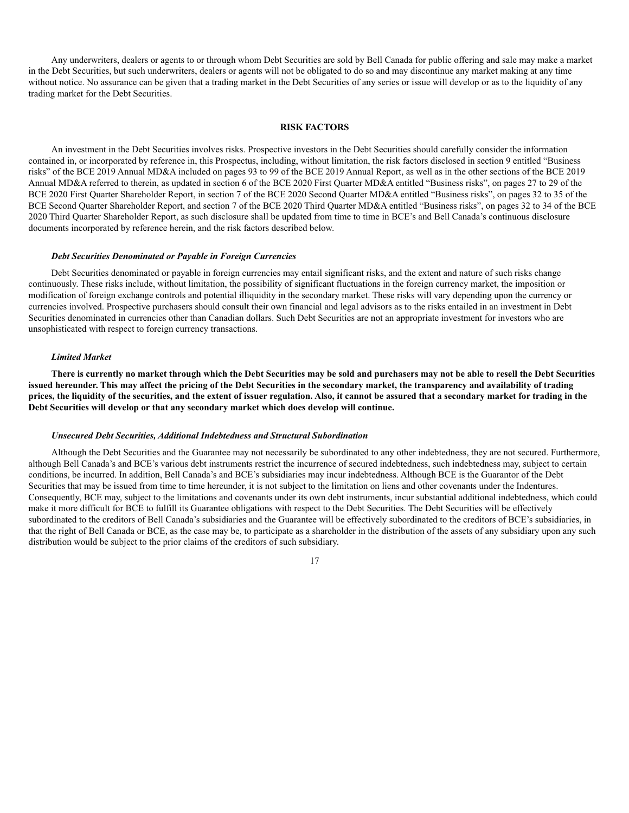Any underwriters, dealers or agents to or through whom Debt Securities are sold by Bell Canada for public offering and sale may make a market in the Debt Securities, but such underwriters, dealers or agents will not be obligated to do so and may discontinue any market making at any time without notice. No assurance can be given that a trading market in the Debt Securities of any series or issue will develop or as to the liquidity of any trading market for the Debt Securities.

#### **RISK FACTORS**

An investment in the Debt Securities involves risks. Prospective investors in the Debt Securities should carefully consider the information contained in, or incorporated by reference in, this Prospectus, including, without limitation, the risk factors disclosed in section 9 entitled "Business risks" of the BCE 2019 Annual MD&A included on pages 93 to 99 of the BCE 2019 Annual Report, as well as in the other sections of the BCE 2019 Annual MD&A referred to therein, as updated in section 6 of the BCE 2020 First Quarter MD&A entitled "Business risks", on pages 27 to 29 of the BCE 2020 First Quarter Shareholder Report, in section 7 of the BCE 2020 Second Quarter MD&A entitled "Business risks", on pages 32 to 35 of the BCE Second Quarter Shareholder Report, and section 7 of the BCE 2020 Third Quarter MD&A entitled "Business risks", on pages 32 to 34 of the BCE 2020 Third Quarter Shareholder Report, as such disclosure shall be updated from time to time in BCE's and Bell Canada's continuous disclosure documents incorporated by reference herein, and the risk factors described below.

#### *Debt Securities Denominated or Payable in Foreign Currencies*

Debt Securities denominated or payable in foreign currencies may entail significant risks, and the extent and nature of such risks change continuously. These risks include, without limitation, the possibility of significant fluctuations in the foreign currency market, the imposition or modification of foreign exchange controls and potential illiquidity in the secondary market. These risks will vary depending upon the currency or currencies involved. Prospective purchasers should consult their own financial and legal advisors as to the risks entailed in an investment in Debt Securities denominated in currencies other than Canadian dollars. Such Debt Securities are not an appropriate investment for investors who are unsophisticated with respect to foreign currency transactions.

## *Limited Market*

**There is currently no market through which the Debt Securities may be sold and purchasers may not be able to resell the Debt Securities issued hereunder. This may affect the pricing of the Debt Securities in the secondary market, the transparency and availability of trading prices, the liquidity of the securities, and the extent of issuer regulation. Also, it cannot be assured that a secondary market for trading in the Debt Securities will develop or that any secondary market which does develop will continue.**

#### *Unsecured Debt Securities, Additional Indebtedness and Structural Subordination*

Although the Debt Securities and the Guarantee may not necessarily be subordinated to any other indebtedness, they are not secured. Furthermore, although Bell Canada's and BCE's various debt instruments restrict the incurrence of secured indebtedness, such indebtedness may, subject to certain conditions, be incurred. In addition, Bell Canada's and BCE's subsidiaries may incur indebtedness. Although BCE is the Guarantor of the Debt Securities that may be issued from time to time hereunder, it is not subject to the limitation on liens and other covenants under the Indentures. Consequently, BCE may, subject to the limitations and covenants under its own debt instruments, incur substantial additional indebtedness, which could make it more difficult for BCE to fulfill its Guarantee obligations with respect to the Debt Securities. The Debt Securities will be effectively subordinated to the creditors of Bell Canada's subsidiaries and the Guarantee will be effectively subordinated to the creditors of BCE's subsidiaries, in that the right of Bell Canada or BCE, as the case may be, to participate as a shareholder in the distribution of the assets of any subsidiary upon any such distribution would be subject to the prior claims of the creditors of such subsidiary.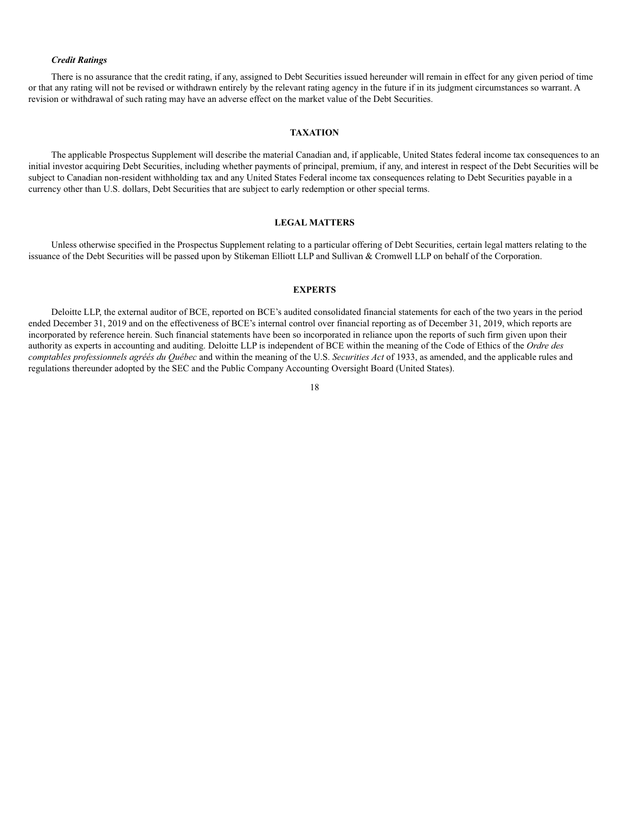## *Credit Ratings*

There is no assurance that the credit rating, if any, assigned to Debt Securities issued hereunder will remain in effect for any given period of time or that any rating will not be revised or withdrawn entirely by the relevant rating agency in the future if in its judgment circumstances so warrant. A revision or withdrawal of such rating may have an adverse effect on the market value of the Debt Securities.

## **TAXATION**

The applicable Prospectus Supplement will describe the material Canadian and, if applicable, United States federal income tax consequences to an initial investor acquiring Debt Securities, including whether payments of principal, premium, if any, and interest in respect of the Debt Securities will be subject to Canadian non-resident withholding tax and any United States Federal income tax consequences relating to Debt Securities payable in a currency other than U.S. dollars, Debt Securities that are subject to early redemption or other special terms.

## **LEGAL MATTERS**

Unless otherwise specified in the Prospectus Supplement relating to a particular offering of Debt Securities, certain legal matters relating to the issuance of the Debt Securities will be passed upon by Stikeman Elliott LLP and Sullivan & Cromwell LLP on behalf of the Corporation.

## **EXPERTS**

Deloitte LLP, the external auditor of BCE, reported on BCE's audited consolidated financial statements for each of the two years in the period ended December 31, 2019 and on the effectiveness of BCE's internal control over financial reporting as of December 31, 2019, which reports are incorporated by reference herein. Such financial statements have been so incorporated in reliance upon the reports of such firm given upon their authority as experts in accounting and auditing. Deloitte LLP is independent of BCE within the meaning of the Code of Ethics of the *Ordre des comptables professionnels agréés du Québec* and within the meaning of the U.S. *Securities Act* of 1933, as amended, and the applicable rules and regulations thereunder adopted by the SEC and the Public Company Accounting Oversight Board (United States).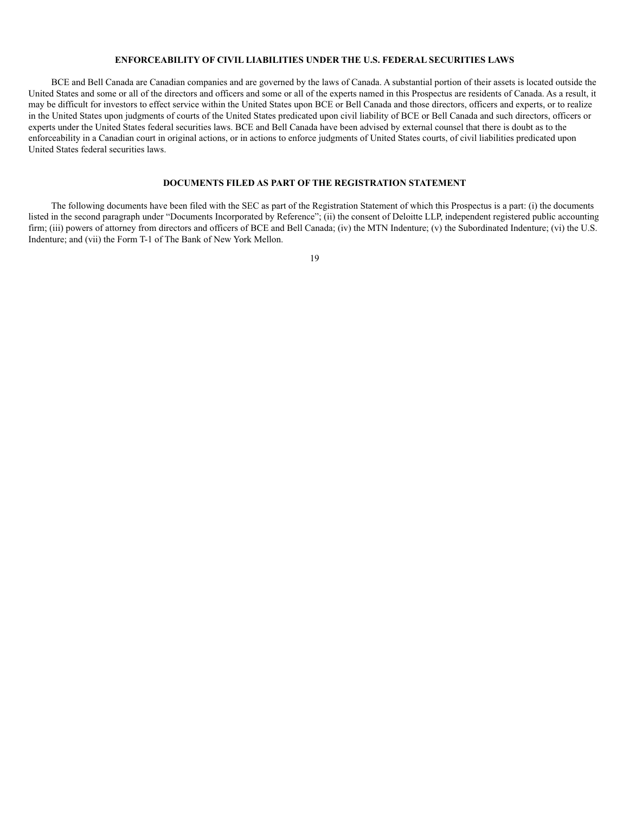## **ENFORCEABILITY OF CIVIL LIABILITIES UNDER THE U.S. FEDERAL SECURITIES LAWS**

BCE and Bell Canada are Canadian companies and are governed by the laws of Canada. A substantial portion of their assets is located outside the United States and some or all of the directors and officers and some or all of the experts named in this Prospectus are residents of Canada. As a result, it may be difficult for investors to effect service within the United States upon BCE or Bell Canada and those directors, officers and experts, or to realize in the United States upon judgments of courts of the United States predicated upon civil liability of BCE or Bell Canada and such directors, officers or experts under the United States federal securities laws. BCE and Bell Canada have been advised by external counsel that there is doubt as to the enforceability in a Canadian court in original actions, or in actions to enforce judgments of United States courts, of civil liabilities predicated upon United States federal securities laws.

# **DOCUMENTS FILED AS PART OF THE REGISTRATION STATEMENT**

The following documents have been filed with the SEC as part of the Registration Statement of which this Prospectus is a part: (i) the documents listed in the second paragraph under "Documents Incorporated by Reference"; (ii) the consent of Deloitte LLP, independent registered public accounting firm; (iii) powers of attorney from directors and officers of BCE and Bell Canada; (iv) the MTN Indenture; (v) the Subordinated Indenture; (vi) the U.S. Indenture; and (vii) the Form T-1 of The Bank of New York Mellon.